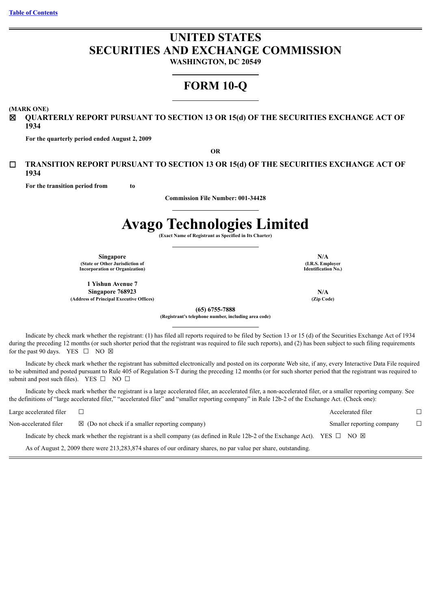# **UNITED STATES SECURITIES AND EXCHANGE COMMISSION**

**WASHINGTON, DC 20549**

# **FORM 10-Q**

**(MARK ONE)**

# ☒ **QUARTERLY REPORT PURSUANT TO SECTION 13 OR 15(d) OF THE SECURITIES EXCHANGE ACT OF 1934**

**For the quarterly period ended August 2, 2009**

**OR**

# ☐ **TRANSITION REPORT PURSUANT TO SECTION 13 OR 15(d) OF THE SECURITIES EXCHANGE ACT OF 1934**

**For the transition period from to** 

**Commission File Number: 001-34428**

# **Avago Technologies Limited**

**(Exact Name of Registrant as Specified in Its Charter)**

**Singapore N/A (State or Other Jurisdiction of Incorporation or Organization)**

**(I.R.S. Employer Identification No.)**

**1 Yishun Avenue 7 Singapore 768923 N/A**<br>
s of Principal Executive Offices) (Zip Code) **(Address of Principal Executive Offices)** 

**(65) 6755-7888**

**(Registrant's telephone number, including area code)**

Indicate by check mark whether the registrant: (1) has filed all reports required to be filed by Section 13 or 15 (d) of the Securities Exchange Act of 1934 during the preceding 12 months (or such shorter period that the registrant was required to file such reports), and (2) has been subject to such filing requirements for the past 90 days. YES  $\Box$  NO  $\boxtimes$ 

Indicate by check mark whether the registrant has submitted electronically and posted on its corporate Web site, if any, every Interactive Data File required to be submitted and posted pursuant to Rule 405 of Regulation S-T during the preceding 12 months (or for such shorter period that the registrant was required to submit and post such files). YES  $\square$  NO  $\square$ 

Indicate by check mark whether the registrant is a large accelerated filer, an accelerated filer, a non-accelerated filer, or a smaller reporting company. See the definitions of "large accelerated filer," "accelerated filer" and "smaller reporting company" in Rule 12b-2 of the Exchange Act. (Check one):

Large accelerated filer ☐ Accelerated filer ☐

Non-accelerated filer ⊠ (Do not check if a smaller reporting company) Smaller reporting company □

Indicate by check mark whether the registrant is a shell company (as defined in Rule 12b-2 of the Exchange Act). YES  $\Box$  NO  $\boxtimes$ 

As of August 2, 2009 there were 213,283,874 shares of our ordinary shares, no par value per share, outstanding.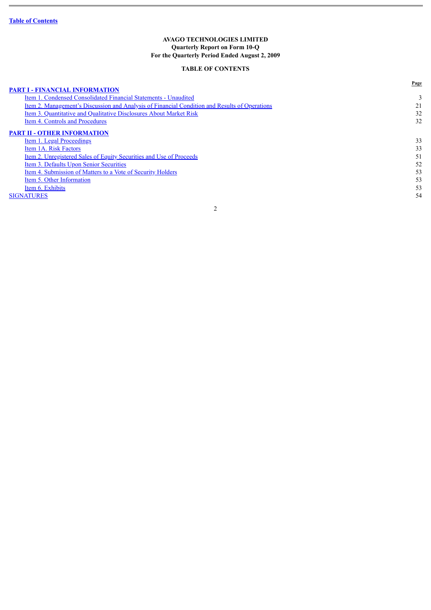# **AVAGO TECHNOLOGIES LIMITED Quarterly Report on Form 10-Q For the Quarterly Period Ended August 2, 2009**

# **TABLE OF CONTENTS**

**Page**

<span id="page-1-0"></span>

| <b>PART I - FINANCIAL INFORMATION</b> |  |
|---------------------------------------|--|
|---------------------------------------|--|

| Item 1. Condensed Consolidated Financial Statements - Unaudited                                      |    |
|------------------------------------------------------------------------------------------------------|----|
| <u>Item 2. Management's Discussion and Analysis of Financial Condition and Results of Operations</u> | 21 |
| Item 3. Quantitative and Qualitative Disclosures About Market Risk                                   | 32 |
| Item 4. Controls and Procedures                                                                      | 32 |
| <b>PART II - OTHER INFORMATION</b>                                                                   |    |
| Item 1. Legal Proceedings                                                                            | 33 |
| Item 1A. Risk Factors                                                                                | 33 |
| Item 2. Unregistered Sales of Equity Securities and Use of Proceeds                                  | 51 |
| Item 3. Defaults Upon Senior Securities                                                              | 52 |
| Item 4. Submission of Matters to a Vote of Security Holders                                          | 53 |
| Item 5. Other Information                                                                            | 53 |
| Item 6. Exhibits                                                                                     | 53 |
| SIGNATURES                                                                                           | 54 |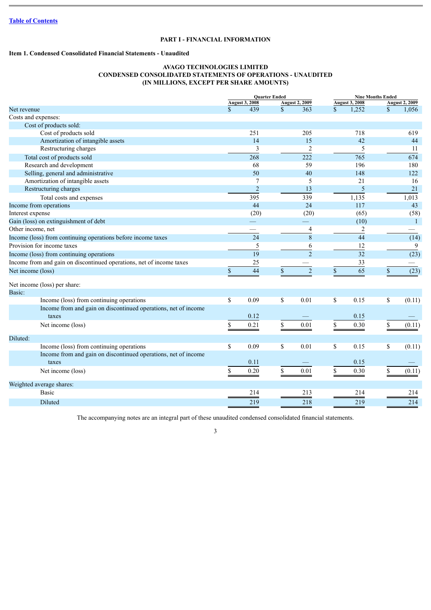# **PART I - FINANCIAL INFORMATION**

# <span id="page-2-1"></span><span id="page-2-0"></span>**Item 1. Condensed Consolidated Financial Statements - Unaudited**

# **AVAGO TECHNOLOGIES LIMITED CONDENSED CONSOLIDATED STATEMENTS OF OPERATIONS - UNAUDITED (IN MILLIONS, EXCEPT PER SHARE AMOUNTS)**

|                                                                      |             | <b>Ouarter Ended</b>  |                           |                       | <b>Nine Months Ended</b> |                       |             |                       |
|----------------------------------------------------------------------|-------------|-----------------------|---------------------------|-----------------------|--------------------------|-----------------------|-------------|-----------------------|
|                                                                      |             | <b>August 3, 2008</b> |                           | <b>August 2, 2009</b> |                          | <b>August 3, 2008</b> |             | <b>August 2, 2009</b> |
| Net revenue                                                          | $\mathbf S$ | 439                   | \$                        | 363                   | $\mathbf S$              | 1,252                 | $\mathbf S$ | 1,056                 |
| Costs and expenses:                                                  |             |                       |                           |                       |                          |                       |             |                       |
| Cost of products sold:                                               |             |                       |                           |                       |                          |                       |             |                       |
| Cost of products sold                                                |             | 251                   |                           | 205                   |                          | 718                   |             | 619                   |
| Amortization of intangible assets                                    |             | 14                    |                           | 15                    |                          | 42                    |             | 44                    |
| Restructuring charges                                                |             | 3                     |                           | $\overline{2}$        |                          | 5                     |             | 11                    |
| Total cost of products sold                                          |             | 268                   |                           | 222                   |                          | 765                   |             | 674                   |
| Research and development                                             |             | 68                    |                           | 59                    |                          | 196                   |             | 180                   |
| Selling, general and administrative                                  |             | 50                    |                           | 40                    |                          | 148                   |             | 122                   |
| Amortization of intangible assets                                    |             | $\overline{7}$        |                           | 5                     |                          | 21                    |             | 16                    |
| Restructuring charges                                                |             | $\overline{2}$        |                           | 13                    |                          | 5                     |             | 21                    |
| Total costs and expenses                                             |             | 395                   |                           | 339                   |                          | 1,135                 |             | 1,013                 |
| Income from operations                                               |             | 44                    |                           | 24                    |                          | 117                   |             | 43                    |
| Interest expense                                                     |             | (20)                  |                           | (20)                  |                          | (65)                  |             | (58)                  |
| Gain (loss) on extinguishment of debt                                |             |                       |                           |                       |                          | (10)                  |             | $\mathbf{1}$          |
| Other income, net                                                    |             |                       |                           | 4                     |                          | $\overline{2}$        |             |                       |
| Income (loss) from continuing operations before income taxes         |             | 24                    |                           | $\overline{8}$        |                          | 44                    |             | (14)                  |
| Provision for income taxes                                           |             | $\sqrt{5}$            |                           | 6                     |                          | 12                    |             | $\overline{9}$        |
| Income (loss) from continuing operations                             |             | 19                    |                           | $\overline{2}$        |                          | 32                    |             | (23)                  |
| Income from and gain on discontinued operations, net of income taxes |             | 25                    |                           |                       |                          | 33                    |             |                       |
| Net income (loss)                                                    | \$          | 44                    | $\boldsymbol{\mathsf{S}}$ | $\overline{2}$        | \$                       | $\overline{65}$       | \$          | $\overline{(23)}$     |
|                                                                      |             |                       |                           |                       |                          |                       |             |                       |
| Net income (loss) per share:                                         |             |                       |                           |                       |                          |                       |             |                       |
| Basic:                                                               |             |                       |                           |                       |                          |                       |             |                       |
| Income (loss) from continuing operations                             | \$          | 0.09                  | \$                        | 0.01                  | \$                       | 0.15                  | $\mathbb S$ | (0.11)                |
| Income from and gain on discontinued operations, net of income       |             |                       |                           |                       |                          |                       |             |                       |
| taxes                                                                |             | 0.12                  |                           |                       |                          | 0.15                  |             |                       |
| Net income (loss)                                                    | \$          | 0.21                  | \$                        | 0.01                  | \$                       | 0.30                  | \$          | (0.11)                |
|                                                                      |             |                       |                           |                       |                          |                       |             |                       |
| Diluted:                                                             |             |                       |                           |                       |                          |                       |             |                       |
| Income (loss) from continuing operations                             | \$          | 0.09                  | \$                        | 0.01                  | \$                       | 0.15                  | \$          | (0.11)                |
| Income from and gain on discontinued operations, net of income       |             |                       |                           |                       |                          |                       |             |                       |
| taxes                                                                |             | 0.11                  |                           |                       |                          | 0.15                  |             |                       |
| Net income (loss)                                                    | \$          | 0.20                  | \$                        | 0.01                  | \$                       | 0.30                  | \$          | (0.11)                |
|                                                                      |             |                       |                           |                       |                          |                       |             |                       |
| Weighted average shares:                                             |             |                       |                           |                       |                          |                       |             |                       |
| Basic                                                                |             | 214                   |                           | 213                   |                          | 214                   |             | 214                   |
| Diluted                                                              |             | 219                   |                           | 218                   |                          | 219                   |             | 214                   |
|                                                                      |             |                       |                           |                       |                          |                       |             |                       |

The accompanying notes are an integral part of these unaudited condensed consolidated financial statements.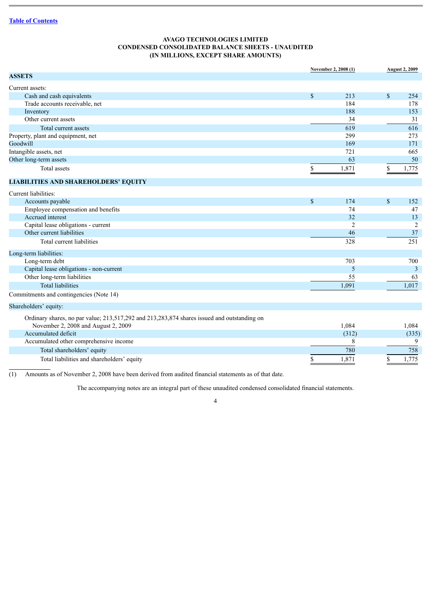# **AVAGO TECHNOLOGIES LIMITED CONDENSED CONSOLIDATED BALANCE SHEETS - UNAUDITED (IN MILLIONS, EXCEPT SHARE AMOUNTS)**

|                                                                                             |              | November 2, 2008 (1) | <b>August 2, 2009</b> |       |  |
|---------------------------------------------------------------------------------------------|--------------|----------------------|-----------------------|-------|--|
| <b>ASSETS</b>                                                                               |              |                      |                       |       |  |
| Current assets:                                                                             |              |                      |                       |       |  |
| Cash and cash equivalents                                                                   | $\mathbf S$  | 213                  | $\mathbf S$           | 254   |  |
| Trade accounts receivable, net                                                              |              | 184                  |                       | 178   |  |
| Inventory                                                                                   |              | 188                  |                       | 153   |  |
| Other current assets                                                                        |              | 34                   |                       | 31    |  |
| Total current assets                                                                        |              | 619                  |                       | 616   |  |
| Property, plant and equipment, net                                                          |              | 299                  |                       | 273   |  |
| Goodwill                                                                                    |              | 169                  |                       | 171   |  |
| Intangible assets, net                                                                      |              | 721                  |                       | 665   |  |
| Other long-term assets                                                                      |              | 63                   |                       | 50    |  |
| <b>Total assets</b>                                                                         | \$           | 1,871                | \$                    | 1,775 |  |
| <b>LIABILITIES AND SHAREHOLDERS' EQUITY</b>                                                 |              |                      |                       |       |  |
| Current liabilities:                                                                        |              |                      |                       |       |  |
| Accounts payable                                                                            | $\mathbb{S}$ | 174                  | $\mathbb{S}$          | 152   |  |
| Employee compensation and benefits                                                          |              | 74                   |                       | 47    |  |
| Accrued interest                                                                            |              | 32                   |                       | 13    |  |
| Capital lease obligations - current                                                         |              | $\overline{2}$       |                       | 2     |  |
| Other current liabilities                                                                   |              | 46                   |                       | 37    |  |
| Total current liabilities                                                                   |              | 328                  |                       | 251   |  |
| Long-term liabilities:                                                                      |              |                      |                       |       |  |
| Long-term debt                                                                              |              | 703                  |                       | 700   |  |
| Capital lease obligations - non-current                                                     |              | 5                    |                       | 3     |  |
| Other long-term liabilities                                                                 |              | 55                   |                       | 63    |  |
| <b>Total liabilities</b>                                                                    |              | 1.091                |                       | 1,017 |  |
| Commitments and contingencies (Note 14)                                                     |              |                      |                       |       |  |
| Shareholders' equity:                                                                       |              |                      |                       |       |  |
| Ordinary shares, no par value; 213,517,292 and 213,283,874 shares issued and outstanding on |              |                      |                       |       |  |
| November 2, 2008 and August 2, 2009                                                         |              | 1,084                |                       | 1,084 |  |
| Accumulated deficit                                                                         |              | (312)                |                       | (335) |  |
| Accumulated other comprehensive income                                                      |              | 8                    |                       | 9     |  |
| Total shareholders' equity                                                                  |              | 780                  |                       | 758   |  |
| Total liabilities and shareholders' equity                                                  | \$           | 1,871                | \$                    | 1,775 |  |

(1) Amounts as of November 2, 2008 have been derived from audited financial statements as of that date.

The accompanying notes are an integral part of these unaudited condensed consolidated financial statements. 4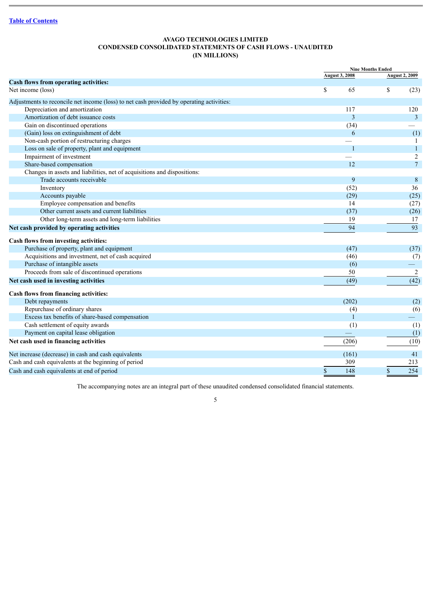# **AVAGO TECHNOLOGIES LIMITED CONDENSED CONSOLIDATED STATEMENTS OF CASH FLOWS - UNAUDITED (IN MILLIONS)**

| <b>August 3, 2008</b>                                                                    |                       |
|------------------------------------------------------------------------------------------|-----------------------|
|                                                                                          | <b>August 2, 2009</b> |
| Cash flows from operating activities:                                                    |                       |
| \$<br>Net income (loss)<br>65<br>S                                                       | (23)                  |
| Adjustments to reconcile net income (loss) to net cash provided by operating activities: |                       |
| Depreciation and amortization<br>117                                                     | 120                   |
| Amortization of debt issuance costs<br>$\overline{3}$                                    | $\overline{3}$        |
| Gain on discontinued operations<br>(34)                                                  |                       |
| (Gain) loss on extinguishment of debt<br>6                                               | (1)                   |
| Non-cash portion of restructuring charges                                                | 1                     |
| Loss on sale of property, plant and equipment                                            | $\mathbf{1}$          |
| Impairment of investment                                                                 | $\overline{2}$        |
| Share-based compensation<br>12                                                           | $7\phantom{.0}$       |
| Changes in assets and liabilities, net of acquisitions and dispositions:                 |                       |
| Trade accounts receivable<br>9                                                           | 8                     |
| Inventory<br>(52)                                                                        | 36                    |
| Accounts payable<br>(29)                                                                 | (25)                  |
| Employee compensation and benefits<br>14                                                 | (27)                  |
| Other current assets and current liabilities<br>(37)                                     | (26)                  |
| Other long-term assets and long-term liabilities<br>19                                   | 17                    |
| Net cash provided by operating activities<br>94                                          | 93                    |
| Cash flows from investing activities:                                                    |                       |
| Purchase of property, plant and equipment<br>(47)                                        | (37)                  |
| Acquisitions and investment, net of cash acquired<br>(46)                                | (7)                   |
| Purchase of intangible assets<br>(6)                                                     |                       |
| Proceeds from sale of discontinued operations<br>50                                      | $\overline{c}$        |
| Net cash used in investing activities<br>(49)                                            | (42)                  |
| Cash flows from financing activities:                                                    |                       |
| Debt repayments<br>(202)                                                                 | (2)                   |
| Repurchase of ordinary shares<br>(4)                                                     | (6)                   |
| Excess tax benefits of share-based compensation<br>$\mathbf{1}$                          |                       |
| Cash settlement of equity awards<br>(1)                                                  | (1)                   |
| Payment on capital lease obligation                                                      | (1)                   |
| Net cash used in financing activities<br>(206)                                           | (10)                  |
| Net increase (decrease) in cash and cash equivalents<br>(161)                            | 41                    |
| Cash and cash equivalents at the beginning of period<br>309                              | 213                   |
| Cash and cash equivalents at end of period<br>\$<br>148<br>$\mathbf S$                   | 254                   |

The accompanying notes are an integral part of these unaudited condensed consolidated financial statements.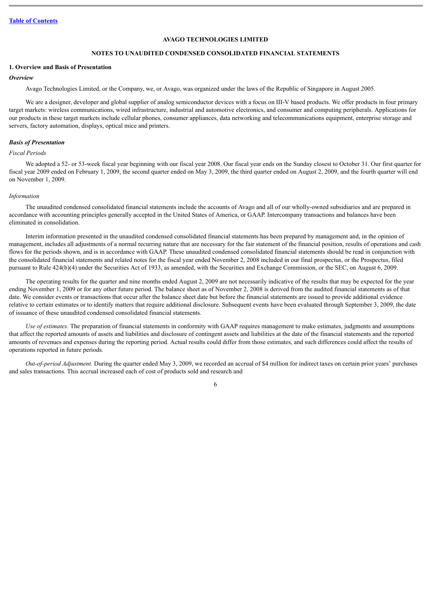# **AVAGO TECHNOLOGIES LIMITED**

# **NOTES TO UNAUDITED CONDENSED CONSOLIDATED FINANCIAL STATEMENTS**

# **1. Overview and Basis of Presentation**

# *Overview*

Avago Technologies Limited, or the Company, we, or Avago, was organized under the laws of the Republic of Singapore in August 2005.

We are a designer, developer and global supplier of analog semiconductor devices with a focus on III-V based products. We offer products in four primary target markets: wireless communications, wired infrastructure, industrial and automotive electronics, and consumer and computing peripherals. Applications for our products in these target markets include cellular phones, consumer appliances, data networking and telecommunications equipment, enterprise storage and servers, factory automation, displays, optical mice and printers.

#### *Basis of Presentation*

# *Fiscal Periods*

We adopted a 52- or 53-week fiscal year beginning with our fiscal year 2008. Our fiscal year ends on the Sunday closest to October 31. Our first quarter for fiscal year 2009 ended on February 1, 2009, the second quarter ended on May 3, 2009, the third quarter ended on August 2, 2009, and the fourth quarter will end on November 1, 2009.

#### *Information*

The unaudited condensed consolidated financial statements include the accounts of Avago and all of our wholly-owned subsidiaries and are prepared in accordance with accounting principles generally accepted in the United States of America, or GAAP. Intercompany transactions and balances have been eliminated in consolidation.

Interim information presented in the unaudited condensed consolidated financial statements has been prepared by management and, in the opinion of management, includes all adjustments of a normal recurring nature that are necessary for the fair statement of the financial position, results of operations and cash flows for the periods shown, and is in accordance with GAAP. These unaudited condensed consolidated financial statements should be read in conjunction with the consolidated financial statements and related notes for the fiscal year ended November 2, 2008 included in our final prospectus, or the Prospectus, filed pursuant to Rule 424(b)(4) under the Securities Act of 1933, as amended, with the Securities and Exchange Commission, or the SEC, on August 6, 2009.

The operating results for the quarter and nine months ended August 2, 2009 are not necessarily indicative of the results that may be expected for the year ending November 1, 2009 or for any other future period. The balance sheet as of November 2, 2008 is derived from the audited financial statements as of that date. We consider events or transactions that occur after the balance sheet date but before the financial statements are issued to provide additional evidence relative to certain estimates or to identify matters that require additional disclosure. Subsequent events have been evaluated through September 3, 2009, the date of issuance of these unaudited condensed consolidated financial statements.

*Use of estimates.* The preparation of financial statements in conformity with GAAP requires management to make estimates, judgments and assumptions that affect the reported amounts of assets and liabilities and disclosure of contingent assets and liabilities at the date of the financial statements and the reported amounts of revenues and expenses during the reporting period. Actual results could differ from those estimates, and such differences could affect the results of operations reported in future periods.

*Out-of-period Adjustment.* During the quarter ended May 3, 2009, we recorded an accrual of \$4 million for indirect taxes on certain prior years' purchases and sales transactions. This accrual increased each of cost of products sold and research and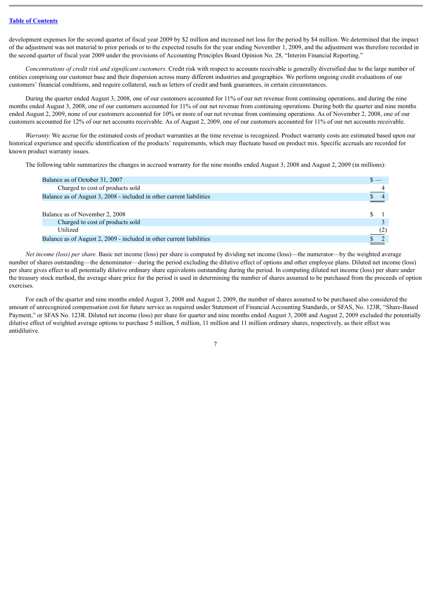development expenses for the second quarter of fiscal year 2009 by \$2 million and increased net loss for the period by \$4 million. We determined that the impact of the adjustment was not material to prior periods or to the expected results for the year ending November 1, 2009, and the adjustment was therefore recorded in the second quarter of fiscal year 2009 under the provisions of Accounting Principles Board Opinion No. 28, "Interim Financial Reporting."

*Concentrations of credit risk and significant customers.* Credit risk with respect to accounts receivable is generally diversified due to the large number of entities comprising our customer base and their dispersion across many different industries and geographies. We perform ongoing credit evaluations of our customers' financial conditions, and require collateral, such as letters of credit and bank guarantees, in certain circumstances.

During the quarter ended August 3, 2008, one of our customers accounted for 11% of our net revenue from continuing operations, and during the nine months ended August 3, 2008, one of our customers accounted for 11% of our net revenue from continuing operations. During both the quarter and nine months ended August 2, 2009, none of our customers accounted for 10% or more of our net revenue from continuing operations. As of November 2, 2008, one of our customers accounted for 12% of our net accounts receivable. As of August 2, 2009, one of our customers accounted for 11% of our net accounts receivable.

*Warranty*. We accrue for the estimated costs of product warranties at the time revenue is recognized. Product warranty costs are estimated based upon our historical experience and specific identification of the products' requirements, which may fluctuate based on product mix. Specific accruals are recorded for known product warranty issues.

The following table summarizes the changes in accrued warranty for the nine months ended August 3, 2008 and August 2, 2009 (in millions):

| Balance as of October 31, 2007                                       |                 |  |
|----------------------------------------------------------------------|-----------------|--|
| Charged to cost of products sold                                     |                 |  |
| Balance as of August 3, 2008 - included in other current liabilities | $\frac{\$ 4}{}$ |  |
|                                                                      |                 |  |
| Balance as of November 2, 2008                                       |                 |  |
| Charged to cost of products sold                                     |                 |  |
| Utilized                                                             |                 |  |
| Balance as of August 2, 2009 - included in other current liabilities |                 |  |

*Net income (loss) per share.* Basic net income (loss) per share is computed by dividing net income (loss)—the numerator—by the weighted average number of shares outstanding—the denominator—during the period excluding the dilutive effect of options and other employee plans. Diluted net income (loss) per share gives effect to all potentially dilutive ordinary share equivalents outstanding during the period. In computing diluted net income (loss) per share under the treasury stock method, the average share price for the period is used in determining the number of shares assumed to be purchased from the proceeds of option exercises.

For each of the quarter and nine months ended August 3, 2008 and August 2, 2009, the number of shares assumed to be purchased also considered the amount of unrecognized compensation cost for future service as required under Statement of Financial Accounting Standards, or SFAS, No. 123R, "Share-Based Payment," or SFAS No. 123R. Diluted net income (loss) per share for quarter and nine months ended August 3, 2008 and August 2, 2009 excluded the potentially dilutive effect of weighted average options to purchase 5 million, 5 million, 11 million and 11 million ordinary shares, respectively, as their effect was antidilutive.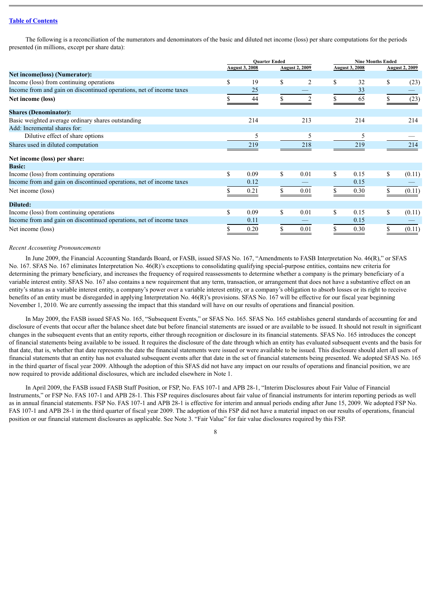The following is a reconciliation of the numerators and denominators of the basic and diluted net income (loss) per share computations for the periods presented (in millions, except per share data):

|                                                                      |   | <b>Ouarter Ended</b>  |    |                       | <b>Nine Months Ended</b> |                       |    |                       |
|----------------------------------------------------------------------|---|-----------------------|----|-----------------------|--------------------------|-----------------------|----|-----------------------|
|                                                                      |   | <b>August 3, 2008</b> |    | <b>August 2, 2009</b> |                          | <b>August 3, 2008</b> |    | <b>August 2, 2009</b> |
| <b>Net income(loss) (Numerator):</b>                                 |   |                       |    |                       |                          |                       |    |                       |
| Income (loss) from continuing operations                             | S | 19                    | \$ | 2                     | S                        | 32                    | S  | (23)                  |
| Income from and gain on discontinued operations, net of income taxes |   | 25                    |    |                       |                          | 33                    |    |                       |
| Net income (loss)                                                    |   | 44                    |    |                       |                          | 65                    |    | (23)                  |
| <b>Shares (Denominator):</b>                                         |   |                       |    |                       |                          |                       |    |                       |
| Basic weighted average ordinary shares outstanding                   |   | 214                   |    | 213                   |                          | 214                   |    | 214                   |
| Add: Incremental shares for:                                         |   |                       |    |                       |                          |                       |    |                       |
| Dilutive effect of share options                                     |   |                       |    |                       |                          |                       |    |                       |
| Shares used in diluted computation                                   |   | 219                   |    | 218                   |                          | 219                   |    | 214                   |
| Net income (loss) per share:                                         |   |                       |    |                       |                          |                       |    |                       |
| <b>Basic:</b>                                                        |   |                       |    |                       |                          |                       |    |                       |
| Income (loss) from continuing operations                             | S | 0.09                  | \$ | 0.01                  | S                        | 0.15                  | S. | (0.11)                |
| Income from and gain on discontinued operations, net of income taxes |   | 0.12                  |    |                       |                          | 0.15                  |    |                       |
| Net income (loss)                                                    |   | 0.21                  |    | 0.01                  |                          | 0.30                  |    | (0.11)                |
| Diluted:                                                             |   |                       |    |                       |                          |                       |    |                       |
| Income (loss) from continuing operations                             | S | 0.09                  | \$ | 0.01                  | \$                       | 0.15                  | \$ | (0.11)                |
| Income from and gain on discontinued operations, net of income taxes |   | 0.11                  |    |                       |                          | 0.15                  |    |                       |
| Net income (loss)                                                    |   | 0.20                  |    | 0.01                  |                          | 0.30                  |    | (0.11)                |

#### *Recent Accounting Pronouncements*

In June 2009, the Financial Accounting Standards Board, or FASB, issued SFAS No. 167, "Amendments to FASB Interpretation No. 46(R)," or SFAS No. 167. SFAS No. 167 eliminates Interpretation No. 46(R)'s exceptions to consolidating qualifying special-purpose entities, contains new criteria for determining the primary beneficiary, and increases the frequency of required reassessments to determine whether a company is the primary beneficiary of a variable interest entity. SFAS No. 167 also contains a new requirement that any term, transaction, or arrangement that does not have a substantive effect on an entity's status as a variable interest entity, a company's power over a variable interest entity, or a company's obligation to absorb losses or its right to receive benefits of an entity must be disregarded in applying Interpretation No. 46(R)'s provisions. SFAS No. 167 will be effective for our fiscal year beginning November 1, 2010. We are currently assessing the impact that this standard will have on our results of operations and financial position.

In May 2009, the FASB issued SFAS No. 165, "Subsequent Events," or SFAS No. 165. SFAS No. 165 establishes general standards of accounting for and disclosure of events that occur after the balance sheet date but before financial statements are issued or are available to be issued. It should not result in significant changes in the subsequent events that an entity reports, either through recognition or disclosure in its financial statements. SFAS No. 165 introduces the concept of financial statements being available to be issued. It requires the disclosure of the date through which an entity has evaluated subsequent events and the basis for that date, that is, whether that date represents the date the financial statements were issued or were available to be issued. This disclosure should alert all users of financial statements that an entity has not evaluated subsequent events after that date in the set of financial statements being presented. We adopted SFAS No. 165 in the third quarter of fiscal year 2009. Although the adoption of this SFAS did not have any impact on our results of operations and financial position, we are now required to provide additional disclosures, which are included elsewhere in Note 1.

In April 2009, the FASB issued FASB Staff Position, or FSP, No. FAS 107-1 and APB 28-1, "Interim Disclosures about Fair Value of Financial Instruments," or FSP No. FAS 107-1 and APB 28-1. This FSP requires disclosures about fair value of financial instruments for interim reporting periods as well as in annual financial statements. FSP No. FAS 107-1 and APB 28-1 is effective for interim and annual periods ending after June 15, 2009. We adopted FSP No. FAS 107-1 and APB 28-1 in the third quarter of fiscal year 2009. The adoption of this FSP did not have a material impact on our results of operations, financial position or our financial statement disclosures as applicable. See Note 3. "Fair Value" for fair value disclosures required by this FSP.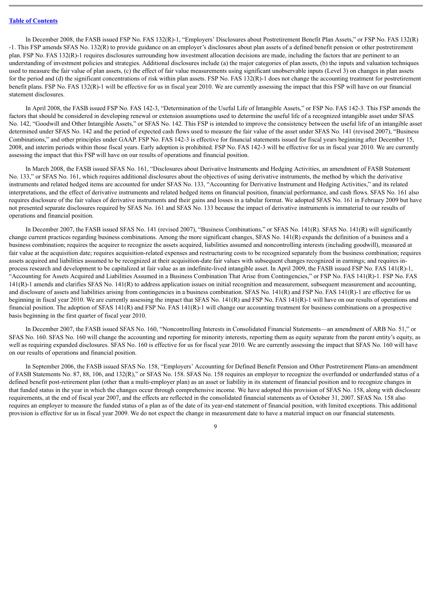In December 2008, the FASB issued FSP No. FAS 132(R)-1, "Employers' Disclosures about Postretirement Benefit Plan Assets," or FSP No. FAS 132(R) -1. This FSP amends SFAS No. 132(R) to provide guidance on an employer's disclosures about plan assets of a defined benefit pension or other postretirement plan. FSP No. FAS 132(R)-1 requires disclosures surrounding how investment allocation decisions are made, including the factors that are pertinent to an understanding of investment policies and strategies. Additional disclosures include (a) the major categories of plan assets, (b) the inputs and valuation techniques used to measure the fair value of plan assets, (c) the effect of fair value measurements using significant unobservable inputs (Level 3) on changes in plan assets for the period and (d) the significant concentrations of risk within plan assets. FSP No. FAS 132(R)-1 does not change the accounting treatment for postretirement benefit plans. FSP No. FAS 132(R)-1 will be effective for us in fiscal year 2010. We are currently assessing the impact that this FSP will have on our financial statement disclosures.

In April 2008, the FASB issued FSP No. FAS 142-3, "Determination of the Useful Life of Intangible Assets," or FSP No. FAS 142-3. This FSP amends the factors that should be considered in developing renewal or extension assumptions used to determine the useful life of a recognized intangible asset under SFAS No. 142, "Goodwill and Other Intangible Assets," or SFAS No. 142. This FSP is intended to improve the consistency between the useful life of an intangible asset determined under SFAS No. 142 and the period of expected cash flows used to measure the fair value of the asset under SFAS No. 141 (revised 2007), "Business Combinations," and other principles under GAAP. FSP No. FAS 142-3 is effective for financial statements issued for fiscal years beginning after December 15, 2008, and interim periods within those fiscal years. Early adoption is prohibited. FSP No. FAS 142-3 will be effective for us in fiscal year 2010. We are currently assessing the impact that this FSP will have on our results of operations and financial position.

In March 2008, the FASB issued SFAS No. 161, "Disclosures about Derivative Instruments and Hedging Activities, an amendment of FASB Statement No. 133," or SFAS No. 161, which requires additional disclosures about the objectives of using derivative instruments, the method by which the derivative instruments and related hedged items are accounted for under SFAS No. 133, "Accounting for Derivative Instrument and Hedging Activities," and its related interpretations, and the effect of derivative instruments and related hedged items on financial position, financial performance, and cash flows. SFAS No. 161 also requires disclosure of the fair values of derivative instruments and their gains and losses in a tabular format. We adopted SFAS No. 161 in February 2009 but have not presented separate disclosures required by SFAS No. 161 and SFAS No. 133 because the impact of derivative instruments is immaterial to our results of operations and financial position.

In December 2007, the FASB issued SFAS No. 141 (revised 2007), "Business Combinations," or SFAS No. 141(R). SFAS No. 141(R) will significantly change current practices regarding business combinations. Among the more significant changes, SFAS No. 141(R) expands the definition of a business and a business combination; requires the acquirer to recognize the assets acquired, liabilities assumed and noncontrolling interests (including goodwill), measured at fair value at the acquisition date; requires acquisition-related expenses and restructuring costs to be recognized separately from the business combination; requires assets acquired and liabilities assumed to be recognized at their acquisition-date fair values with subsequent changes recognized in earnings; and requires inprocess research and development to be capitalized at fair value as an indefinite-lived intangible asset. In April 2009, the FASB issued FSP No. FAS 141(R)-1, "Accounting for Assets Acquired and Liabilities Assumed in a Business Combination That Arise from Contingencies," or FSP No. FAS 141(R)-1. FSP No. FAS  $141(R)$ -1 amends and clarifies SFAS No.  $141(R)$  to address application issues on initial recognition and measurement, subsequent measurement and accounting, and disclosure of assets and liabilities arising from contingencies in a business combination. SFAS No. 141(R) and FSP No. FAS 141(R)-1 are effective for us beginning in fiscal year 2010. We are currently assessing the impact that SFAS No. 141(R) and FSP No. FAS 141(R)-1 will have on our results of operations and financial position. The adoption of SFAS 141(R) and FSP No. FAS 141(R)-1 will change our accounting treatment for business combinations on a prospective basis beginning in the first quarter of fiscal year 2010.

In December 2007, the FASB issued SFAS No. 160, "Noncontrolling Interests in Consolidated Financial Statements—an amendment of ARB No. 51," or SFAS No. 160. SFAS No. 160 will change the accounting and reporting for minority interests, reporting them as equity separate from the parent entity's equity, as well as requiring expanded disclosures. SFAS No. 160 is effective for us for fiscal year 2010. We are currently assessing the impact that SFAS No. 160 will have on our results of operations and financial position.

In September 2006, the FASB issued SFAS No. 158, "Employers' Accounting for Defined Benefit Pension and Other Postretirement Plans-an amendment of FASB Statements No. 87, 88, 106, and 132(R)," or SFAS No. 158. SFAS No. 158 requires an employer to recognize the overfunded or underfunded status of a defined benefit post-retirement plan (other than a multi-employer plan) as an asset or liability in its statement of financial position and to recognize changes in that funded status in the year in which the changes occur through comprehensive income. We have adopted this provision of SFAS No. 158, along with disclosure requirements, at the end of fiscal year 2007, and the effects are reflected in the consolidated financial statements as of October 31, 2007. SFAS No. 158 also requires an employer to measure the funded status of a plan as of the date of its year-end statement of financial position, with limited exceptions. This additional provision is effective for us in fiscal year 2009. We do not expect the change in measurement date to have a material impact on our financial statements.

 $\alpha$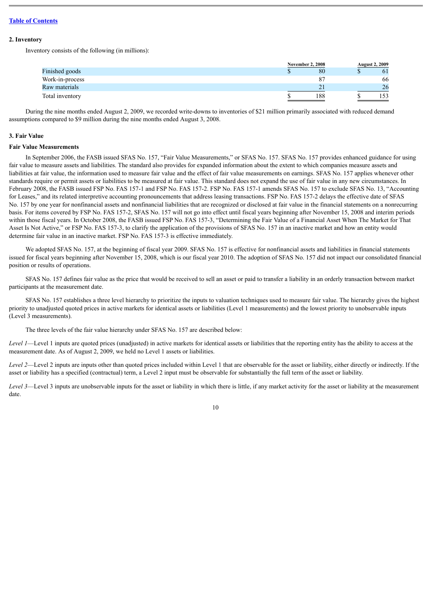#### **2. Inventory**

Inventory consists of the following (in millions):

|                 | <b>November 2, 2008</b> | <b>August 2, 2009</b> |    |  |
|-----------------|-------------------------|-----------------------|----|--|
| Finished goods  | 80                      |                       | 61 |  |
| Work-in-process | 87                      |                       | 66 |  |
| Raw materials   | 21                      |                       | 26 |  |
| Total inventory | 188                     |                       |    |  |

During the nine months ended August 2, 2009, we recorded write-downs to inventories of \$21 million primarily associated with reduced demand assumptions compared to \$9 million during the nine months ended August 3, 2008.

#### **3. Fair Value**

# **Fair Value Measurements**

In September 2006, the FASB issued SFAS No. 157, "Fair Value Measurements," or SFAS No. 157. SFAS No. 157 provides enhanced guidance for using fair value to measure assets and liabilities. The standard also provides for expanded information about the extent to which companies measure assets and liabilities at fair value, the information used to measure fair value and the effect of fair value measurements on earnings. SFAS No. 157 applies whenever other standards require or permit assets or liabilities to be measured at fair value. This standard does not expand the use of fair value in any new circumstances. In February 2008, the FASB issued FSP No. FAS 157-1 and FSP No. FAS 157-2. FSP No. FAS 157-1 amends SFAS No. 157 to exclude SFAS No. 13, "Accounting for Leases," and its related interpretive accounting pronouncements that address leasing transactions. FSP No. FAS 157-2 delays the effective date of SFAS No. 157 by one year for nonfinancial assets and nonfinancial liabilities that are recognized or disclosed at fair value in the financial statements on a nonrecurring basis. For items covered by FSP No. FAS 157-2, SFAS No. 157 will not go into effect until fiscal years beginning after November 15, 2008 and interim periods within those fiscal years. In October 2008, the FASB issued FSP No. FAS 157-3, "Determining the Fair Value of a Financial Asset When The Market for That Asset Is Not Active," or FSP No. FAS 157-3, to clarify the application of the provisions of SFAS No. 157 in an inactive market and how an entity would determine fair value in an inactive market. FSP No. FAS 157-3 is effective immediately.

We adopted SFAS No. 157, at the beginning of fiscal year 2009. SFAS No. 157 is effective for nonfinancial assets and liabilities in financial statements issued for fiscal years beginning after November 15, 2008, which is our fiscal year 2010. The adoption of SFAS No. 157 did not impact our consolidated financial position or results of operations.

SFAS No. 157 defines fair value as the price that would be received to sell an asset or paid to transfer a liability in an orderly transaction between market participants at the measurement date.

SFAS No. 157 establishes a three level hierarchy to prioritize the inputs to valuation techniques used to measure fair value. The hierarchy gives the highest priority to unadjusted quoted prices in active markets for identical assets or liabilities (Level 1 measurements) and the lowest priority to unobservable inputs (Level 3 measurements).

The three levels of the fair value hierarchy under SFAS No. 157 are described below:

*Level 1*—Level 1 inputs are quoted prices (unadjusted) in active markets for identical assets or liabilities that the reporting entity has the ability to access at the measurement date. As of August 2, 2009, we held no Level 1 assets or liabilities.

Level 2—Level 2 inputs are inputs other than quoted prices included within Level 1 that are observable for the asset or liability, either directly or indirectly. If the asset or liability has a specified (contractual) term, a Level 2 input must be observable for substantially the full term of the asset or liability.

Level 3—Level 3 inputs are unobservable inputs for the asset or liability in which there is little, if any market activity for the asset or liability at the measurement date.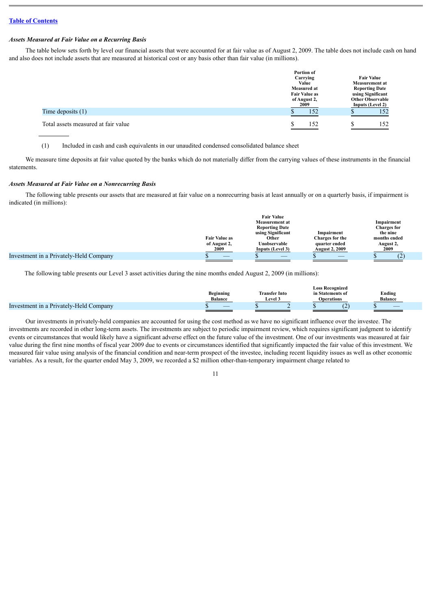#### *Assets Measured at Fair Value on a Recurring Basis*

The table below sets forth by level our financial assets that were accounted for at fair value as of August 2, 2009. The table does not include cash on hand and also does not include assets that are measured at historical cost or any basis other than fair value (in millions).

|                                     | Portion of<br>Carrying<br>Value<br><b>Measured at</b><br><b>Fair Value as</b><br>of August 2,<br>2009 | <b>Fair Value</b><br>Measurement at<br><b>Reporting Date</b><br>using Significant<br><b>Other Observable</b><br>Inputs (Level 2) |
|-------------------------------------|-------------------------------------------------------------------------------------------------------|----------------------------------------------------------------------------------------------------------------------------------|
| Time deposits $(1)$                 | 152                                                                                                   | 152                                                                                                                              |
| Total assets measured at fair value | 152                                                                                                   | 152                                                                                                                              |

(1) Included in cash and cash equivalents in our unaudited condensed consolidated balance sheet

We measure time deposits at fair value quoted by the banks which do not materially differ from the carrying values of these instruments in the financial statements.

#### *Assets Measured at Fair Value on a Nonrecurring Basis*

The following table presents our assets that are measured at fair value on a nonrecurring basis at least annually or on a quarterly basis, if impairment is indicated (in millions):

|                                        |                      | <b>Fair Value</b>     |                       |                    |
|----------------------------------------|----------------------|-----------------------|-----------------------|--------------------|
|                                        |                      | <b>Measurement at</b> |                       | Impairment         |
|                                        |                      | <b>Reporting Date</b> |                       | <b>Charges for</b> |
|                                        |                      | using Significant     | Impairment            | the nine           |
|                                        | <b>Fair Value as</b> | Other                 | Charges for the       | months ended       |
|                                        | of August 2,         | Unobservable          | quarter ended         | August 2,          |
|                                        | 2009                 | Inputs (Level 3)      | <b>August 2, 2009</b> | 2009               |
| Investment in a Privately-Held Company |                      |                       |                       | (2)                |
|                                        |                      |                       |                       |                    |

The following table presents our Level 3 asset activities during the nine months ended August 2, 2009 (in millions):

|                                        |                                           | <b>Loss Recognized</b> |                    |                          |                 |        |  |  |  |
|----------------------------------------|-------------------------------------------|------------------------|--------------------|--------------------------|-----------------|--------|--|--|--|
|                                        | l`ransfer Into<br>oeginning               |                        |                    |                          | n Statements of | Ending |  |  |  |
|                                        | <b>Balance</b>                            | Level?                 | <b>J</b> perations | <b>Balance</b>           |                 |        |  |  |  |
| Investment in a Privately-Held Company | $\qquad \qquad \overline{\qquad \qquad }$ |                        | $\sim$             | $\overline{\phantom{a}}$ |                 |        |  |  |  |
|                                        |                                           |                        |                    |                          |                 |        |  |  |  |

Our investments in privately-held companies are accounted for using the cost method as we have no significant influence over the investee. The investments are recorded in other long-term assets. The investments are subject to periodic impairment review, which requires significant judgment to identify events or circumstances that would likely have a significant adverse effect on the future value of the investment. One of our investments was measured at fair value during the first nine months of fiscal year 2009 due to events or circumstances identified that significantly impacted the fair value of this investment. We measured fair value using analysis of the financial condition and near-term prospect of the investee, including recent liquidity issues as well as other economic variables. As a result, for the quarter ended May 3, 2009, we recorded a \$2 million other-than-temporary impairment charge related to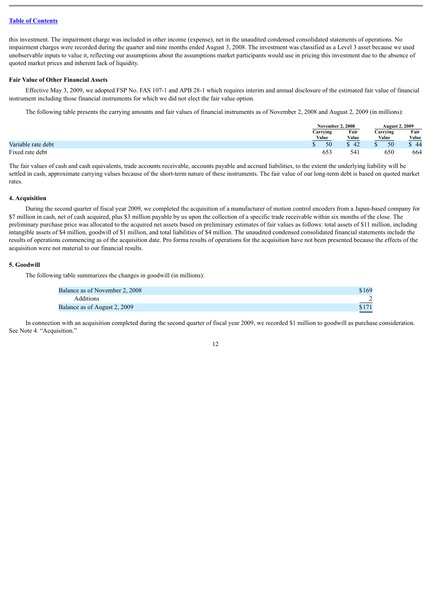this investment. The impairment charge was included in other income (expense), net in the unaudited condensed consolidated statements of operations. No impairment charges were recorded during the quarter and nine months ended August 3, 2008. The investment was classified as a Level 3 asset because we used unobservable inputs to value it, reflecting our assumptions about the assumptions market participants would use in pricing this investment due to the absence of quoted market prices and inherent lack of liquidity.

# **Fair Value of Other Financial Assets**

Effective May 3, 2009, we adopted FSP No. FAS 107-1 and APB 28-1 which requires interim and annual disclosure of the estimated fair value of financial instrument including those financial instruments for which we did not elect the fair value option.

The following table presents the carrying amounts and fair values of financial instruments as of November 2, 2008 and August 2, 2009 (in millions):

|                    | <b>November 2, 2008</b> |       | <b>August 2, 2009</b> |          |  |
|--------------------|-------------------------|-------|-----------------------|----------|--|
|                    | Carrving                | Fair  | Carrving              | Fair     |  |
|                    | Value                   | Value | Value                 | Value    |  |
| Variable rate debt | 50                      | \$42  | 50                    | -44<br>ጠ |  |
| Fixed rate debt    | 653                     | 541   | 650                   | 664      |  |

The fair values of cash and cash equivalents, trade accounts receivable, accounts payable and accrued liabilities, to the extent the underlying liability will be settled in cash, approximate carrying values because of the short-term nature of these instruments. The fair value of our long-term debt is based on quoted market rates.

#### **4. Acquisition**

During the second quarter of fiscal year 2009, we completed the acquisition of a manufacturer of motion control encoders from a Japan-based company for \$7 million in cash, net of cash acquired, plus \$3 million payable by us upon the collection of a specific trade receivable within six months of the close. The preliminary purchase price was allocated to the acquired net assets based on preliminary estimates of fair values as follows: total assets of \$11 million, including intangible assets of \$4 million, goodwill of \$1 million, and total liabilities of \$4 million. The unaudited condensed consolidated financial statements include the results of operations commencing as of the acquisition date. Pro forma results of operations for the acquisition have not been presented because the effects of the acquisition were not material to our financial results.

### **5. Goodwill**

The following table summarizes the changes in goodwill (in millions):

| <b>Balance as of November 2, 2008</b> | \$169 |
|---------------------------------------|-------|
| <b>Additions</b>                      |       |
| Balance as of August 2, 2009          | 0.171 |

In connection with an acquisition completed during the second quarter of fiscal year 2009, we recorded \$1 million to goodwill as purchase consideration. See Note 4. "Acquisition."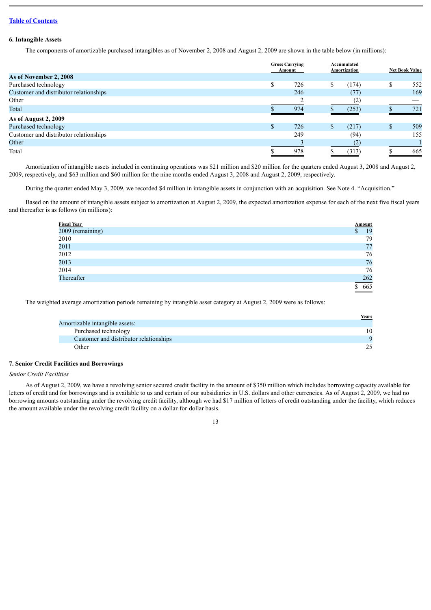#### **6. Intangible Assets**

The components of amortizable purchased intangibles as of November 2, 2008 and August 2, 2009 are shown in the table below (in millions):

|                                        | <b>Gross Carrying</b><br>Amount |     | Accumulated<br>Amortization |       | <b>Net Book Value</b> |     |
|----------------------------------------|---------------------------------|-----|-----------------------------|-------|-----------------------|-----|
| As of November 2, 2008                 |                                 |     |                             |       |                       |     |
| Purchased technology                   |                                 | 726 | \$                          | (174) |                       | 552 |
| Customer and distributor relationships |                                 | 246 |                             | (77)  |                       | 169 |
| Other                                  |                                 |     |                             |       |                       | __  |
| Total                                  |                                 | 974 |                             | (253) |                       | 721 |
| As of August 2, 2009                   |                                 |     |                             |       |                       |     |
| Purchased technology                   | ¢                               | 726 | \$                          | (217) |                       | 509 |
| Customer and distributor relationships |                                 | 249 |                             | (94)  |                       | 155 |
| Other                                  |                                 |     |                             | (2)   |                       |     |
| Total                                  |                                 | 978 |                             | (313) |                       | 665 |

Amortization of intangible assets included in continuing operations was \$21 million and \$20 million for the quarters ended August 3, 2008 and August 2, 2009, respectively, and \$63 million and \$60 million for the nine months ended August 3, 2008 and August 2, 2009, respectively.

During the quarter ended May 3, 2009, we recorded \$4 million in intangible assets in conjunction with an acquisition. See Note 4. "Acquisition."

Based on the amount of intangible assets subject to amortization at August 2, 2009, the expected amortization expense for each of the next five fiscal years and thereafter is as follows (in millions):

| <b>Fiscal Year</b> | Amount |                 |
|--------------------|--------|-----------------|
| 2009 (remaining)   | Φ      | 19              |
| 2010               |        | 79              |
| 2011               |        | 77              |
| 2012               |        | 76              |
| 2013               |        | 76              |
| 2014               |        | 76              |
| Thereafter         |        | $\frac{262}{2}$ |
|                    |        | 665             |

The weighted average amortization periods remaining by intangible asset category at August 2, 2009 were as follows:

|                                        | <b>Years</b> |
|----------------------------------------|--------------|
| Amortizable intangible assets:         |              |
| Purchased technology                   |              |
| Customer and distributor relationships | $\Omega$     |
| Other                                  |              |

# **7. Senior Credit Facilities and Borrowings**

#### *Senior Credit Facilities*

As of August 2, 2009, we have a revolving senior secured credit facility in the amount of \$350 million which includes borrowing capacity available for letters of credit and for borrowings and is available to us and certain of our subsidiaries in U.S. dollars and other currencies. As of August 2, 2009, we had no borrowing amounts outstanding under the revolving credit facility, although we had \$17 million of letters of credit outstanding under the facility, which reduces the amount available under the revolving credit facility on a dollar-for-dollar basis.

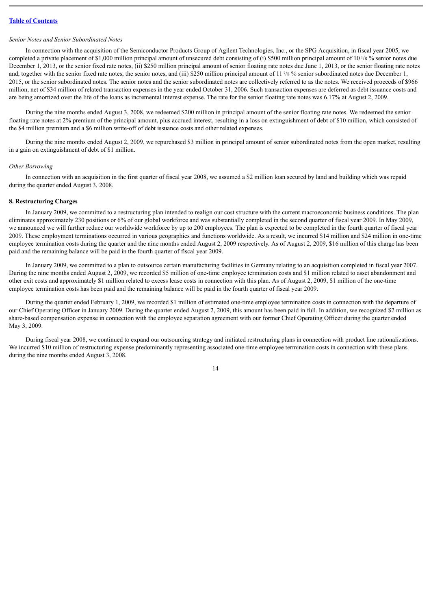#### *Senior Notes and Senior Subordinated Notes*

In connection with the acquisition of the Semiconductor Products Group of Agilent Technologies, Inc., or the SPG Acquisition, in fiscal year 2005, we completed a private placement of \$1,000 million principal amount of unsecured debt consisting of (i) \$500 million principal amount of 10 1/8 % senior notes due December 1, 2013, or the senior fixed rate notes, (ii) \$250 million principal amount of senior floating rate notes due June 1, 2013, or the senior floating rate notes and, together with the senior fixed rate notes, the senior notes, and (iii) \$250 million principal amount of 11 //8 % senior subordinated notes due December 1, 2015, or the senior subordinated notes. The senior notes and the senior subordinated notes are collectively referred to as the notes. We received proceeds of \$966 million, net of \$34 million of related transaction expenses in the year ended October 31, 2006. Such transaction expenses are deferred as debt issuance costs and are being amortized over the life of the loans as incremental interest expense. The rate for the senior floating rate notes was 6.17% at August 2, 2009.

During the nine months ended August 3, 2008, we redeemed \$200 million in principal amount of the senior floating rate notes. We redeemed the senior floating rate notes at 2% premium of the principal amount, plus accrued interest, resulting in a loss on extinguishment of debt of \$10 million, which consisted of the \$4 million premium and a \$6 million write-off of debt issuance costs and other related expenses.

During the nine months ended August 2, 2009, we repurchased \$3 million in principal amount of senior subordinated notes from the open market, resulting in a gain on extinguishment of debt of \$1 million.

#### *Other Borrowing*

In connection with an acquisition in the first quarter of fiscal year 2008, we assumed a \$2 million loan secured by land and building which was repaid during the quarter ended August 3, 2008.

# **8. Restructuring Charges**

In January 2009, we committed to a restructuring plan intended to realign our cost structure with the current macroeconomic business conditions. The plan eliminates approximately 230 positions or 6% of our global workforce and was substantially completed in the second quarter of fiscal year 2009. In May 2009, we announced we will further reduce our worldwide workforce by up to 200 employees. The plan is expected to be completed in the fourth quarter of fiscal year 2009. These employment terminations occurred in various geographies and functions worldwide. As a result, we incurred \$14 million and \$24 million in one-time employee termination costs during the quarter and the nine months ended August 2, 2009 respectively. As of August 2, 2009, \$16 million of this charge has been paid and the remaining balance will be paid in the fourth quarter of fiscal year 2009.

In January 2009, we committed to a plan to outsource certain manufacturing facilities in Germany relating to an acquisition completed in fiscal year 2007. During the nine months ended August 2, 2009, we recorded \$5 million of one-time employee termination costs and \$1 million related to asset abandonment and other exit costs and approximately \$1 million related to excess lease costs in connection with this plan. As of August 2, 2009, \$1 million of the one-time employee termination costs has been paid and the remaining balance will be paid in the fourth quarter of fiscal year 2009.

During the quarter ended February 1, 2009, we recorded \$1 million of estimated one-time employee termination costs in connection with the departure of our Chief Operating Officer in January 2009. During the quarter ended August 2, 2009, this amount has been paid in full. In addition, we recognized \$2 million as share-based compensation expense in connection with the employee separation agreement with our former Chief Operating Officer during the quarter ended May 3, 2009.

During fiscal year 2008, we continued to expand our outsourcing strategy and initiated restructuring plans in connection with product line rationalizations. We incurred \$10 million of restructuring expense predominantly representing associated one-time employee termination costs in connection with these plans during the nine months ended August 3, 2008.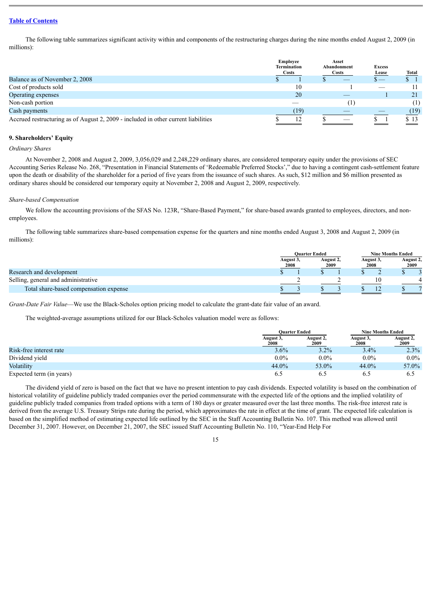The following table summarizes significant activity within and components of the restructuring charges during the nine months ended August 2, 2009 (in millions):

|                                                                                    |       | <b>Employee</b><br>Termination |  | Asset<br>Abandonment | <b>Excess</b> |              |
|------------------------------------------------------------------------------------|-------|--------------------------------|--|----------------------|---------------|--------------|
|                                                                                    | Costs |                                |  | Costs                | Lease         | <b>Total</b> |
| Balance as of November 2, 2008                                                     |       |                                |  |                      | <u>&gt; —</u> |              |
| Cost of products sold                                                              |       | 10                             |  |                      |               |              |
| Operating expenses                                                                 |       | 20                             |  |                      |               | 21           |
| Non-cash portion                                                                   |       |                                |  | $\perp$              |               | (1)          |
| Cash payments                                                                      |       | 19                             |  |                      |               | (19)         |
| Accrued restructuring as of August 2, 2009 - included in other current liabilities |       |                                |  |                      |               |              |

# **9. Shareholders' Equity**

*Ordinary Shares*

At November 2, 2008 and August 2, 2009, 3,056,029 and 2,248,229 ordinary shares, are considered temporary equity under the provisions of SEC Accounting Series Release No. 268, "Presentation in Financial Statements of 'Redeemable Preferred Stocks'," due to having a contingent cash-settlement feature upon the death or disability of the shareholder for a period of five years from the issuance of such shares. As such, \$12 million and \$6 million presented as ordinary shares should be considered our temporary equity at November 2, 2008 and August 2, 2009, respectively.

#### *Share-based Compensation*

We follow the accounting provisions of the SFAS No. 123R, "Share-Based Payment," for share-based awards granted to employees, directors, and nonemployees.

The following table summarizes share-based compensation expense for the quarters and nine months ended August 3, 2008 and August 2, 2009 (in millions):

|                                        |                   | <b>Ouarter Ended</b> | <b>Nine Months Ended</b> |                   |  |  |
|----------------------------------------|-------------------|----------------------|--------------------------|-------------------|--|--|
|                                        | August 3,<br>2008 | August 2,<br>2009    | August 3,<br>2008        | August 2,<br>2009 |  |  |
| Research and development               |                   |                      |                          |                   |  |  |
| Selling, general and administrative    |                   |                      |                          |                   |  |  |
| Total share-based compensation expense |                   |                      |                          |                   |  |  |

*Grant-Date Fair Value*—We use the Black-Scholes option pricing model to calculate the grant-date fair value of an award.

The weighted-average assumptions utilized for our Black-Scholes valuation model were as follows:

|                          |                   | <b>Ouarter Ended</b> |                   | <b>Nine Months Ended</b> |
|--------------------------|-------------------|----------------------|-------------------|--------------------------|
|                          | August 3,<br>2008 | August 2,<br>2009    | August 3,<br>2008 | August 2,<br>2009        |
| Risk-free interest rate  | 3.6%              | $3.2\%$              | 3.4%              | 2.3%                     |
| Dividend vield           | $0.0\%$           | $0.0\%$              | $0.0\%$           | $0.0\%$                  |
| Volatility               | 44.0%             | 53.0%                | 44.0%             | 57.0%                    |
| Expected term (in years) | 0.2               |                      |                   | 6.5                      |

The dividend yield of zero is based on the fact that we have no present intention to pay cash dividends. Expected volatility is based on the combination of historical volatility of guideline publicly traded companies over the period commensurate with the expected life of the options and the implied volatility of guideline publicly traded companies from traded options with a term of 180 days or greater measured over the last three months. The risk-free interest rate is derived from the average U.S. Treasury Strips rate during the period, which approximates the rate in effect at the time of grant. The expected life calculation is based on the simplified method of estimating expected life outlined by the SEC in the Staff Accounting Bulletin No. 107. This method was allowed until December 31, 2007. However, on December 21, 2007, the SEC issued Staff Accounting Bulletin No. 110, "Year-End Help For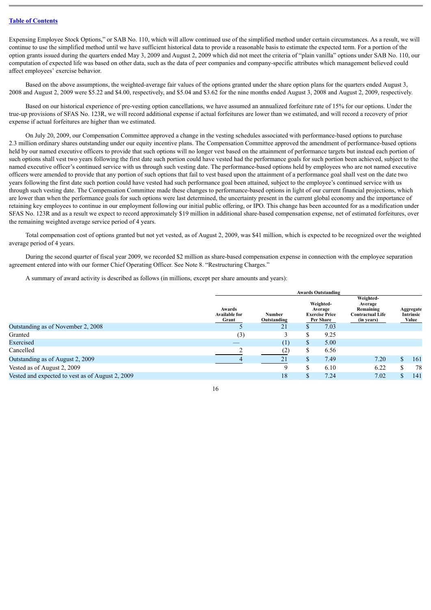Expensing Employee Stock Options," or SAB No. 110, which will allow continued use of the simplified method under certain circumstances. As a result, we will continue to use the simplified method until we have sufficient historical data to provide a reasonable basis to estimate the expected term. For a portion of the option grants issued during the quarters ended May 3, 2009 and August 2, 2009 which did not meet the criteria of "plain vanilla" options under SAB No. 110, our computation of expected life was based on other data, such as the data of peer companies and company-specific attributes which management believed could affect employees' exercise behavior.

Based on the above assumptions, the weighted-average fair values of the options granted under the share option plans for the quarters ended August 3, 2008 and August 2, 2009 were \$5.22 and \$4.00, respectively, and \$5.04 and \$3.62 for the nine months ended August 3, 2008 and August 2, 2009, respectively.

Based on our historical experience of pre-vesting option cancellations, we have assumed an annualized forfeiture rate of 15% for our options. Under the true-up provisions of SFAS No. 123R, we will record additional expense if actual forfeitures are lower than we estimated, and will record a recovery of prior expense if actual forfeitures are higher than we estimated.

On July 20, 2009, our Compensation Committee approved a change in the vesting schedules associated with performance-based options to purchase 2.3 million ordinary shares outstanding under our equity incentive plans. The Compensation Committee approved the amendment of performance-based options held by our named executive officers to provide that such options will no longer vest based on the attainment of performance targets but instead each portion of such options shall vest two years following the first date such portion could have vested had the performance goals for such portion been achieved, subject to the named executive officer's continued service with us through such vesting date. The performance-based options held by employees who are not named executive officers were amended to provide that any portion of such options that fail to vest based upon the attainment of a performance goal shall vest on the date two years following the first date such portion could have vested had such performance goal been attained, subject to the employee's continued service with us through such vesting date. The Compensation Committee made these changes to performance-based options in light of our current financial projections, which are lower than when the performance goals for such options were last determined, the uncertainty present in the current global economy and the importance of retaining key employees to continue in our employment following our initial public offering, or IPO. This change has been accounted for as a modification under SFAS No. 123R and as a result we expect to record approximately \$19 million in additional share-based compensation expense, net of estimated forfeitures, over the remaining weighted average service period of 4 years.

Total compensation cost of options granted but not yet vested, as of August 2, 2009, was \$41 million, which is expected to be recognized over the weighted average period of 4 years.

During the second quarter of fiscal year 2009, we recorded \$2 million as share-based compensation expense in connection with the employee separation agreement entered into with our former Chief Operating Officer. See Note 8. "Restructuring Charges."

A summary of award activity is described as follows (in millions, except per share amounts and years):

| <b>Awards Outstanding</b>                                               |     |    |      |                                                                            |   |                                 |
|-------------------------------------------------------------------------|-----|----|------|----------------------------------------------------------------------------|---|---------------------------------|
| Awards<br><b>Available for</b><br><b>Number</b><br>Grant<br>Outstanding |     |    |      | Weighted-<br>Average<br>Remaining<br><b>Contractual Life</b><br>(in years) |   | Aggregate<br>Intrinsic<br>Value |
|                                                                         | 21  | Л. | 7.03 |                                                                            |   |                                 |
| (3)                                                                     |     | S  | 9.25 |                                                                            |   |                                 |
|                                                                         | (1) | \$ | 5.00 |                                                                            |   |                                 |
|                                                                         | (2) | \$ | 6.56 |                                                                            |   |                                 |
|                                                                         | 21  | \$ | 7.49 | 7.20                                                                       |   | 161                             |
|                                                                         | 9   | \$ | 6.10 | 6.22                                                                       |   | 78                              |
|                                                                         | 18  | S. | 7.24 | 7.02                                                                       | S | 141                             |
|                                                                         |     |    |      | Weighted-<br>Average<br><b>Exercise Price</b><br>Per Share                 |   |                                 |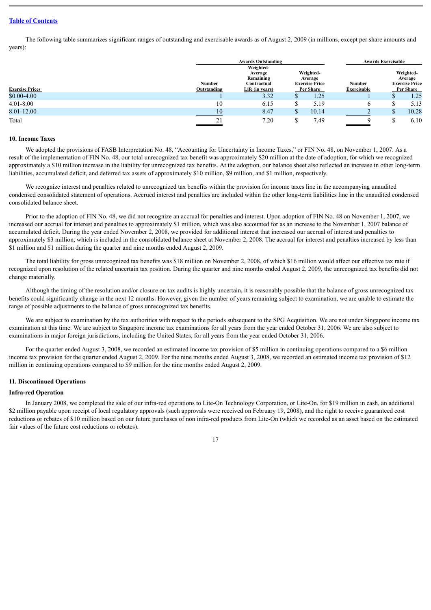The following table summarizes significant ranges of outstanding and exercisable awards as of August 2, 2009 (in millions, except per share amounts and years):

|                        |                       | <b>Awards Outstanding</b>                                                                                                         |  |                              |              | <b>Awards Exercisable</b>                                         |       |
|------------------------|-----------------------|-----------------------------------------------------------------------------------------------------------------------------------|--|------------------------------|--------------|-------------------------------------------------------------------|-------|
| <b>Exercise Prices</b> | Number<br>Outstanding | Weighted-<br>Weighted-<br>Average<br>Remaining<br>Average<br><b>Exercise Price</b><br>Contractual<br>Per Share<br>Life (in years) |  | <b>Number</b><br>Exercisable |              | Weighted-<br>Average<br><b>Exercise Price</b><br><b>Per Share</b> |       |
| $$0.00-4.00$           |                       | 3.32                                                                                                                              |  | 1.25                         |              |                                                                   | 1.25  |
| $4.01 - 8.00$          | 10                    | 6.15                                                                                                                              |  | 5.19                         | <sub>(</sub> |                                                                   | 5.13  |
| 8.01-12.00             | 10                    | 8.47                                                                                                                              |  | 10.14                        |              |                                                                   | 10.28 |
| Total                  |                       | 7.20                                                                                                                              |  | 7.49                         |              |                                                                   | 6.10  |

# **10. Income Taxes**

We adopted the provisions of FASB Interpretation No. 48, "Accounting for Uncertainty in Income Taxes," or FIN No. 48, on November 1, 2007. As a result of the implementation of FIN No. 48, our total unrecognized tax benefit was approximately \$20 million at the date of adoption, for which we recognized approximately a \$10 million increase in the liability for unrecognized tax benefits. At the adoption, our balance sheet also reflected an increase in other long-term liabilities, accumulated deficit, and deferred tax assets of approximately \$10 million, \$9 million, and \$1 million, respectively.

We recognize interest and penalties related to unrecognized tax benefits within the provision for income taxes line in the accompanying unaudited condensed consolidated statement of operations. Accrued interest and penalties are included within the other long-term liabilities line in the unaudited condensed consolidated balance sheet.

Prior to the adoption of FIN No. 48, we did not recognize an accrual for penalties and interest. Upon adoption of FIN No. 48 on November 1, 2007, we increased our accrual for interest and penalties to approximately \$1 million, which was also accounted for as an increase to the November 1, 2007 balance of accumulated deficit. During the year ended November 2, 2008, we provided for additional interest that increased our accrual of interest and penalties to approximately \$3 million, which is included in the consolidated balance sheet at November 2, 2008. The accrual for interest and penalties increased by less than \$1 million and \$1 million during the quarter and nine months ended August 2, 2009.

The total liability for gross unrecognized tax benefits was \$18 million on November 2, 2008, of which \$16 million would affect our effective tax rate if recognized upon resolution of the related uncertain tax position. During the quarter and nine months ended August 2, 2009, the unrecognized tax benefits did not change materially.

Although the timing of the resolution and/or closure on tax audits is highly uncertain, it is reasonably possible that the balance of gross unrecognized tax benefits could significantly change in the next 12 months. However, given the number of years remaining subject to examination, we are unable to estimate the range of possible adjustments to the balance of gross unrecognized tax benefits.

We are subject to examination by the tax authorities with respect to the periods subsequent to the SPG Acquisition. We are not under Singapore income tax examination at this time. We are subject to Singapore income tax examinations for all years from the year ended October 31, 2006. We are also subject to examinations in major foreign jurisdictions, including the United States, for all years from the year ended October 31, 2006.

For the quarter ended August 3, 2008, we recorded an estimated income tax provision of \$5 million in continuing operations compared to a \$6 million income tax provision for the quarter ended August 2, 2009. For the nine months ended August 3, 2008, we recorded an estimated income tax provision of \$12 million in continuing operations compared to \$9 million for the nine months ended August 2, 2009.

### **11. Discontinued Operations**

### **Infra-red Operation**

In January 2008, we completed the sale of our infra-red operations to Lite-On Technology Corporation, or Lite-On, for \$19 million in cash, an additional \$2 million payable upon receipt of local regulatory approvals (such approvals were received on February 19, 2008), and the right to receive guaranteed cost reductions or rebates of \$10 million based on our future purchases of non infra-red products from Lite-On (which we recorded as an asset based on the estimated fair values of the future cost reductions or rebates).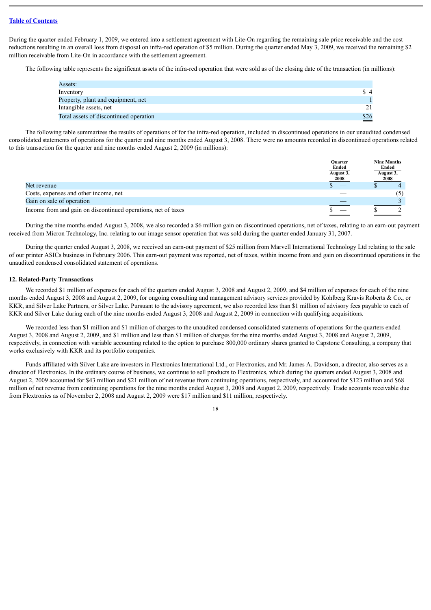During the quarter ended February 1, 2009, we entered into a settlement agreement with Lite-On regarding the remaining sale price receivable and the cost reductions resulting in an overall loss from disposal on infra-red operation of \$5 million. During the quarter ended May 3, 2009, we received the remaining \$2 million receivable from Lite-On in accordance with the settlement agreement.

The following table represents the significant assets of the infra-red operation that were sold as of the closing date of the transaction (in millions):

| Inventory                              |                |
|----------------------------------------|----------------|
| Property, plant and equipment, net     |                |
| Intangible assets, net                 |                |
| Total assets of discontinued operation | \$26<br>$\sim$ |

The following table summarizes the results of operations of for the infra-red operation, included in discontinued operations in our unaudited condensed consolidated statements of operations for the quarter and nine months ended August 3, 2008. There were no amounts recorded in discontinued operations related to this transaction for the quarter and nine months ended August 2, 2009 (in millions):

|                                                               | Ouarter           | <b>Nine Months</b> |
|---------------------------------------------------------------|-------------------|--------------------|
|                                                               | Ended             | Ended              |
|                                                               | August 3,<br>2008 | August 3,<br>2008  |
| Net revenue                                                   |                   |                    |
| Costs, expenses and other income, net                         |                   | (5)                |
| Gain on sale of operation                                     |                   |                    |
| Income from and gain on discontinued operations, net of taxes |                   |                    |

During the nine months ended August 3, 2008, we also recorded a \$6 million gain on discontinued operations, net of taxes, relating to an earn-out payment received from Micron Technology, Inc. relating to our image sensor operation that was sold during the quarter ended January 31, 2007.

During the quarter ended August 3, 2008, we received an earn-out payment of \$25 million from Marvell International Technology Ltd relating to the sale of our printer ASICs business in February 2006. This earn-out payment was reported, net of taxes, within income from and gain on discontinued operations in the unaudited condensed consolidated statement of operations.

#### **12. Related-Party Transactions**

We recorded \$1 million of expenses for each of the quarters ended August 3, 2008 and August 2, 2009, and \$4 million of expenses for each of the nine months ended August 3, 2008 and August 2, 2009, for ongoing consulting and management advisory services provided by Kohlberg Kravis Roberts & Co., or KKR, and Silver Lake Partners, or Silver Lake. Pursuant to the advisory agreement, we also recorded less than \$1 million of advisory fees payable to each of KKR and Silver Lake during each of the nine months ended August 3, 2008 and August 2, 2009 in connection with qualifying acquisitions.

We recorded less than \$1 million and \$1 million of charges to the unaudited condensed consolidated statements of operations for the quarters ended August 3, 2008 and August 2, 2009, and \$1 million and less than \$1 million of charges for the nine months ended August 3, 2008 and August 2, 2009, respectively, in connection with variable accounting related to the option to purchase 800,000 ordinary shares granted to Capstone Consulting, a company that works exclusively with KKR and its portfolio companies.

Funds affiliated with Silver Lake are investors in Flextronics International Ltd., or Flextronics, and Mr. James A. Davidson, a director, also serves as a director of Flextronics. In the ordinary course of business, we continue to sell products to Flextronics, which during the quarters ended August 3, 2008 and August 2, 2009 accounted for \$43 million and \$21 million of net revenue from continuing operations, respectively, and accounted for \$123 million and \$68 million of net revenue from continuing operations for the nine months ended August 3, 2008 and August 2, 2009, respectively. Trade accounts receivable due from Flextronics as of November 2, 2008 and August 2, 2009 were \$17 million and \$11 million, respectively.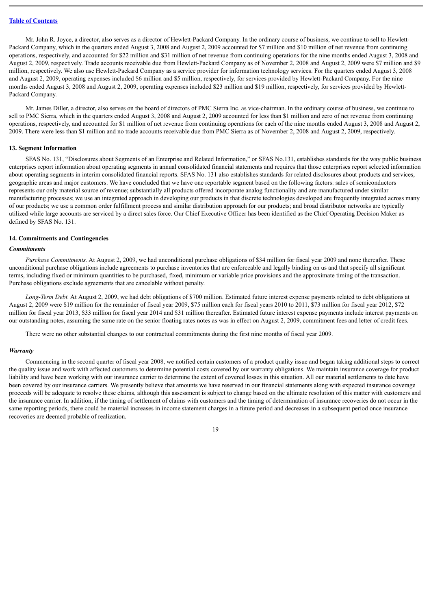Mr. John R. Joyce, a director, also serves as a director of Hewlett-Packard Company. In the ordinary course of business, we continue to sell to Hewlett-Packard Company, which in the quarters ended August 3, 2008 and August 2, 2009 accounted for \$7 million and \$10 million of net revenue from continuing operations, respectively, and accounted for \$22 million and \$31 million of net revenue from continuing operations for the nine months ended August 3, 2008 and August 2, 2009, respectively. Trade accounts receivable due from Hewlett-Packard Company as of November 2, 2008 and August 2, 2009 were \$7 million and \$9 million, respectively. We also use Hewlett-Packard Company as a service provider for information technology services. For the quarters ended August 3, 2008 and August 2, 2009, operating expenses included \$6 million and \$5 million, respectively, for services provided by Hewlett-Packard Company. For the nine months ended August 3, 2008 and August 2, 2009, operating expenses included \$23 million and \$19 million, respectively, for services provided by Hewlett-Packard Company.

Mr. James Diller, a director, also serves on the board of directors of PMC Sierra Inc. as vice-chairman. In the ordinary course of business, we continue to sell to PMC Sierra, which in the quarters ended August 3, 2008 and August 2, 2009 accounted for less than \$1 million and zero of net revenue from continuing operations, respectively, and accounted for \$1 million of net revenue from continuing operations for each of the nine months ended August 3, 2008 and August 2, 2009. There were less than \$1 million and no trade accounts receivable due from PMC Sierra as of November 2, 2008 and August 2, 2009, respectively.

#### **13. Segment Information**

SFAS No. 131, "Disclosures about Segments of an Enterprise and Related Information," or SFAS No.131, establishes standards for the way public business enterprises report information about operating segments in annual consolidated financial statements and requires that those enterprises report selected information about operating segments in interim consolidated financial reports. SFAS No. 131 also establishes standards for related disclosures about products and services, geographic areas and major customers. We have concluded that we have one reportable segment based on the following factors: sales of semiconductors represents our only material source of revenue; substantially all products offered incorporate analog functionality and are manufactured under similar manufacturing processes; we use an integrated approach in developing our products in that discrete technologies developed are frequently integrated across many of our products; we use a common order fulfillment process and similar distribution approach for our products; and broad distributor networks are typically utilized while large accounts are serviced by a direct sales force. Our Chief Executive Officer has been identified as the Chief Operating Decision Maker as defined by SFAS No. 131.

#### **14. Commitments and Contingencies**

#### *Commitments*

*Purchase Commitments.* At August 2, 2009, we had unconditional purchase obligations of \$34 million for fiscal year 2009 and none thereafter. These unconditional purchase obligations include agreements to purchase inventories that are enforceable and legally binding on us and that specify all significant terms, including fixed or minimum quantities to be purchased, fixed, minimum or variable price provisions and the approximate timing of the transaction. Purchase obligations exclude agreements that are cancelable without penalty.

*Long-Term Debt.* At August 2, 2009, we had debt obligations of \$700 million. Estimated future interest expense payments related to debt obligations at August 2, 2009 were \$19 million for the remainder of fiscal year 2009, \$75 million each for fiscal years 2010 to 2011, \$73 million for fiscal year 2012, \$72 million for fiscal year 2013, \$33 million for fiscal year 2014 and \$31 million thereafter. Estimated future interest expense payments include interest payments on our outstanding notes, assuming the same rate on the senior floating rates notes as was in effect on August 2, 2009, commitment fees and letter of credit fees.

There were no other substantial changes to our contractual commitments during the first nine months of fiscal year 2009.

#### *Warranty*

Commencing in the second quarter of fiscal year 2008, we notified certain customers of a product quality issue and began taking additional steps to correct the quality issue and work with affected customers to determine potential costs covered by our warranty obligations. We maintain insurance coverage for product liability and have been working with our insurance carrier to determine the extent of covered losses in this situation. All our material settlements to date have been covered by our insurance carriers. We presently believe that amounts we have reserved in our financial statements along with expected insurance coverage proceeds will be adequate to resolve these claims, although this assessment is subject to change based on the ultimate resolution of this matter with customers and the insurance carrier. In addition, if the timing of settlement of claims with customers and the timing of determination of insurance recoveries do not occur in the same reporting periods, there could be material increases in income statement charges in a future period and decreases in a subsequent period once insurance recoveries are deemed probable of realization.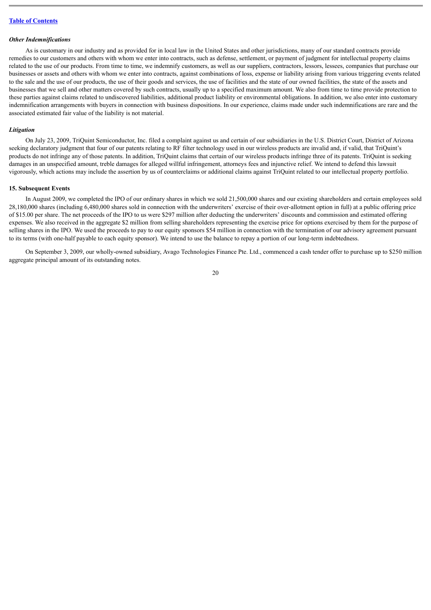#### *Other Indemnifications*

As is customary in our industry and as provided for in local law in the United States and other jurisdictions, many of our standard contracts provide remedies to our customers and others with whom we enter into contracts, such as defense, settlement, or payment of judgment for intellectual property claims related to the use of our products. From time to time, we indemnify customers, as well as our suppliers, contractors, lessors, lessees, companies that purchase our businesses or assets and others with whom we enter into contracts, against combinations of loss, expense or liability arising from various triggering events related to the sale and the use of our products, the use of their goods and services, the use of facilities and the state of our owned facilities, the state of the assets and businesses that we sell and other matters covered by such contracts, usually up to a specified maximum amount. We also from time to time provide protection to these parties against claims related to undiscovered liabilities, additional product liability or environmental obligations. In addition, we also enter into customary indemnification arrangements with buyers in connection with business dispositions. In our experience, claims made under such indemnifications are rare and the associated estimated fair value of the liability is not material.

#### *Litigation*

On July 23, 2009, TriQuint Semiconductor, Inc. filed a complaint against us and certain of our subsidiaries in the U.S. District Court, District of Arizona seeking declaratory judgment that four of our patents relating to RF filter technology used in our wireless products are invalid and, if valid, that TriQuint's products do not infringe any of those patents. In addition, TriQuint claims that certain of our wireless products infringe three of its patents. TriQuint is seeking damages in an unspecified amount, treble damages for alleged willful infringement, attorneys fees and injunctive relief. We intend to defend this lawsuit vigorously, which actions may include the assertion by us of counterclaims or additional claims against TriQuint related to our intellectual property portfolio.

#### **15. Subsequent Events**

In August 2009, we completed the IPO of our ordinary shares in which we sold 21,500,000 shares and our existing shareholders and certain employees sold 28,180,000 shares (including 6,480,000 shares sold in connection with the underwriters' exercise of their over-allotment option in full) at a public offering price of \$15.00 per share. The net proceeds of the IPO to us were \$297 million after deducting the underwriters' discounts and commission and estimated offering expenses. We also received in the aggregate \$2 million from selling shareholders representing the exercise price for options exercised by them for the purpose of selling shares in the IPO. We used the proceeds to pay to our equity sponsors \$54 million in connection with the termination of our advisory agreement pursuant to its terms (with one-half payable to each equity sponsor). We intend to use the balance to repay a portion of our long-term indebtedness.

On September 3, 2009, our wholly-owned subsidiary, Avago Technologies Finance Pte. Ltd., commenced a cash tender offer to purchase up to \$250 million aggregate principal amount of its outstanding notes.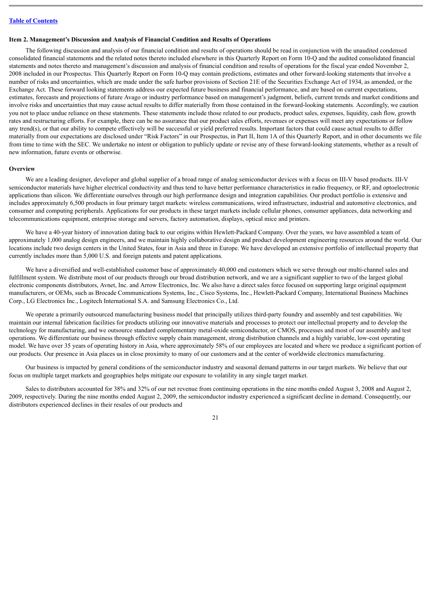#### <span id="page-20-0"></span>**Item 2. Management's Discussion and Analysis of Financial Condition and Results of Operations**

The following discussion and analysis of our financial condition and results of operations should be read in conjunction with the unaudited condensed consolidated financial statements and the related notes thereto included elsewhere in this Quarterly Report on Form 10-Q and the audited consolidated financial statements and notes thereto and management's discussion and analysis of financial condition and results of operations for the fiscal year ended November 2, 2008 included in our Prospectus. This Quarterly Report on Form 10-Q may contain predictions, estimates and other forward-looking statements that involve a number of risks and uncertainties, which are made under the safe harbor provisions of Section 21E of the Securities Exchange Act of 1934, as amended, or the Exchange Act. These forward looking statements address our expected future business and financial performance, and are based on current expectations, estimates, forecasts and projections of future Avago or industry performance based on management's judgment, beliefs, current trends and market conditions and involve risks and uncertainties that may cause actual results to differ materially from those contained in the forward-looking statements. Accordingly, we caution you not to place undue reliance on these statements. These statements include those related to our products, product sales, expenses, liquidity, cash flow, growth rates and restructuring efforts. For example, there can be no assurance that our product sales efforts, revenues or expenses will meet any expectations or follow any trend(s), or that our ability to compete effectively will be successful or yield preferred results. Important factors that could cause actual results to differ materially from our expectations are disclosed under "Risk Factors" in our Prospectus, in Part II, Item 1A of this Quarterly Report, and in other documents we file from time to time with the SEC. We undertake no intent or obligation to publicly update or revise any of these forward-looking statements, whether as a result of new information, future events or otherwise.

#### **Overview**

We are a leading designer, developer and global supplier of a broad range of analog semiconductor devices with a focus on III-V based products. III-V semiconductor materials have higher electrical conductivity and thus tend to have better performance characteristics in radio frequency, or RF, and optoelectronic applications than silicon. We differentiate ourselves through our high performance design and integration capabilities. Our product portfolio is extensive and includes approximately 6,500 products in four primary target markets: wireless communications, wired infrastructure, industrial and automotive electronics, and consumer and computing peripherals. Applications for our products in these target markets include cellular phones, consumer appliances, data networking and telecommunications equipment, enterprise storage and servers, factory automation, displays, optical mice and printers.

We have a 40-year history of innovation dating back to our origins within Hewlett-Packard Company. Over the years, we have assembled a team of approximately 1,000 analog design engineers, and we maintain highly collaborative design and product development engineering resources around the world. Our locations include two design centers in the United States, four in Asia and three in Europe. We have developed an extensive portfolio of intellectual property that currently includes more than 5,000 U.S. and foreign patents and patent applications.

We have a diversified and well-established customer base of approximately 40,000 end customers which we serve through our multi-channel sales and fulfillment system. We distribute most of our products through our broad distribution network, and we are a significant supplier to two of the largest global electronic components distributors, Avnet, Inc. and Arrow Electronics, Inc. We also have a direct sales force focused on supporting large original equipment manufacturers, or OEMs, such as Brocade Communications Systems, Inc., Cisco Systems, Inc., Hewlett-Packard Company, International Business Machines Corp., LG Electronics Inc., Logitech International S.A. and Samsung Electronics Co., Ltd.

We operate a primarily outsourced manufacturing business model that principally utilizes third-party foundry and assembly and test capabilities. We maintain our internal fabrication facilities for products utilizing our innovative materials and processes to protect our intellectual property and to develop the technology for manufacturing, and we outsource standard complementary metal-oxide semiconductor, or CMOS, processes and most of our assembly and test operations. We differentiate our business through effective supply chain management, strong distribution channels and a highly variable, low-cost operating model. We have over 35 years of operating history in Asia, where approximately 58% of our employees are located and where we produce a significant portion of our products. Our presence in Asia places us in close proximity to many of our customers and at the center of worldwide electronics manufacturing.

Our business is impacted by general conditions of the semiconductor industry and seasonal demand patterns in our target markets. We believe that our focus on multiple target markets and geographies helps mitigate our exposure to volatility in any single target market.

Sales to distributors accounted for 38% and 32% of our net revenue from continuing operations in the nine months ended August 3, 2008 and August 2, 2009, respectively. During the nine months ended August 2, 2009, the semiconductor industry experienced a significant decline in demand. Consequently, our distributors experienced declines in their resales of our products and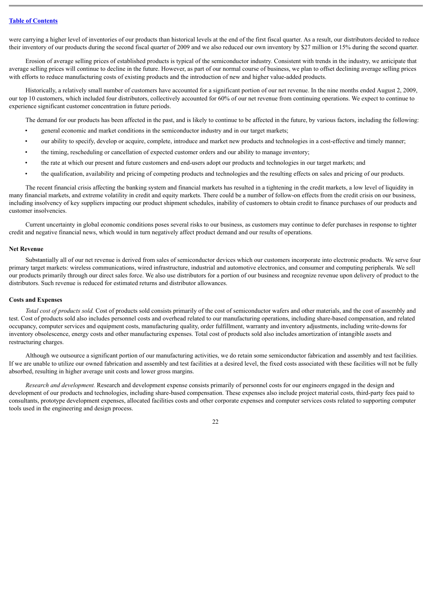were carrying a higher level of inventories of our products than historical levels at the end of the first fiscal quarter. As a result, our distributors decided to reduce their inventory of our products during the second fiscal quarter of 2009 and we also reduced our own inventory by \$27 million or 15% during the second quarter.

Erosion of average selling prices of established products is typical of the semiconductor industry. Consistent with trends in the industry, we anticipate that average selling prices will continue to decline in the future. However, as part of our normal course of business, we plan to offset declining average selling prices with efforts to reduce manufacturing costs of existing products and the introduction of new and higher value-added products.

Historically, a relatively small number of customers have accounted for a significant portion of our net revenue. In the nine months ended August 2, 2009, our top 10 customers, which included four distributors, collectively accounted for 60% of our net revenue from continuing operations. We expect to continue to experience significant customer concentration in future periods.

The demand for our products has been affected in the past, and is likely to continue to be affected in the future, by various factors, including the following:

- general economic and market conditions in the semiconductor industry and in our target markets;
- our ability to specify, develop or acquire, complete, introduce and market new products and technologies in a cost-effective and timely manner;
- the timing, rescheduling or cancellation of expected customer orders and our ability to manage inventory;
- the rate at which our present and future customers and end-users adopt our products and technologies in our target markets; and
- the qualification, availability and pricing of competing products and technologies and the resulting effects on sales and pricing of our products.

The recent financial crisis affecting the banking system and financial markets has resulted in a tightening in the credit markets, a low level of liquidity in many financial markets, and extreme volatility in credit and equity markets. There could be a number of follow-on effects from the credit crisis on our business, including insolvency of key suppliers impacting our product shipment schedules, inability of customers to obtain credit to finance purchases of our products and customer insolvencies.

Current uncertainty in global economic conditions poses several risks to our business, as customers may continue to defer purchases in response to tighter credit and negative financial news, which would in turn negatively affect product demand and our results of operations.

## **Net Revenue**

Substantially all of our net revenue is derived from sales of semiconductor devices which our customers incorporate into electronic products. We serve four primary target markets: wireless communications, wired infrastructure, industrial and automotive electronics, and consumer and computing peripherals. We sell our products primarily through our direct sales force. We also use distributors for a portion of our business and recognize revenue upon delivery of product to the distributors. Such revenue is reduced for estimated returns and distributor allowances.

#### **Costs and Expenses**

*Total cost of products sold.* Cost of products sold consists primarily of the cost of semiconductor wafers and other materials, and the cost of assembly and test. Cost of products sold also includes personnel costs and overhead related to our manufacturing operations, including share-based compensation, and related occupancy, computer services and equipment costs, manufacturing quality, order fulfillment, warranty and inventory adjustments, including write-downs for inventory obsolescence, energy costs and other manufacturing expenses. Total cost of products sold also includes amortization of intangible assets and restructuring charges.

Although we outsource a significant portion of our manufacturing activities, we do retain some semiconductor fabrication and assembly and test facilities. If we are unable to utilize our owned fabrication and assembly and test facilities at a desired level, the fixed costs associated with these facilities will not be fully absorbed, resulting in higher average unit costs and lower gross margins.

*Research and development.* Research and development expense consists primarily of personnel costs for our engineers engaged in the design and development of our products and technologies, including share-based compensation. These expenses also include project material costs, third-party fees paid to consultants, prototype development expenses, allocated facilities costs and other corporate expenses and computer services costs related to supporting computer tools used in the engineering and design process.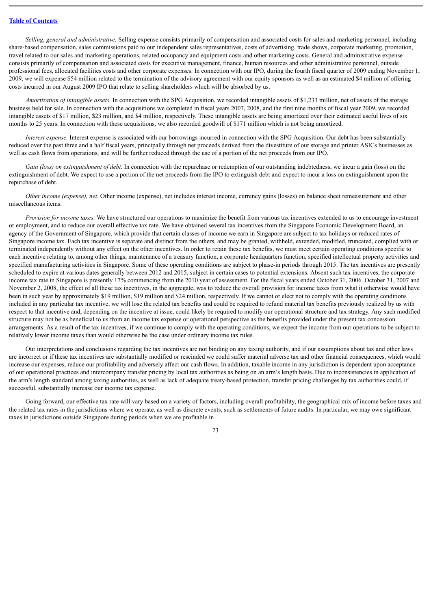*Selling*, *general and administrative.* Selling expense consists primarily of compensation and associated costs for sales and marketing personnel, including share-based compensation, sales commissions paid to our independent sales representatives, costs of advertising, trade shows, corporate marketing, promotion, travel related to our sales and marketing operations, related occupancy and equipment costs and other marketing costs. General and administrative expense consists primarily of compensation and associated costs for executive management, finance, human resources and other administrative personnel, outside professional fees, allocated facilities costs and other corporate expenses. In connection with our IPO, during the fourth fiscal quarter of 2009 ending November 1, 2009, we will expense \$54 million related to the termination of the advisory agreement with our equity sponsors as well as an estimated \$4 million of offering costs incurred in our August 2009 IPO that relate to selling shareholders which will be absorbed by us.

*Amortization of intangible assets.* In connection with the SPG Acquisition, we recorded intangible assets of \$1,233 million, net of assets of the storage business held for sale. In connection with the acquisitions we completed in fiscal years 2007, 2008, and the first nine months of fiscal year 2009, we recorded intangible assets of \$17 million, \$23 million, and \$4 million, respectively. These intangible assets are being amortized over their estimated useful lives of six months to 25 years. In connection with these acquisitions, we also recorded goodwill of \$171 million which is not being amortized.

*Interest expense.* Interest expense is associated with our borrowings incurred in connection with the SPG Acquisition. Our debt has been substantially reduced over the past three and a half fiscal years, principally through net proceeds derived from the divestiture of our storage and printer ASICs businesses as well as cash flows from operations, and will be further reduced through the use of a portion of the net proceeds from our IPO.

*Gain (loss) on extinguishment of debt.* In connection with the repurchase or redemption of our outstanding indebtedness, we incur a gain (loss) on the extinguishment of debt. We expect to use a portion of the net proceeds from the IPO to extinguish debt and expect to incur a loss on extinguishment upon the repurchase of debt.

*Other income (expense), net.* Other income (expense), net includes interest income, currency gains (losses) on balance sheet remeasurement and other miscellaneous items.

*Provision for income taxes.* We have structured our operations to maximize the benefit from various tax incentives extended to us to encourage investment or employment, and to reduce our overall effective tax rate. We have obtained several tax incentives from the Singapore Economic Development Board, an agency of the Government of Singapore, which provide that certain classes of income we earn in Singapore are subject to tax holidays or reduced rates of Singapore income tax. Each tax incentive is separate and distinct from the others, and may be granted, withheld, extended, modified, truncated, complied with or terminated independently without any effect on the other incentives. In order to retain these tax benefits, we must meet certain operating conditions specific to each incentive relating to, among other things, maintenance of a treasury function, a corporate headquarters function, specified intellectual property activities and specified manufacturing activities in Singapore. Some of these operating conditions are subject to phase-in periods through 2015. The tax incentives are presently scheduled to expire at various dates generally between 2012 and 2015, subject in certain cases to potential extensions. Absent such tax incentives, the corporate income tax rate in Singapore is presently 17% commencing from the 2010 year of assessment. For the fiscal years ended October 31, 2006. October 31, 2007 and November 2, 2008, the effect of all these tax incentives, in the aggregate, was to reduce the overall provision for income taxes from what it otherwise would have been in such year by approximately \$19 million, \$19 million and \$24 million, respectively. If we cannot or elect not to comply with the operating conditions included in any particular tax incentive, we will lose the related tax benefits and could be required to refund material tax benefits previously realized by us with respect to that incentive and, depending on the incentive at issue, could likely be required to modify our operational structure and tax strategy. Any such modified structure may not be as beneficial to us from an income tax expense or operational perspective as the benefits provided under the present tax concession arrangements. As a result of the tax incentives, if we continue to comply with the operating conditions, we expect the income from our operations to be subject to relatively lower income taxes than would otherwise be the case under ordinary income tax rules.

Our interpretations and conclusions regarding the tax incentives are not binding on any taxing authority, and if our assumptions about tax and other laws are incorrect or if these tax incentives are substantially modified or rescinded we could suffer material adverse tax and other financial consequences, which would increase our expenses, reduce our profitability and adversely affect our cash flows. In addition, taxable income in any jurisdiction is dependent upon acceptance of our operational practices and intercompany transfer pricing by local tax authorities as being on an arm's length basis. Due to inconsistencies in application of the arm's length standard among taxing authorities, as well as lack of adequate treaty-based protection, transfer pricing challenges by tax authorities could, if successful, substantially increase our income tax expense.

Going forward, our effective tax rate will vary based on a variety of factors, including overall profitability, the geographical mix of income before taxes and the related tax rates in the jurisdictions where we operate, as well as discrete events, such as settlements of future audits. In particular, we may owe significant taxes in jurisdictions outside Singapore during periods when we are profitable in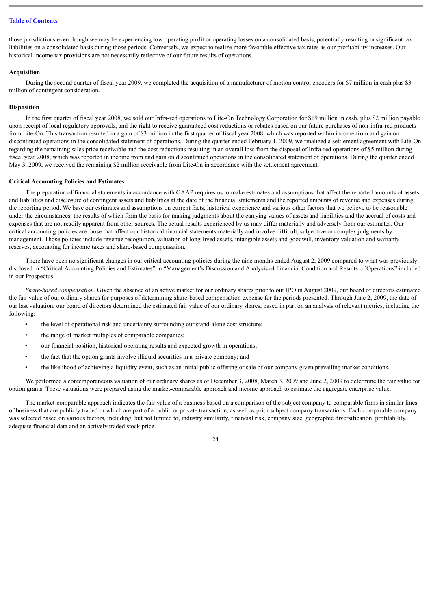those jurisdictions even though we may be experiencing low operating profit or operating losses on a consolidated basis, potentially resulting in significant tax liabilities on a consolidated basis during those periods. Conversely, we expect to realize more favorable effective tax rates as our profitability increases. Our historical income tax provisions are not necessarily reflective of our future results of operations.

#### **Acquisition**

During the second quarter of fiscal year 2009, we completed the acquisition of a manufacturer of motion control encoders for \$7 million in cash plus \$3 million of contingent consideration.

#### **Disposition**

In the first quarter of fiscal year 2008, we sold our Infra-red operations to Lite-On Technology Corporation for \$19 million in cash, plus \$2 million payable upon receipt of local regulatory approvals, and the right to receive guaranteed cost reductions or rebates based on our future purchases of non-infra-red products from Lite-On. This transaction resulted in a gain of \$3 million in the first quarter of fiscal year 2008, which was reported within income from and gain on discontinued operations in the consolidated statement of operations. During the quarter ended February 1, 2009, we finalized a settlement agreement with Lite-On regarding the remaining sales price receivable and the cost reductions resulting in an overall loss from the disposal of Infra-red operations of \$5 million during fiscal year 2008, which was reported in income from and gain on discontinued operations in the consolidated statement of operations. During the quarter ended May 3, 2009, we received the remaining \$2 million receivable from Lite-On in accordance with the settlement agreement.

#### **Critical Accounting Policies and Estimates**

The preparation of financial statements in accordance with GAAP requires us to make estimates and assumptions that affect the reported amounts of assets and liabilities and disclosure of contingent assets and liabilities at the date of the financial statements and the reported amounts of revenue and expenses during the reporting period. We base our estimates and assumptions on current facts, historical experience and various other factors that we believe to be reasonable under the circumstances, the results of which form the basis for making judgments about the carrying values of assets and liabilities and the accrual of costs and expenses that are not readily apparent from other sources. The actual results experienced by us may differ materially and adversely from our estimates. Our critical accounting policies are those that affect our historical financial statements materially and involve difficult, subjective or complex judgments by management. Those policies include revenue recognition, valuation of long-lived assets, intangible assets and goodwill, inventory valuation and warranty reserves, accounting for income taxes and share-based compensation.

There have been no significant changes in our critical accounting policies during the nine months ended August 2, 2009 compared to what was previously disclosed in "Critical Accounting Policies and Estimates" in "Management's Discussion and Analysis of Financial Condition and Results of Operations" included in our Prospectus.

*Share-based compensation.* Given the absence of an active market for our ordinary shares prior to our IPO in August 2009, our board of directors estimated the fair value of our ordinary shares for purposes of determining share-based compensation expense for the periods presented. Through June 2, 2009, the date of our last valuation, our board of directors determined the estimated fair value of our ordinary shares, based in part on an analysis of relevant metrics, including the following:

- the level of operational risk and uncertainty surrounding our stand-alone cost structure;
- the range of market multiples of comparable companies;
- our financial position, historical operating results and expected growth in operations;
- the fact that the option grants involve illiquid securities in a private company; and
- the likelihood of achieving a liquidity event, such as an initial public offering or sale of our company given prevailing market conditions.

We performed a contemporaneous valuation of our ordinary shares as of December 3, 2008, March 3, 2009 and June 2, 2009 to determine the fair value for option grants. These valuations were prepared using the market-comparable approach and income approach to estimate the aggregate enterprise value.

The market-comparable approach indicates the fair value of a business based on a comparison of the subject company to comparable firms in similar lines of business that are publicly traded or which are part of a public or private transaction, as well as prior subject company transactions. Each comparable company was selected based on various factors, including, but not limited to, industry similarity, financial risk, company size, geographic diversification, profitability, adequate financial data and an actively traded stock price.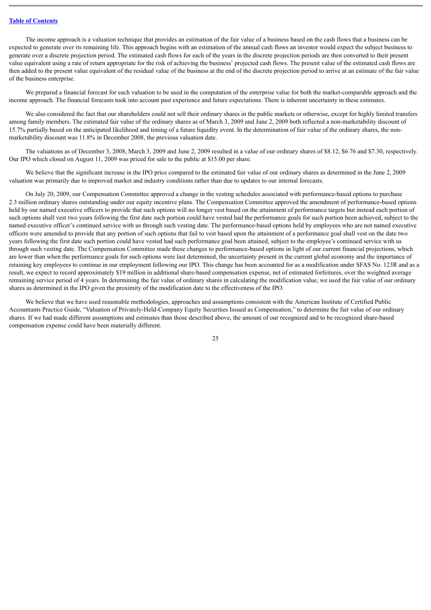The income approach is a valuation technique that provides an estimation of the fair value of a business based on the cash flows that a business can be expected to generate over its remaining life. This approach begins with an estimation of the annual cash flows an investor would expect the subject business to generate over a discrete projection period. The estimated cash flows for each of the years in the discrete projection periods are then converted to their present value equivalent using a rate of return appropriate for the risk of achieving the business' projected cash flows. The present value of the estimated cash flows are then added to the present value equivalent of the residual value of the business at the end of the discrete projection period to arrive at an estimate of the fair value of the business enterprise.

We prepared a financial forecast for each valuation to be used in the computation of the enterprise value for both the market-comparable approach and the income approach. The financial forecasts took into account past experience and future expectations. There is inherent uncertainty in these estimates.

We also considered the fact that our shareholders could not sell their ordinary shares in the public markets or otherwise, except for highly limited transfers among family members. The estimated fair value of the ordinary shares as of March 3, 2009 and June 2, 2009 both reflected a non-marketability discount of 15.7% partially based on the anticipated likelihood and timing of a future liquidity event. In the determination of fair value of the ordinary shares, the nonmarketability discount was 11.8% in December 2008, the previous valuation date.

The valuations as of December 3, 2008, March 3, 2009 and June 2, 2009 resulted in a value of our ordinary shares of \$8.12, \$6.76 and \$7.30, respectively. Our IPO which closed on August 11, 2009 was priced for sale to the public at \$15.00 per share.

We believe that the significant increase in the IPO price compared to the estimated fair value of our ordinary shares as determined in the June 2, 2009 valuation was primarily due to improved market and industry conditions rather than due to updates to our internal forecasts.

On July 20, 2009, our Compensation Committee approved a change in the vesting schedules associated with performance-based options to purchase 2.3 million ordinary shares outstanding under our equity incentive plans. The Compensation Committee approved the amendment of performance-based options held by our named executive officers to provide that such options will no longer vest based on the attainment of performance targets but instead each portion of such options shall vest two years following the first date such portion could have vested had the performance goals for such portion been achieved, subject to the named executive officer's continued service with us through such vesting date. The performance-based options held by employees who are not named executive officers were amended to provide that any portion of such options that fail to vest based upon the attainment of a performance goal shall vest on the date two years following the first date such portion could have vested had such performance goal been attained, subject to the employee's continued service with us through such vesting date. The Compensation Committee made these changes to performance-based options in light of our current financial projections, which are lower than when the performance goals for such options were last determined, the uncertainty present in the current global economy and the importance of retaining key employees to continue in our employment following our IPO. This change has been accounted for as a modification under SFAS No. 123R and as a result, we expect to record approximately \$19 million in additional share-based compensation expense, net of estimated forfeitures, over the weighted average remaining service period of 4 years. In determining the fair value of ordinary shares in calculating the modification value, we used the fair value of our ordinary shares as determined in the IPO given the proximity of the modification date to the effectiveness of the IPO.

We believe that we have used reasonable methodologies, approaches and assumptions consistent with the American Institute of Certified Public Accountants Practice Guide, "Valuation of Privately-Held-Company Equity Securities Issued as Compensation," to determine the fair value of our ordinary shares. If we had made different assumptions and estimates than those described above, the amount of our recognized and to be recognized share-based compensation expense could have been materially different.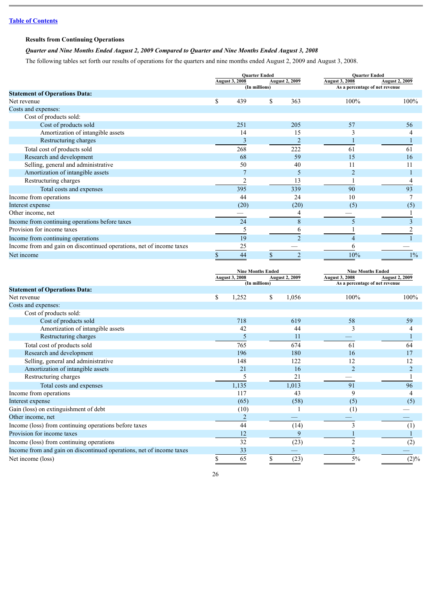# **Results from Continuing Operations**

*Quarter and Nine Months Ended August 2, 2009 Compared to Quarter and Nine Months Ended August 3, 2008*

The following tables set forth our results of operations for the quarters and nine months ended August 2, 2009 and August 3, 2008.

|                                                                      |                       | <b>Ouarter Ended</b> |                       | <b>Ouarter Ended</b>           |                       |
|----------------------------------------------------------------------|-----------------------|----------------------|-----------------------|--------------------------------|-----------------------|
|                                                                      | <b>August 3, 2008</b> | (In millions)        | <b>August 2, 2009</b> | <b>August 3, 2008</b>          | <b>August 2, 2009</b> |
| <b>Statement of Operations Data:</b>                                 |                       |                      |                       | As a percentage of net revenue |                       |
| Net revenue                                                          | \$<br>439             | \$                   | 363                   | 100%                           | $100\%$               |
| Costs and expenses:                                                  |                       |                      |                       |                                |                       |
| Cost of products sold:                                               |                       |                      |                       |                                |                       |
| Cost of products sold                                                | 251                   |                      | 205                   | 57                             | 56                    |
| Amortization of intangible assets                                    | 14                    |                      | 15                    | 3                              |                       |
| Restructuring charges                                                |                       |                      |                       |                                |                       |
| Total cost of products sold                                          | 268                   |                      | 222                   | 61                             | 61                    |
| Research and development                                             | 68                    |                      | 59                    | 15                             | 16                    |
| Selling, general and administrative                                  | 50                    |                      | 40                    | 11                             |                       |
| Amortization of intangible assets                                    |                       |                      | 5                     | $\mathfrak{I}$                 |                       |
| Restructuring charges                                                |                       |                      | 13                    |                                |                       |
| Total costs and expenses                                             | 395                   |                      | 339                   | 90                             | 93                    |
| Income from operations                                               | 44                    |                      | 24                    | 10                             |                       |
| Interest expense                                                     | (20)                  |                      | (20)                  | (5)                            | (5)                   |
| Other income, net                                                    |                       |                      |                       |                                |                       |
| Income from continuing operations before taxes                       | 24                    |                      | 8                     | 5                              | 3                     |
| Provision for income taxes                                           | 5                     |                      | 6                     |                                |                       |
| Income from continuing operations                                    | 19                    |                      | $\mathfrak{D}$        | $\overline{4}$                 |                       |
| Income from and gain on discontinued operations, net of income taxes | 25                    |                      |                       |                                |                       |
| Net income                                                           | \$<br>44              |                      | $\overline{2}$        | 10%                            | $1\%$                 |

|                                                                      |                       | <b>Nine Months Ended</b> |                                | <b>Nine Months Ended</b> |                       |  |
|----------------------------------------------------------------------|-----------------------|--------------------------|--------------------------------|--------------------------|-----------------------|--|
|                                                                      | <b>August 3, 2008</b> |                          | <b>August 2, 2009</b>          | <b>August 3, 2008</b>    | <b>August 2, 2009</b> |  |
|                                                                      | (In millions)         |                          | As a percentage of net revenue |                          |                       |  |
| <b>Statement of Operations Data:</b>                                 |                       |                          |                                |                          |                       |  |
| Net revenue                                                          | \$<br>1,252           | \$                       | 1,056                          | 100%                     | 100%                  |  |
| Costs and expenses:                                                  |                       |                          |                                |                          |                       |  |
| Cost of products sold:                                               |                       |                          |                                |                          |                       |  |
| Cost of products sold                                                | 718                   |                          | 619                            | 58                       | 59                    |  |
| Amortization of intangible assets                                    | 42                    |                          | 44                             | 3                        |                       |  |
| Restructuring charges                                                | 5                     |                          | 11                             |                          |                       |  |
| Total cost of products sold                                          | 765                   |                          | 674                            | 61                       | 64                    |  |
| Research and development                                             | 196                   |                          | 180                            | 16                       | 17                    |  |
| Selling, general and administrative                                  | 148                   |                          | 122                            | 12                       | 12                    |  |
| Amortization of intangible assets                                    | 21                    |                          | 16                             | 2                        | 2                     |  |
| Restructuring charges                                                |                       |                          | 21                             |                          |                       |  |
| Total costs and expenses                                             | 1,135                 |                          | 1,013                          | 91                       | 96                    |  |
| Income from operations                                               | 117                   |                          | 43                             | 9                        | 4                     |  |
| Interest expense                                                     | (65)                  |                          | (58)                           | (5)                      | (5)                   |  |
| Gain (loss) on extinguishment of debt                                | (10)                  |                          |                                | (1)                      |                       |  |
| Other income, net                                                    |                       |                          |                                |                          |                       |  |
| Income (loss) from continuing operations before taxes                | 44                    |                          | (14)                           |                          | (1)                   |  |
| Provision for income taxes                                           | 12                    |                          | 9                              |                          |                       |  |
| Income (loss) from continuing operations                             | 32                    |                          | (23)                           | 2                        | (2)                   |  |
| Income from and gain on discontinued operations, net of income taxes | 33                    |                          |                                | 3                        |                       |  |
| Net income (loss)                                                    | \$<br>65              | \$                       | (23)                           | $5\%$                    | (2)%                  |  |

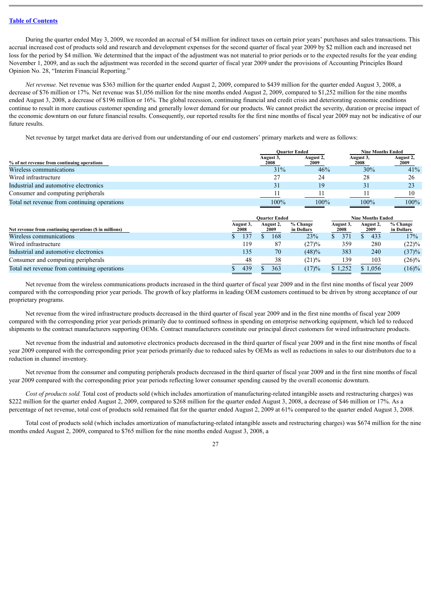During the quarter ended May 3, 2009, we recorded an accrual of \$4 million for indirect taxes on certain prior years' purchases and sales transactions. This accrual increased cost of products sold and research and development expenses for the second quarter of fiscal year 2009 by \$2 million each and increased net loss for the period by \$4 million. We determined that the impact of the adjustment was not material to prior periods or to the expected results for the year ending November 1, 2009, and as such the adjustment was recorded in the second quarter of fiscal year 2009 under the provisions of Accounting Principles Board Opinion No. 28, "Interim Financial Reporting."

*Net revenue.* Net revenue was \$363 million for the quarter ended August 2, 2009, compared to \$439 million for the quarter ended August 3, 2008, a decrease of \$76 million or 17%. Net revenue was \$1,056 million for the nine months ended August 2, 2009, compared to \$1,252 million for the nine months ended August 3, 2008, a decrease of \$196 million or 16%. The global recession, continuing financial and credit crisis and deteriorating economic conditions continue to result in more cautious customer spending and generally lower demand for our products. We cannot predict the severity, duration or precise impact of the economic downturn on our future financial results. Consequently, our reported results for the first nine months of fiscal year 2009 may not be indicative of our future results.

Net revenue by target market data are derived from our understanding of our end customers' primary markets and were as follows:

|                                              | <b>Ouarter Ended</b> |                   | <b>Nine Months Ended</b> |                   |  |  |
|----------------------------------------------|----------------------|-------------------|--------------------------|-------------------|--|--|
| % of net revenue from continuing operations  | August 3,<br>2008    | August 2,<br>2009 | August 3,<br>2008        | August 2,<br>2009 |  |  |
| Wireless communications                      | 31%                  | 46%               | 30%                      | 41%               |  |  |
| Wired infrastructure                         | 27                   | 24                | 28                       | 26                |  |  |
| Industrial and automotive electronics        | 31                   | 19                | $\mathbf{1}$             |                   |  |  |
| Consumer and computing peripherals           |                      |                   |                          |                   |  |  |
| Total net revenue from continuing operations | 100%                 | 100%              | 100%                     | 100%              |  |  |

|                                                         | <b>Ouarter Ended</b> |                   |  |                   | <b>Nine Months Ended</b> |  |                   |  |                   |                        |
|---------------------------------------------------------|----------------------|-------------------|--|-------------------|--------------------------|--|-------------------|--|-------------------|------------------------|
| Net revenue from continuing operations (\$ in millions) |                      | August 3,<br>2008 |  | August 2,<br>2009 | % Change<br>in Dollars   |  | August 3,<br>2008 |  | August 2,<br>2009 | % Change<br>in Dollars |
| Wireless communications                                 |                      | 137               |  | 168               | 23%                      |  |                   |  | 433               | 17%                    |
| Wired infrastructure                                    |                      | 119               |  | 87                | (27)%                    |  | 359               |  | 280               | $(22)\%$               |
| Industrial and automotive electronics                   |                      | 135               |  | 70                | (48)%                    |  | 383               |  | 240               | (37)%                  |
| Consumer and computing peripherals                      |                      | 48                |  | 38                | (21)%                    |  | 139               |  | 103               | $(26)\%$               |
| Total net revenue from continuing operations            |                      | 439               |  | 363               | (17)%                    |  | \$1.252           |  | \$1,056           | $(16)\%$               |

Net revenue from the wireless communications products increased in the third quarter of fiscal year 2009 and in the first nine months of fiscal year 2009 compared with the corresponding prior year periods. The growth of key platforms in leading OEM customers continued to be driven by strong acceptance of our proprietary programs.

Net revenue from the wired infrastructure products decreased in the third quarter of fiscal year 2009 and in the first nine months of fiscal year 2009 compared with the corresponding prior year periods primarily due to continued softness in spending on enterprise networking equipment, which led to reduced shipments to the contract manufacturers supporting OEMs. Contract manufacturers constitute our principal direct customers for wired infrastructure products.

Net revenue from the industrial and automotive electronics products decreased in the third quarter of fiscal year 2009 and in the first nine months of fiscal year 2009 compared with the corresponding prior year periods primarily due to reduced sales by OEMs as well as reductions in sales to our distributors due to a reduction in channel inventory.

Net revenue from the consumer and computing peripherals products decreased in the third quarter of fiscal year 2009 and in the first nine months of fiscal year 2009 compared with the corresponding prior year periods reflecting lower consumer spending caused by the overall economic downturn.

*Cost of products sold.* Total cost of products sold (which includes amortization of manufacturing-related intangible assets and restructuring charges) was \$222 million for the quarter ended August 2, 2009, compared to \$268 million for the quarter ended August 3, 2008, a decrease of \$46 million or 17%. As a percentage of net revenue, total cost of products sold remained flat for the quarter ended August 2, 2009 at 61% compared to the quarter ended August 3, 2008.

Total cost of products sold (which includes amortization of manufacturing-related intangible assets and restructuring charges) was \$674 million for the nine months ended August 2, 2009, compared to \$765 million for the nine months ended August 3, 2008, a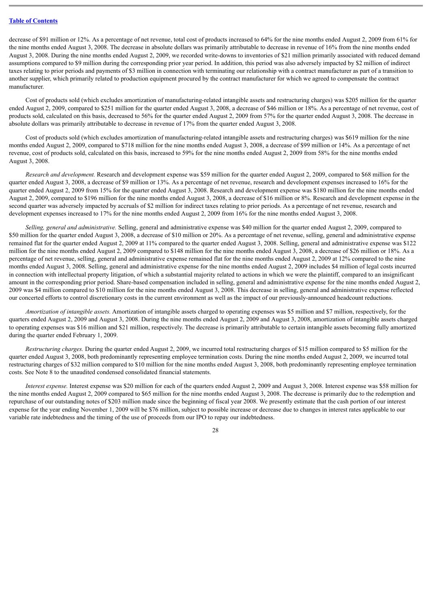decrease of \$91 million or 12%. As a percentage of net revenue, total cost of products increased to 64% for the nine months ended August 2, 2009 from 61% for the nine months ended August 3, 2008. The decrease in absolute dollars was primarily attributable to decrease in revenue of 16% from the nine months ended August 3, 2008. During the nine months ended August 2, 2009, we recorded write-downs to inventories of \$21 million primarily associated with reduced demand assumptions compared to \$9 million during the corresponding prior year period. In addition, this period was also adversely impacted by \$2 million of indirect taxes relating to prior periods and payments of \$3 million in connection with terminating our relationship with a contract manufacturer as part of a transition to another supplier, which primarily related to production equipment procured by the contract manufacturer for which we agreed to compensate the contract manufacturer.

Cost of products sold (which excludes amortization of manufacturing-related intangible assets and restructuring charges) was \$205 million for the quarter ended August 2, 2009, compared to \$251 million for the quarter ended August 3, 2008, a decrease of \$46 million or 18%. As a percentage of net revenue, cost of products sold, calculated on this basis, decreased to 56% for the quarter ended August 2, 2009 from 57% for the quarter ended August 3, 2008. The decrease in absolute dollars was primarily attributable to decrease in revenue of 17% from the quarter ended August 3, 2008.

Cost of products sold (which excludes amortization of manufacturing-related intangible assets and restructuring charges) was \$619 million for the nine months ended August 2, 2009, compared to \$718 million for the nine months ended August 3, 2008, a decrease of \$99 million or 14%. As a percentage of net revenue, cost of products sold, calculated on this basis, increased to 59% for the nine months ended August 2, 2009 from 58% for the nine months ended August 3, 2008.

*Research and development.* Research and development expense was \$59 million for the quarter ended August 2, 2009, compared to \$68 million for the quarter ended August 3, 2008, a decrease of \$9 million or 13%. As a percentage of net revenue, research and development expenses increased to 16% for the quarter ended August 2, 2009 from 15% for the quarter ended August 3, 2008. Research and development expense was \$180 million for the nine months ended August 2, 2009, compared to \$196 million for the nine months ended August 3, 2008, a decrease of \$16 million or 8%. Research and development expense in the second quarter was adversely impacted by accruals of \$2 million for indirect taxes relating to prior periods. As a percentage of net revenue, research and development expenses increased to 17% for the nine months ended August 2, 2009 from 16% for the nine months ended August 3, 2008.

*Selling, general and administrative.* Selling, general and administrative expense was \$40 million for the quarter ended August 2, 2009, compared to \$50 million for the quarter ended August 3, 2008, a decrease of \$10 million or 20%. As a percentage of net revenue, selling, general and administrative expense remained flat for the quarter ended August 2, 2009 at 11% compared to the quarter ended August 3, 2008. Selling, general and administrative expense was \$122 million for the nine months ended August 2, 2009 compared to \$148 million for the nine months ended August 3, 2008, a decrease of \$26 million or 18%. As a percentage of net revenue, selling, general and administrative expense remained flat for the nine months ended August 2, 2009 at 12% compared to the nine months ended August 3, 2008. Selling, general and administrative expense for the nine months ended August 2, 2009 includes \$4 million of legal costs incurred in connection with intellectual property litigation, of which a substantial majority related to actions in which we were the plaintiff, compared to an insignificant amount in the corresponding prior period. Share-based compensation included in selling, general and administrative expense for the nine months ended August 2, 2009 was \$4 million compared to \$10 million for the nine months ended August 3, 2008. This decrease in selling, general and administrative expense reflected our concerted efforts to control discretionary costs in the current environment as well as the impact of our previously-announced headcount reductions.

*Amortization of intangible assets.* Amortization of intangible assets charged to operating expenses was \$5 million and \$7 million, respectively, for the quarters ended August 2, 2009 and August 3, 2008. During the nine months ended August 2, 2009 and August 3, 2008, amortization of intangible assets charged to operating expenses was \$16 million and \$21 million, respectively. The decrease is primarily attributable to certain intangible assets becoming fully amortized during the quarter ended February 1, 2009.

*Restructuring charges.* During the quarter ended August 2, 2009, we incurred total restructuring charges of \$15 million compared to \$5 million for the quarter ended August 3, 2008, both predominantly representing employee termination costs. During the nine months ended August 2, 2009, we incurred total restructuring charges of \$32 million compared to \$10 million for the nine months ended August 3, 2008, both predominantly representing employee termination costs. See Note 8 to the unaudited condensed consolidated financial statements.

*Interest expense.* Interest expense was \$20 million for each of the quarters ended August 2, 2009 and August 3, 2008. Interest expense was \$58 million for the nine months ended August 2, 2009 compared to \$65 million for the nine months ended August 3, 2008. The decrease is primarily due to the redemption and repurchase of our outstanding notes of \$203 million made since the beginning of fiscal year 2008. We presently estimate that the cash portion of our interest expense for the year ending November 1, 2009 will be \$76 million, subject to possible increase or decrease due to changes in interest rates applicable to our variable rate indebtedness and the timing of the use of proceeds from our IPO to repay our indebtedness.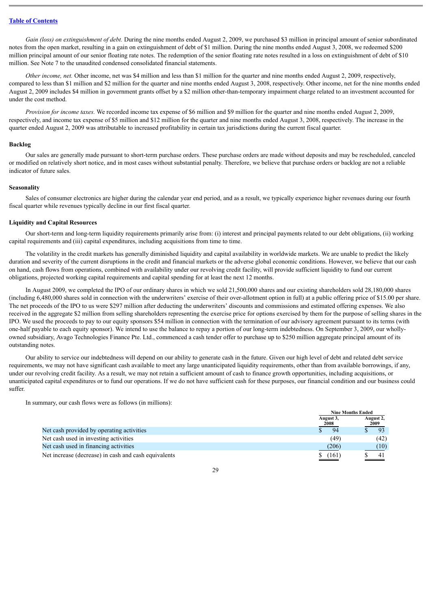*Gain (loss) on extinguishment of debt.* During the nine months ended August 2, 2009, we purchased \$3 million in principal amount of senior subordinated notes from the open market, resulting in a gain on extinguishment of debt of \$1 million. During the nine months ended August 3, 2008, we redeemed \$200 million principal amount of our senior floating rate notes. The redemption of the senior floating rate notes resulted in a loss on extinguishment of debt of \$10 million. See Note 7 to the unaudited condensed consolidated financial statements.

*Other income, net.* Other income, net was \$4 million and less than \$1 million for the quarter and nine months ended August 2, 2009, respectively, compared to less than \$1 million and \$2 million for the quarter and nine months ended August 3, 2008, respectively. Other income, net for the nine months ended August 2, 2009 includes \$4 million in government grants offset by a \$2 million other-than-temporary impairment charge related to an investment accounted for under the cost method.

*Provision for income taxes.* We recorded income tax expense of \$6 million and \$9 million for the quarter and nine months ended August 2, 2009, respectively, and income tax expense of \$5 million and \$12 million for the quarter and nine months ended August 3, 2008, respectively. The increase in the quarter ended August 2, 2009 was attributable to increased profitability in certain tax jurisdictions during the current fiscal quarter.

#### **Backlog**

Our sales are generally made pursuant to short-term purchase orders. These purchase orders are made without deposits and may be rescheduled, canceled or modified on relatively short notice, and in most cases without substantial penalty. Therefore, we believe that purchase orders or backlog are not a reliable indicator of future sales.

## **Seasonality**

Sales of consumer electronics are higher during the calendar year end period, and as a result, we typically experience higher revenues during our fourth fiscal quarter while revenues typically decline in our first fiscal quarter.

#### **Liquidity and Capital Resources**

Our short-term and long-term liquidity requirements primarily arise from: (i) interest and principal payments related to our debt obligations, (ii) working capital requirements and (iii) capital expenditures, including acquisitions from time to time.

The volatility in the credit markets has generally diminished liquidity and capital availability in worldwide markets. We are unable to predict the likely duration and severity of the current disruptions in the credit and financial markets or the adverse global economic conditions. However, we believe that our cash on hand, cash flows from operations, combined with availability under our revolving credit facility, will provide sufficient liquidity to fund our current obligations, projected working capital requirements and capital spending for at least the next 12 months.

In August 2009, we completed the IPO of our ordinary shares in which we sold 21,500,000 shares and our existing shareholders sold 28,180,000 shares (including 6,480,000 shares sold in connection with the underwriters' exercise of their over-allotment option in full) at a public offering price of \$15.00 per share. The net proceeds of the IPO to us were \$297 million after deducting the underwriters' discounts and commissions and estimated offering expenses. We also received in the aggregate \$2 million from selling shareholders representing the exercise price for options exercised by them for the purpose of selling shares in the IPO. We used the proceeds to pay to our equity sponsors \$54 million in connection with the termination of our advisory agreement pursuant to its terms (with one-half payable to each equity sponsor). We intend to use the balance to repay a portion of our long-term indebtedness. On September 3, 2009, our whollyowned subsidiary, Avago Technologies Finance Pte. Ltd., commenced a cash tender offer to purchase up to \$250 million aggregate principal amount of its outstanding notes.

Our ability to service our indebtedness will depend on our ability to generate cash in the future. Given our high level of debt and related debt service requirements, we may not have significant cash available to meet any large unanticipated liquidity requirements, other than from available borrowings, if any, under our revolving credit facility. As a result, we may not retain a sufficient amount of cash to finance growth opportunities, including acquisitions, or unanticipated capital expenditures or to fund our operations. If we do not have sufficient cash for these purposes, our financial condition and our business could suffer.

In summary, our cash flows were as follows (in millions):

|                                                      | <b>Nine Months Ended</b> |                   |  |
|------------------------------------------------------|--------------------------|-------------------|--|
|                                                      | August 3,<br>2008        | August 2,<br>2009 |  |
| Net cash provided by operating activities            | 94                       |                   |  |
| Net cash used in investing activities                | (49)                     | (42)              |  |
| Net cash used in financing activities                | (206)                    | (10)              |  |
| Net increase (decrease) in cash and cash equivalents | (161                     | $\mathbf 4$       |  |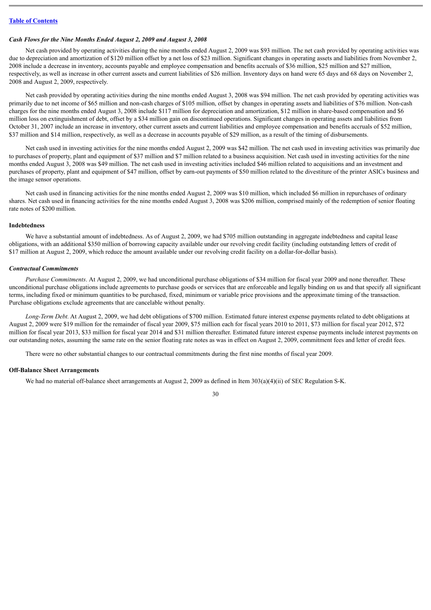#### *Cash Flows for the Nine Months Ended August 2, 2009 and August 3, 2008*

Net cash provided by operating activities during the nine months ended August 2, 2009 was \$93 million. The net cash provided by operating activities was due to depreciation and amortization of \$120 million offset by a net loss of \$23 million. Significant changes in operating assets and liabilities from November 2, 2008 include a decrease in inventory, accounts payable and employee compensation and benefits accruals of \$36 million, \$25 million and \$27 million, respectively, as well as increase in other current assets and current liabilities of \$26 million. Inventory days on hand were 65 days and 68 days on November 2, 2008 and August 2, 2009, respectively.

Net cash provided by operating activities during the nine months ended August 3, 2008 was \$94 million. The net cash provided by operating activities was primarily due to net income of \$65 million and non-cash charges of \$105 million, offset by changes in operating assets and liabilities of \$76 million. Non-cash charges for the nine months ended August 3, 2008 include \$117 million for depreciation and amortization, \$12 million in share-based compensation and \$6 million loss on extinguishment of debt, offset by a \$34 million gain on discontinued operations. Significant changes in operating assets and liabilities from October 31, 2007 include an increase in inventory, other current assets and current liabilities and employee compensation and benefits accruals of \$52 million, \$37 million and \$14 million, respectively, as well as a decrease in accounts payable of \$29 million, as a result of the timing of disbursements.

Net cash used in investing activities for the nine months ended August 2, 2009 was \$42 million. The net cash used in investing activities was primarily due to purchases of property, plant and equipment of \$37 million and \$7 million related to a business acquisition. Net cash used in investing activities for the nine months ended August 3, 2008 was \$49 million. The net cash used in investing activities included \$46 million related to acquisitions and an investment and purchases of property, plant and equipment of \$47 million, offset by earn-out payments of \$50 million related to the divestiture of the printer ASICs business and the image sensor operations.

Net cash used in financing activities for the nine months ended August 2, 2009 was \$10 million, which included \$6 million in repurchases of ordinary shares. Net cash used in financing activities for the nine months ended August 3, 2008 was \$206 million, comprised mainly of the redemption of senior floating rate notes of \$200 million.

#### **Indebtedness**

We have a substantial amount of indebtedness. As of August 2, 2009, we had \$705 million outstanding in aggregate indebtedness and capital lease obligations, with an additional \$350 million of borrowing capacity available under our revolving credit facility (including outstanding letters of credit of \$17 million at August 2, 2009, which reduce the amount available under our revolving credit facility on a dollar-for-dollar basis).

# *Contractual Commitments*

*Purchase Commitments*. At August 2, 2009, we had unconditional purchase obligations of \$34 million for fiscal year 2009 and none thereafter. These unconditional purchase obligations include agreements to purchase goods or services that are enforceable and legally binding on us and that specify all significant terms, including fixed or minimum quantities to be purchased, fixed, minimum or variable price provisions and the approximate timing of the transaction. Purchase obligations exclude agreements that are cancelable without penalty.

*Long-Term Debt.* At August 2, 2009, we had debt obligations of \$700 million. Estimated future interest expense payments related to debt obligations at August 2, 2009 were \$19 million for the remainder of fiscal year 2009, \$75 million each for fiscal years 2010 to 2011, \$73 million for fiscal year 2012, \$72 million for fiscal year 2013, \$33 million for fiscal year 2014 and \$31 million thereafter. Estimated future interest expense payments include interest payments on our outstanding notes, assuming the same rate on the senior floating rate notes as was in effect on August 2, 2009, commitment fees and letter of credit fees.

There were no other substantial changes to our contractual commitments during the first nine months of fiscal year 2009.

# **Off-Balance Sheet Arrangements**

We had no material off-balance sheet arrangements at August 2, 2009 as defined in Item 303(a)(4)(ii) of SEC Regulation S-K.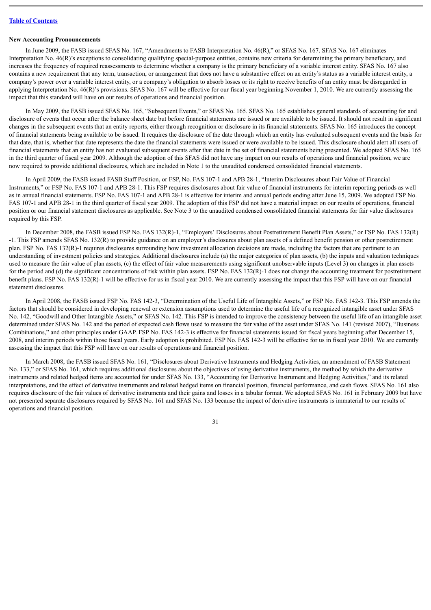#### **New Accounting Pronouncements**

In June 2009, the FASB issued SFAS No. 167, "Amendments to FASB Interpretation No. 46(R)," or SFAS No. 167. SFAS No. 167 eliminates Interpretation No. 46(R)'s exceptions to consolidating qualifying special-purpose entities, contains new criteria for determining the primary beneficiary, and increases the frequency of required reassessments to determine whether a company is the primary beneficiary of a variable interest entity. SFAS No. 167 also contains a new requirement that any term, transaction, or arrangement that does not have a substantive effect on an entity's status as a variable interest entity, a company's power over a variable interest entity, or a company's obligation to absorb losses or its right to receive benefits of an entity must be disregarded in applying Interpretation No. 46(R)'s provisions. SFAS No. 167 will be effective for our fiscal year beginning November 1, 2010. We are currently assessing the impact that this standard will have on our results of operations and financial position.

In May 2009, the FASB issued SFAS No. 165, "Subsequent Events," or SFAS No. 165. SFAS No. 165 establishes general standards of accounting for and disclosure of events that occur after the balance sheet date but before financial statements are issued or are available to be issued. It should not result in significant changes in the subsequent events that an entity reports, either through recognition or disclosure in its financial statements. SFAS No. 165 introduces the concept of financial statements being available to be issued. It requires the disclosure of the date through which an entity has evaluated subsequent events and the basis for that date, that is, whether that date represents the date the financial statements were issued or were available to be issued. This disclosure should alert all users of financial statements that an entity has not evaluated subsequent events after that date in the set of financial statements being presented. We adopted SFAS No. 165 in the third quarter of fiscal year 2009. Although the adoption of this SFAS did not have any impact on our results of operations and financial position, we are now required to provide additional disclosures, which are included in Note 1 to the unaudited condensed consolidated financial statements.

In April 2009, the FASB issued FASB Staff Position, or FSP, No. FAS 107-1 and APB 28-1, "Interim Disclosures about Fair Value of Financial Instruments," or FSP No. FAS 107-1 and APB 28-1. This FSP requires disclosures about fair value of financial instruments for interim reporting periods as well as in annual financial statements. FSP No. FAS 107-1 and APB 28-1 is effective for interim and annual periods ending after June 15, 2009. We adopted FSP No. FAS 107-1 and APB 28-1 in the third quarter of fiscal year 2009. The adoption of this FSP did not have a material impact on our results of operations, financial position or our financial statement disclosures as applicable. See Note 3 to the unaudited condensed consolidated financial statements for fair value disclosures required by this FSP.

In December 2008, the FASB issued FSP No. FAS 132(R)-1, "Employers' Disclosures about Postretirement Benefit Plan Assets," or FSP No. FAS 132(R) -1. This FSP amends SFAS No. 132(R) to provide guidance on an employer's disclosures about plan assets of a defined benefit pension or other postretirement plan. FSP No. FAS 132(R)-1 requires disclosures surrounding how investment allocation decisions are made, including the factors that are pertinent to an understanding of investment policies and strategies. Additional disclosures include (a) the major categories of plan assets, (b) the inputs and valuation techniques used to measure the fair value of plan assets, (c) the effect of fair value measurements using significant unobservable inputs (Level 3) on changes in plan assets for the period and (d) the significant concentrations of risk within plan assets. FSP No. FAS 132(R)-1 does not change the accounting treatment for postretirement benefit plans. FSP No. FAS 132(R)-1 will be effective for us in fiscal year 2010. We are currently assessing the impact that this FSP will have on our financial statement disclosures.

In April 2008, the FASB issued FSP No. FAS 142-3, "Determination of the Useful Life of Intangible Assets," or FSP No. FAS 142-3. This FSP amends the factors that should be considered in developing renewal or extension assumptions used to determine the useful life of a recognized intangible asset under SFAS No. 142, "Goodwill and Other Intangible Assets," or SFAS No. 142. This FSP is intended to improve the consistency between the useful life of an intangible asset determined under SFAS No. 142 and the period of expected cash flows used to measure the fair value of the asset under SFAS No. 141 (revised 2007), "Business Combinations," and other principles under GAAP. FSP No. FAS 142-3 is effective for financial statements issued for fiscal years beginning after December 15, 2008, and interim periods within those fiscal years. Early adoption is prohibited. FSP No. FAS 142-3 will be effective for us in fiscal year 2010. We are currently assessing the impact that this FSP will have on our results of operations and financial position.

In March 2008, the FASB issued SFAS No. 161, "Disclosures about Derivative Instruments and Hedging Activities, an amendment of FASB Statement No. 133," or SFAS No. 161, which requires additional disclosures about the objectives of using derivative instruments, the method by which the derivative instruments and related hedged items are accounted for under SFAS No. 133, "Accounting for Derivative Instrument and Hedging Activities," and its related interpretations, and the effect of derivative instruments and related hedged items on financial position, financial performance, and cash flows. SFAS No. 161 also requires disclosure of the fair values of derivative instruments and their gains and losses in a tabular format. We adopted SFAS No. 161 in February 2009 but have not presented separate disclosures required by SFAS No. 161 and SFAS No. 133 because the impact of derivative instruments is immaterial to our results of operations and financial position.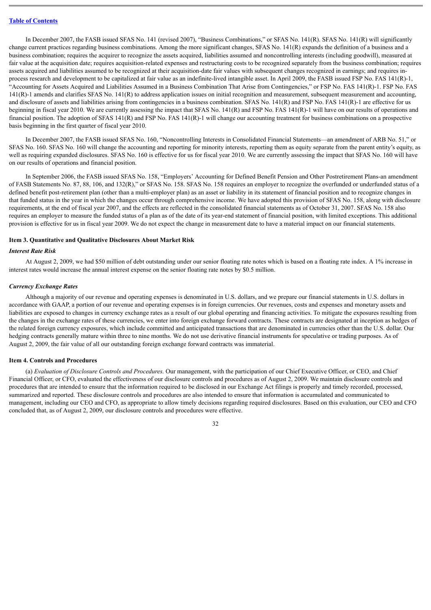In December 2007, the FASB issued SFAS No. 141 (revised 2007), "Business Combinations," or SFAS No. 141(R). SFAS No. 141(R) will significantly change current practices regarding business combinations. Among the more significant changes, SFAS No. 141(R) expands the definition of a business and a business combination; requires the acquirer to recognize the assets acquired, liabilities assumed and noncontrolling interests (including goodwill), measured at fair value at the acquisition date; requires acquisition-related expenses and restructuring costs to be recognized separately from the business combination; requires assets acquired and liabilities assumed to be recognized at their acquisition-date fair values with subsequent changes recognized in earnings; and requires inprocess research and development to be capitalized at fair value as an indefinite-lived intangible asset. In April 2009, the FASB issued FSP No. FAS 141(R)-1, "Accounting for Assets Acquired and Liabilities Assumed in a Business Combination That Arise from Contingencies," or FSP No. FAS 141(R)-1. FSP No. FAS  $141(R)$ -1 amends and clarifies SFAS No.  $141(R)$  to address application issues on initial recognition and measurement, subsequent measurement and accounting, and disclosure of assets and liabilities arising from contingencies in a business combination. SFAS No. 141(R) and FSP No. FAS 141(R)-1 are effective for us beginning in fiscal year 2010. We are currently assessing the impact that SFAS No. 141(R) and FSP No. FAS 141(R)-1 will have on our results of operations and financial position. The adoption of SFAS 141(R) and FSP No. FAS 141(R)-1 will change our accounting treatment for business combinations on a prospective basis beginning in the first quarter of fiscal year 2010.

In December 2007, the FASB issued SFAS No. 160, "Noncontrolling Interests in Consolidated Financial Statements—an amendment of ARB No. 51," or SFAS No. 160. SFAS No. 160 will change the accounting and reporting for minority interests, reporting them as equity separate from the parent entity's equity, as well as requiring expanded disclosures. SFAS No. 160 is effective for us for fiscal year 2010. We are currently assessing the impact that SFAS No. 160 will have on our results of operations and financial position.

In September 2006, the FASB issued SFAS No. 158, "Employers' Accounting for Defined Benefit Pension and Other Postretirement Plans-an amendment of FASB Statements No. 87, 88, 106, and 132(R)," or SFAS No. 158. SFAS No. 158 requires an employer to recognize the overfunded or underfunded status of a defined benefit post-retirement plan (other than a multi-employer plan) as an asset or liability in its statement of financial position and to recognize changes in that funded status in the year in which the changes occur through comprehensive income. We have adopted this provision of SFAS No. 158, along with disclosure requirements, at the end of fiscal year 2007, and the effects are reflected in the consolidated financial statements as of October 31, 2007. SFAS No. 158 also requires an employer to measure the funded status of a plan as of the date of its year-end statement of financial position, with limited exceptions. This additional provision is effective for us in fiscal year 2009. We do not expect the change in measurement date to have a material impact on our financial statements.

#### <span id="page-31-0"></span>**Item 3. Quantitative and Qualitative Disclosures About Market Risk**

# *Interest Rate Risk*

At August 2, 2009, we had \$50 million of debt outstanding under our senior floating rate notes which is based on a floating rate index. A 1% increase in interest rates would increase the annual interest expense on the senior floating rate notes by \$0.5 million.

#### *Currency Exchange Rates*

Although a majority of our revenue and operating expenses is denominated in U.S. dollars, and we prepare our financial statements in U.S. dollars in accordance with GAAP, a portion of our revenue and operating expenses is in foreign currencies. Our revenues, costs and expenses and monetary assets and liabilities are exposed to changes in currency exchange rates as a result of our global operating and financing activities. To mitigate the exposures resulting from the changes in the exchange rates of these currencies, we enter into foreign exchange forward contracts. These contracts are designated at inception as hedges of the related foreign currency exposures, which include committed and anticipated transactions that are denominated in currencies other than the U.S. dollar. Our hedging contracts generally mature within three to nine months. We do not use derivative financial instruments for speculative or trading purposes. As of August 2, 2009, the fair value of all our outstanding foreign exchange forward contracts was immaterial.

#### <span id="page-31-1"></span>**Item 4. Controls and Procedures**

(a) *Evaluation of Disclosure Controls and Procedures.* Our management, with the participation of our Chief Executive Officer, or CEO, and Chief Financial Officer, or CFO, evaluated the effectiveness of our disclosure controls and procedures as of August 2, 2009. We maintain disclosure controls and procedures that are intended to ensure that the information required to be disclosed in our Exchange Act filings is properly and timely recorded, processed, summarized and reported. These disclosure controls and procedures are also intended to ensure that information is accumulated and communicated to management, including our CEO and CFO, as appropriate to allow timely decisions regarding required disclosures. Based on this evaluation, our CEO and CFO concluded that, as of August 2, 2009, our disclosure controls and procedures were effective.

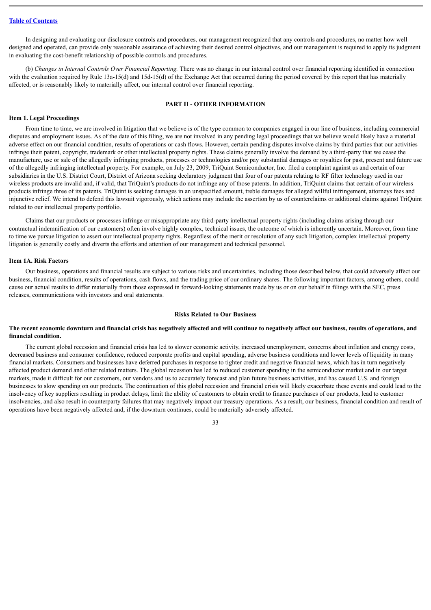In designing and evaluating our disclosure controls and procedures, our management recognized that any controls and procedures, no matter how well designed and operated, can provide only reasonable assurance of achieving their desired control objectives, and our management is required to apply its judgment in evaluating the cost-benefit relationship of possible controls and procedures.

(b) *Changes in Internal Controls Over Financial Reporting.* There was no change in our internal control over financial reporting identified in connection with the evaluation required by Rule 13a-15(d) and 15d-15(d) of the Exchange Act that occurred during the period covered by this report that has materially affected, or is reasonably likely to materially affect, our internal control over financial reporting.

## **PART II - OTHER INFORMATION**

#### <span id="page-32-1"></span><span id="page-32-0"></span>**Item 1. Legal Proceedings**

From time to time, we are involved in litigation that we believe is of the type common to companies engaged in our line of business, including commercial disputes and employment issues. As of the date of this filing, we are not involved in any pending legal proceedings that we believe would likely have a material adverse effect on our financial condition, results of operations or cash flows. However, certain pending disputes involve claims by third parties that our activities infringe their patent, copyright, trademark or other intellectual property rights. These claims generally involve the demand by a third-party that we cease the manufacture, use or sale of the allegedly infringing products, processes or technologies and/or pay substantial damages or royalties for past, present and future use of the allegedly infringing intellectual property. For example, on July 23, 2009, TriQuint Semiconductor, Inc. filed a complaint against us and certain of our subsidiaries in the U.S. District Court, District of Arizona seeking declaratory judgment that four of our patents relating to RF filter technology used in our wireless products are invalid and, if valid, that TriQuint's products do not infringe any of those patents. In addition, TriQuint claims that certain of our wireless products infringe three of its patents. TriQuint is seeking damages in an unspecified amount, treble damages for alleged willful infringement, attorneys fees and injunctive relief. We intend to defend this lawsuit vigorously, which actions may include the assertion by us of counterclaims or additional claims against TriQuint related to our intellectual property portfolio.

Claims that our products or processes infringe or misappropriate any third-party intellectual property rights (including claims arising through our contractual indemnification of our customers) often involve highly complex, technical issues, the outcome of which is inherently uncertain. Moreover, from time to time we pursue litigation to assert our intellectual property rights. Regardless of the merit or resolution of any such litigation, complex intellectual property litigation is generally costly and diverts the efforts and attention of our management and technical personnel.

#### <span id="page-32-2"></span>**Item 1A. Risk Factors**

Our business, operations and financial results are subject to various risks and uncertainties, including those described below, that could adversely affect our business, financial condition, results of operations, cash flows, and the trading price of our ordinary shares. The following important factors, among others, could cause our actual results to differ materially from those expressed in forward-looking statements made by us or on our behalf in filings with the SEC, press releases, communications with investors and oral statements.

#### **Risks Related to Our Business**

# **The recent economic downturn and financial crisis has negatively affected and will continue to negatively affect our business, results of operations, and financial condition.**

The current global recession and financial crisis has led to slower economic activity, increased unemployment, concerns about inflation and energy costs, decreased business and consumer confidence, reduced corporate profits and capital spending, adverse business conditions and lower levels of liquidity in many financial markets. Consumers and businesses have deferred purchases in response to tighter credit and negative financial news, which has in turn negatively affected product demand and other related matters. The global recession has led to reduced customer spending in the semiconductor market and in our target markets, made it difficult for our customers, our vendors and us to accurately forecast and plan future business activities, and has caused U.S. and foreign businesses to slow spending on our products. The continuation of this global recession and financial crisis will likely exacerbate these events and could lead to the insolvency of key suppliers resulting in product delays, limit the ability of customers to obtain credit to finance purchases of our products, lead to customer insolvencies, and also result in counterparty failures that may negatively impact our treasury operations. As a result, our business, financial condition and result of operations have been negatively affected and, if the downturn continues, could be materially adversely affected.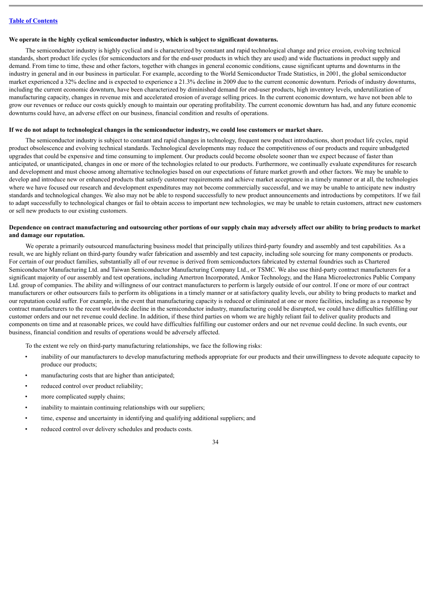#### **We operate in the highly cyclical semiconductor industry, which is subject to significant downturns.**

The semiconductor industry is highly cyclical and is characterized by constant and rapid technological change and price erosion, evolving technical standards, short product life cycles (for semiconductors and for the end-user products in which they are used) and wide fluctuations in product supply and demand. From time to time, these and other factors, together with changes in general economic conditions, cause significant upturns and downturns in the industry in general and in our business in particular. For example, according to the World Semiconductor Trade Statistics, in 2001, the global semiconductor market experienced a 32% decline and is expected to experience a 21.3% decline in 2009 due to the current economic downturn. Periods of industry downturns, including the current economic downturn, have been characterized by diminished demand for end-user products, high inventory levels, underutilization of manufacturing capacity, changes in revenue mix and accelerated erosion of average selling prices. In the current economic downturn, we have not been able to grow our revenues or reduce our costs quickly enough to maintain our operating profitability. The current economic downturn has had, and any future economic downturns could have, an adverse effect on our business, financial condition and results of operations.

### **If we do not adapt to technological changes in the semiconductor industry, we could lose customers or market share.**

The semiconductor industry is subject to constant and rapid changes in technology, frequent new product introductions, short product life cycles, rapid product obsolescence and evolving technical standards. Technological developments may reduce the competitiveness of our products and require unbudgeted upgrades that could be expensive and time consuming to implement. Our products could become obsolete sooner than we expect because of faster than anticipated, or unanticipated, changes in one or more of the technologies related to our products. Furthermore, we continually evaluate expenditures for research and development and must choose among alternative technologies based on our expectations of future market growth and other factors. We may be unable to develop and introduce new or enhanced products that satisfy customer requirements and achieve market acceptance in a timely manner or at all, the technologies where we have focused our research and development expenditures may not become commercially successful, and we may be unable to anticipate new industry standards and technological changes. We also may not be able to respond successfully to new product announcements and introductions by competitors. If we fail to adapt successfully to technological changes or fail to obtain access to important new technologies, we may be unable to retain customers, attract new customers or sell new products to our existing customers.

# **Dependence on contract manufacturing and outsourcing other portions of our supply chain may adversely affect our ability to bring products to market and damage our reputation.**

We operate a primarily outsourced manufacturing business model that principally utilizes third-party foundry and assembly and test capabilities. As a result, we are highly reliant on third-party foundry wafer fabrication and assembly and test capacity, including sole sourcing for many components or products. For certain of our product families, substantially all of our revenue is derived from semiconductors fabricated by external foundries such as Chartered Semiconductor Manufacturing Ltd. and Taiwan Semiconductor Manufacturing Company Ltd., or TSMC. We also use third-party contract manufacturers for a significant majority of our assembly and test operations, including Amertron Incorporated, Amkor Technology, and the Hana Microelectronics Public Company Ltd. group of companies. The ability and willingness of our contract manufacturers to perform is largely outside of our control. If one or more of our contract manufacturers or other outsourcers fails to perform its obligations in a timely manner or at satisfactory quality levels, our ability to bring products to market and our reputation could suffer. For example, in the event that manufacturing capacity is reduced or eliminated at one or more facilities, including as a response by contract manufacturers to the recent worldwide decline in the semiconductor industry, manufacturing could be disrupted, we could have difficulties fulfilling our customer orders and our net revenue could decline. In addition, if these third parties on whom we are highly reliant fail to deliver quality products and components on time and at reasonable prices, we could have difficulties fulfilling our customer orders and our net revenue could decline. In such events, our business, financial condition and results of operations would be adversely affected.

To the extent we rely on third-party manufacturing relationships, we face the following risks:

- inability of our manufacturers to develop manufacturing methods appropriate for our products and their unwillingness to devote adequate capacity to produce our products;
- manufacturing costs that are higher than anticipated;
- reduced control over product reliability;
- more complicated supply chains;
- inability to maintain continuing relationships with our suppliers;
- time, expense and uncertainty in identifying and qualifying additional suppliers; and
- reduced control over delivery schedules and products costs.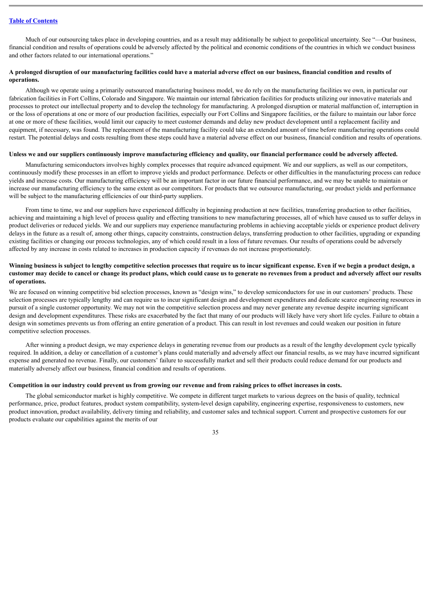Much of our outsourcing takes place in developing countries, and as a result may additionally be subject to geopolitical uncertainty. See "—Our business, financial condition and results of operations could be adversely affected by the political and economic conditions of the countries in which we conduct business and other factors related to our international operations."

# **A prolonged disruption of our manufacturing facilities could have a material adverse effect on our business, financial condition and results of operations.**

Although we operate using a primarily outsourced manufacturing business model, we do rely on the manufacturing facilities we own, in particular our fabrication facilities in Fort Collins, Colorado and Singapore. We maintain our internal fabrication facilities for products utilizing our innovative materials and processes to protect our intellectual property and to develop the technology for manufacturing. A prolonged disruption or material malfunction of, interruption in or the loss of operations at one or more of our production facilities, especially our Fort Collins and Singapore facilities, or the failure to maintain our labor force at one or more of these facilities, would limit our capacity to meet customer demands and delay new product development until a replacement facility and equipment, if necessary, was found. The replacement of the manufacturing facility could take an extended amount of time before manufacturing operations could restart. The potential delays and costs resulting from these steps could have a material adverse effect on our business, financial condition and results of operations.

#### **Unless we and our suppliers continuously improve manufacturing efficiency and quality, our financial performance could be adversely affected.**

Manufacturing semiconductors involves highly complex processes that require advanced equipment. We and our suppliers, as well as our competitors, continuously modify these processes in an effort to improve yields and product performance. Defects or other difficulties in the manufacturing process can reduce yields and increase costs. Our manufacturing efficiency will be an important factor in our future financial performance, and we may be unable to maintain or increase our manufacturing efficiency to the same extent as our competitors. For products that we outsource manufacturing, our product yields and performance will be subject to the manufacturing efficiencies of our third-party suppliers.

From time to time, we and our suppliers have experienced difficulty in beginning production at new facilities, transferring production to other facilities, achieving and maintaining a high level of process quality and effecting transitions to new manufacturing processes, all of which have caused us to suffer delays in product deliveries or reduced yields. We and our suppliers may experience manufacturing problems in achieving acceptable yields or experience product delivery delays in the future as a result of, among other things, capacity constraints, construction delays, transferring production to other facilities, upgrading or expanding existing facilities or changing our process technologies, any of which could result in a loss of future revenues. Our results of operations could be adversely affected by any increase in costs related to increases in production capacity if revenues do not increase proportionately.

# **Winning business is subject to lengthy competitive selection processes that require us to incur significant expense. Even if we begin a product design, a customer may decide to cancel or change its product plans, which could cause us to generate no revenues from a product and adversely affect our results of operations.**

We are focused on winning competitive bid selection processes, known as "design wins," to develop semiconductors for use in our customers' products. These selection processes are typically lengthy and can require us to incur significant design and development expenditures and dedicate scarce engineering resources in pursuit of a single customer opportunity. We may not win the competitive selection process and may never generate any revenue despite incurring significant design and development expenditures. These risks are exacerbated by the fact that many of our products will likely have very short life cycles. Failure to obtain a design win sometimes prevents us from offering an entire generation of a product. This can result in lost revenues and could weaken our position in future competitive selection processes.

After winning a product design, we may experience delays in generating revenue from our products as a result of the lengthy development cycle typically required. In addition, a delay or cancellation of a customer's plans could materially and adversely affect our financial results, as we may have incurred significant expense and generated no revenue. Finally, our customers' failure to successfully market and sell their products could reduce demand for our products and materially adversely affect our business, financial condition and results of operations.

# **Competition in our industry could prevent us from growing our revenue and from raising prices to offset increases in costs.**

The global semiconductor market is highly competitive. We compete in different target markets to various degrees on the basis of quality, technical performance, price, product features, product system compatibility, system-level design capability, engineering expertise, responsiveness to customers, new product innovation, product availability, delivery timing and reliability, and customer sales and technical support. Current and prospective customers for our products evaluate our capabilities against the merits of our

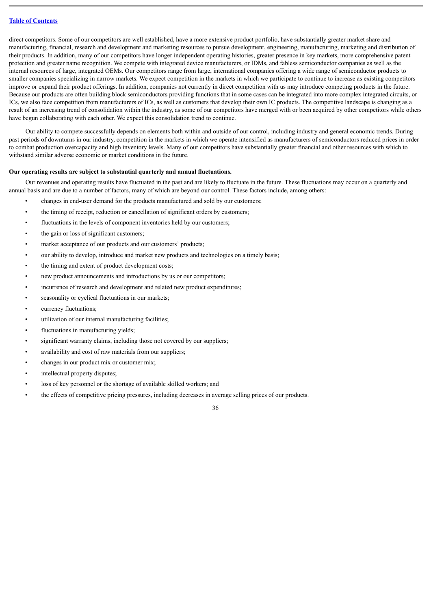direct competitors. Some of our competitors are well established, have a more extensive product portfolio, have substantially greater market share and manufacturing, financial, research and development and marketing resources to pursue development, engineering, manufacturing, marketing and distribution of their products. In addition, many of our competitors have longer independent operating histories, greater presence in key markets, more comprehensive patent protection and greater name recognition. We compete with integrated device manufacturers, or IDMs, and fabless semiconductor companies as well as the internal resources of large, integrated OEMs. Our competitors range from large, international companies offering a wide range of semiconductor products to smaller companies specializing in narrow markets. We expect competition in the markets in which we participate to continue to increase as existing competitors improve or expand their product offerings. In addition, companies not currently in direct competition with us may introduce competing products in the future. Because our products are often building block semiconductors providing functions that in some cases can be integrated into more complex integrated circuits, or ICs, we also face competition from manufacturers of ICs, as well as customers that develop their own IC products. The competitive landscape is changing as a result of an increasing trend of consolidation within the industry, as some of our competitors have merged with or been acquired by other competitors while others have begun collaborating with each other. We expect this consolidation trend to continue.

Our ability to compete successfully depends on elements both within and outside of our control, including industry and general economic trends. During past periods of downturns in our industry, competition in the markets in which we operate intensified as manufacturers of semiconductors reduced prices in order to combat production overcapacity and high inventory levels. Many of our competitors have substantially greater financial and other resources with which to withstand similar adverse economic or market conditions in the future.

#### **Our operating results are subject to substantial quarterly and annual fluctuations.**

Our revenues and operating results have fluctuated in the past and are likely to fluctuate in the future. These fluctuations may occur on a quarterly and annual basis and are due to a number of factors, many of which are beyond our control. These factors include, among others:

- changes in end-user demand for the products manufactured and sold by our customers;
- the timing of receipt, reduction or cancellation of significant orders by customers;
- fluctuations in the levels of component inventories held by our customers;
- the gain or loss of significant customers;
- market acceptance of our products and our customers' products;
- our ability to develop, introduce and market new products and technologies on a timely basis;
- the timing and extent of product development costs;
- new product announcements and introductions by us or our competitors;
- incurrence of research and development and related new product expenditures;
- seasonality or cyclical fluctuations in our markets;
- currency fluctuations:
- utilization of our internal manufacturing facilities;
- fluctuations in manufacturing yields;
- significant warranty claims, including those not covered by our suppliers;
- availability and cost of raw materials from our suppliers;
- changes in our product mix or customer mix;
- intellectual property disputes;
- loss of key personnel or the shortage of available skilled workers; and
- the effects of competitive pricing pressures, including decreases in average selling prices of our products.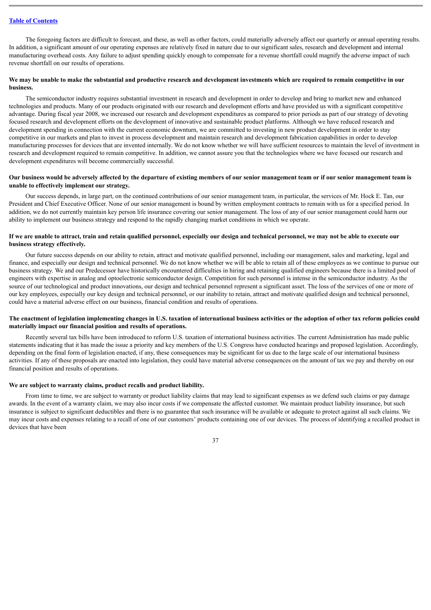The foregoing factors are difficult to forecast, and these, as well as other factors, could materially adversely affect our quarterly or annual operating results. In addition, a significant amount of our operating expenses are relatively fixed in nature due to our significant sales, research and development and internal manufacturing overhead costs. Any failure to adjust spending quickly enough to compensate for a revenue shortfall could magnify the adverse impact of such revenue shortfall on our results of operations.

# **We may be unable to make the substantial and productive research and development investments which are required to remain competitive in our business.**

The semiconductor industry requires substantial investment in research and development in order to develop and bring to market new and enhanced technologies and products. Many of our products originated with our research and development efforts and have provided us with a significant competitive advantage. During fiscal year 2008, we increased our research and development expenditures as compared to prior periods as part of our strategy of devoting focused research and development efforts on the development of innovative and sustainable product platforms. Although we have reduced research and development spending in connection with the current economic downturn, we are committed to investing in new product development in order to stay competitive in our markets and plan to invest in process development and maintain research and development fabrication capabilities in order to develop manufacturing processes for devices that are invented internally. We do not know whether we will have sufficient resources to maintain the level of investment in research and development required to remain competitive. In addition, we cannot assure you that the technologies where we have focused our research and development expenditures will become commercially successful.

# **Our business would be adversely affected by the departure of existing members of our senior management team or if our senior management team is unable to effectively implement our strategy.**

Our success depends, in large part, on the continued contributions of our senior management team, in particular, the services of Mr. Hock E. Tan, our President and Chief Executive Officer. None of our senior management is bound by written employment contracts to remain with us for a specified period. In addition, we do not currently maintain key person life insurance covering our senior management. The loss of any of our senior management could harm our ability to implement our business strategy and respond to the rapidly changing market conditions in which we operate.

# **If we are unable to attract, train and retain qualified personnel, especially our design and technical personnel, we may not be able to execute our business strategy effectively.**

Our future success depends on our ability to retain, attract and motivate qualified personnel, including our management, sales and marketing, legal and finance, and especially our design and technical personnel. We do not know whether we will be able to retain all of these employees as we continue to pursue our business strategy. We and our Predecessor have historically encountered difficulties in hiring and retaining qualified engineers because there is a limited pool of engineers with expertise in analog and optoelectronic semiconductor design. Competition for such personnel is intense in the semiconductor industry. As the source of our technological and product innovations, our design and technical personnel represent a significant asset. The loss of the services of one or more of our key employees, especially our key design and technical personnel, or our inability to retain, attract and motivate qualified design and technical personnel, could have a material adverse effect on our business, financial condition and results of operations.

## **The enactment of legislation implementing changes in U.S. taxation of international business activities or the adoption of other tax reform policies could materially impact our financial position and results of operations.**

Recently several tax bills have been introduced to reform U.S. taxation of international business activities. The current Administration has made public statements indicating that it has made the issue a priority and key members of the U.S. Congress have conducted hearings and proposed legislation. Accordingly, depending on the final form of legislation enacted, if any, these consequences may be significant for us due to the large scale of our international business activities. If any of these proposals are enacted into legislation, they could have material adverse consequences on the amount of tax we pay and thereby on our financial position and results of operations.

# **We are subject to warranty claims, product recalls and product liability.**

From time to time, we are subject to warranty or product liability claims that may lead to significant expenses as we defend such claims or pay damage awards. In the event of a warranty claim, we may also incur costs if we compensate the affected customer. We maintain product liability insurance, but such insurance is subject to significant deductibles and there is no guarantee that such insurance will be available or adequate to protect against all such claims. We may incur costs and expenses relating to a recall of one of our customers' products containing one of our devices. The process of identifying a recalled product in devices that have been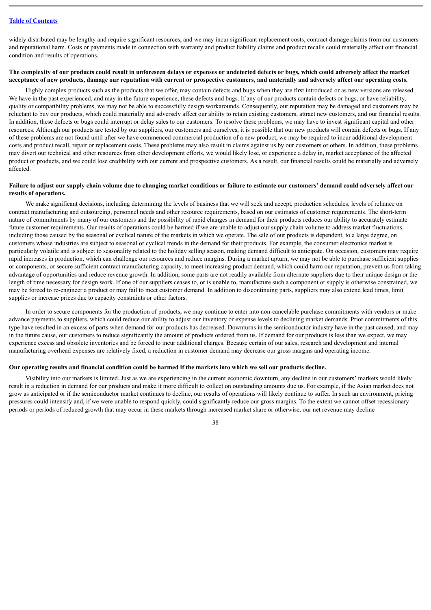widely distributed may be lengthy and require significant resources, and we may incur significant replacement costs, contract damage claims from our customers and reputational harm. Costs or payments made in connection with warranty and product liability claims and product recalls could materially affect our financial condition and results of operations.

## **The complexity of our products could result in unforeseen delays or expenses or undetected defects or bugs, which could adversely affect the market acceptance of new products, damage our reputation with current or prospective customers, and materially and adversely affect our operating costs.**

Highly complex products such as the products that we offer, may contain defects and bugs when they are first introduced or as new versions are released. We have in the past experienced, and may in the future experience, these defects and bugs. If any of our products contain defects or bugs, or have reliability, quality or compatibility problems, we may not be able to successfully design workarounds. Consequently, our reputation may be damaged and customers may be reluctant to buy our products, which could materially and adversely affect our ability to retain existing customers, attract new customers, and our financial results. In addition, these defects or bugs could interrupt or delay sales to our customers. To resolve these problems, we may have to invest significant capital and other resources. Although our products are tested by our suppliers, our customers and ourselves, it is possible that our new products will contain defects or bugs. If any of these problems are not found until after we have commenced commercial production of a new product, we may be required to incur additional development costs and product recall, repair or replacement costs. These problems may also result in claims against us by our customers or others. In addition, these problems may divert our technical and other resources from other development efforts, we would likely lose, or experience a delay in, market acceptance of the affected product or products, and we could lose credibility with our current and prospective customers. As a result, our financial results could be materially and adversely affected.

# **Failure to adjust our supply chain volume due to changing market conditions or failure to estimate our customers' demand could adversely affect our results of operations.**

We make significant decisions, including determining the levels of business that we will seek and accept, production schedules, levels of reliance on contract manufacturing and outsourcing, personnel needs and other resource requirements, based on our estimates of customer requirements. The short-term nature of commitments by many of our customers and the possibility of rapid changes in demand for their products reduces our ability to accurately estimate future customer requirements. Our results of operations could be harmed if we are unable to adjust our supply chain volume to address market fluctuations, including those caused by the seasonal or cyclical nature of the markets in which we operate. The sale of our products is dependent, to a large degree, on customers whose industries are subject to seasonal or cyclical trends in the demand for their products. For example, the consumer electronics market is particularly volatile and is subject to seasonality related to the holiday selling season, making demand difficult to anticipate. On occasion, customers may require rapid increases in production, which can challenge our resources and reduce margins. During a market upturn, we may not be able to purchase sufficient supplies or components, or secure sufficient contract manufacturing capacity, to meet increasing product demand, which could harm our reputation, prevent us from taking advantage of opportunities and reduce revenue growth. In addition, some parts are not readily available from alternate suppliers due to their unique design or the length of time necessary for design work. If one of our suppliers ceases to, or is unable to, manufacture such a component or supply is otherwise constrained, we may be forced to re-engineer a product or may fail to meet customer demand. In addition to discontinuing parts, suppliers may also extend lead times, limit supplies or increase prices due to capacity constraints or other factors.

In order to secure components for the production of products, we may continue to enter into non-cancelable purchase commitments with vendors or make advance payments to suppliers, which could reduce our ability to adjust our inventory or expense levels to declining market demands. Prior commitments of this type have resulted in an excess of parts when demand for our products has decreased. Downturns in the semiconductor industry have in the past caused, and may in the future cause, our customers to reduce significantly the amount of products ordered from us. If demand for our products is less than we expect, we may experience excess and obsolete inventories and be forced to incur additional charges. Because certain of our sales, research and development and internal manufacturing overhead expenses are relatively fixed, a reduction in customer demand may decrease our gross margins and operating income.

# **Our operating results and financial condition could be harmed if the markets into which we sell our products decline.**

Visibility into our markets is limited. Just as we are experiencing in the current economic downturn, any decline in our customers' markets would likely result in a reduction in demand for our products and make it more difficult to collect on outstanding amounts due us. For example, if the Asian market does not grow as anticipated or if the semiconductor market continues to decline, our results of operations will likely continue to suffer. In such an environment, pricing pressures could intensify and, if we were unable to respond quickly, could significantly reduce our gross margins. To the extent we cannot offset recessionary periods or periods of reduced growth that may occur in these markets through increased market share or otherwise, our net revenue may decline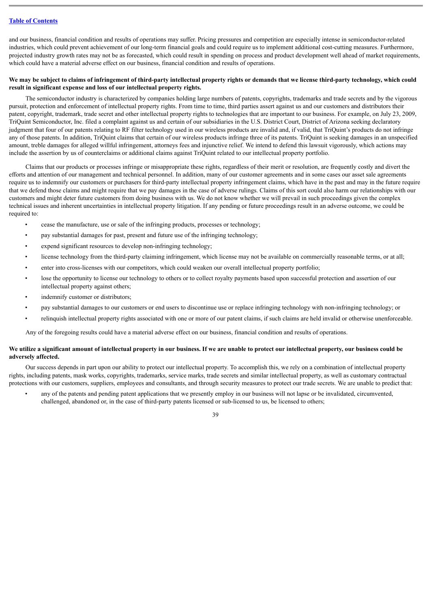and our business, financial condition and results of operations may suffer. Pricing pressures and competition are especially intense in semiconductor-related industries, which could prevent achievement of our long-term financial goals and could require us to implement additional cost-cutting measures. Furthermore, projected industry growth rates may not be as forecasted, which could result in spending on process and product development well ahead of market requirements, which could have a material adverse effect on our business, financial condition and results of operations.

# **We may be subject to claims of infringement of third-party intellectual property rights or demands that we license third-party technology, which could result in significant expense and loss of our intellectual property rights.**

The semiconductor industry is characterized by companies holding large numbers of patents, copyrights, trademarks and trade secrets and by the vigorous pursuit, protection and enforcement of intellectual property rights. From time to time, third parties assert against us and our customers and distributors their patent, copyright, trademark, trade secret and other intellectual property rights to technologies that are important to our business. For example, on July 23, 2009, TriQuint Semiconductor, Inc. filed a complaint against us and certain of our subsidiaries in the U.S. District Court, District of Arizona seeking declaratory judgment that four of our patents relating to RF filter technology used in our wireless products are invalid and, if valid, that TriQuint's products do not infringe any of those patents. In addition, TriQuint claims that certain of our wireless products infringe three of its patents. TriQuint is seeking damages in an unspecified amount, treble damages for alleged willful infringement, attorneys fees and injunctive relief. We intend to defend this lawsuit vigorously, which actions may include the assertion by us of counterclaims or additional claims against TriQuint related to our intellectual property portfolio.

Claims that our products or processes infringe or misappropriate these rights, regardless of their merit or resolution, are frequently costly and divert the efforts and attention of our management and technical personnel. In addition, many of our customer agreements and in some cases our asset sale agreements require us to indemnify our customers or purchasers for third-party intellectual property infringement claims, which have in the past and may in the future require that we defend those claims and might require that we pay damages in the case of adverse rulings. Claims of this sort could also harm our relationships with our customers and might deter future customers from doing business with us. We do not know whether we will prevail in such proceedings given the complex technical issues and inherent uncertainties in intellectual property litigation. If any pending or future proceedings result in an adverse outcome, we could be required to:

- cease the manufacture, use or sale of the infringing products, processes or technology;
- pay substantial damages for past, present and future use of the infringing technology;
- expend significant resources to develop non-infringing technology;
- license technology from the third-party claiming infringement, which license may not be available on commercially reasonable terms, or at all;
- enter into cross-licenses with our competitors, which could weaken our overall intellectual property portfolio;
- lose the opportunity to license our technology to others or to collect royalty payments based upon successful protection and assertion of our intellectual property against others;
- indemnify customer or distributors;
- pay substantial damages to our customers or end users to discontinue use or replace infringing technology with non-infringing technology; or
- relinquish intellectual property rights associated with one or more of our patent claims, if such claims are held invalid or otherwise unenforceable.

Any of the foregoing results could have a material adverse effect on our business, financial condition and results of operations.

# **We utilize a significant amount of intellectual property in our business. If we are unable to protect our intellectual property, our business could be adversely affected.**

Our success depends in part upon our ability to protect our intellectual property. To accomplish this, we rely on a combination of intellectual property rights, including patents, mask works, copyrights, trademarks, service marks, trade secrets and similar intellectual property, as well as customary contractual protections with our customers, suppliers, employees and consultants, and through security measures to protect our trade secrets. We are unable to predict that:

• any of the patents and pending patent applications that we presently employ in our business will not lapse or be invalidated, circumvented, challenged, abandoned or, in the case of third-party patents licensed or sub-licensed to us, be licensed to others;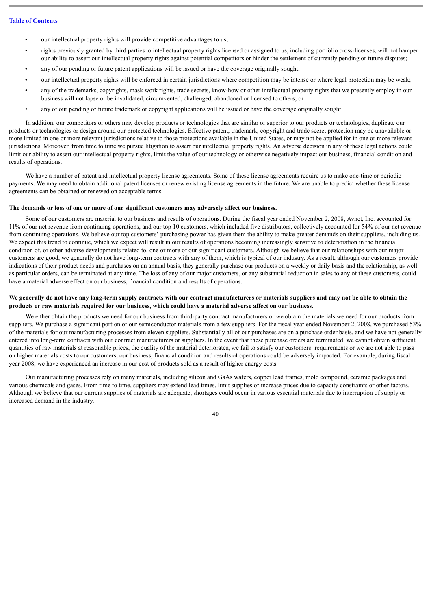- our intellectual property rights will provide competitive advantages to us;
- rights previously granted by third parties to intellectual property rights licensed or assigned to us, including portfolio cross-licenses, will not hamper our ability to assert our intellectual property rights against potential competitors or hinder the settlement of currently pending or future disputes;
- any of our pending or future patent applications will be issued or have the coverage originally sought;
- our intellectual property rights will be enforced in certain jurisdictions where competition may be intense or where legal protection may be weak;
- any of the trademarks, copyrights, mask work rights, trade secrets, know-how or other intellectual property rights that we presently employ in our business will not lapse or be invalidated, circumvented, challenged, abandoned or licensed to others; or
- any of our pending or future trademark or copyright applications will be issued or have the coverage originally sought.

In addition, our competitors or others may develop products or technologies that are similar or superior to our products or technologies, duplicate our products or technologies or design around our protected technologies. Effective patent, trademark, copyright and trade secret protection may be unavailable or more limited in one or more relevant jurisdictions relative to those protections available in the United States, or may not be applied for in one or more relevant jurisdictions. Moreover, from time to time we pursue litigation to assert our intellectual property rights. An adverse decision in any of these legal actions could limit our ability to assert our intellectual property rights, limit the value of our technology or otherwise negatively impact our business, financial condition and results of operations.

We have a number of patent and intellectual property license agreements. Some of these license agreements require us to make one-time or periodic payments. We may need to obtain additional patent licenses or renew existing license agreements in the future. We are unable to predict whether these license agreements can be obtained or renewed on acceptable terms.

#### **The demands or loss of one or more of our significant customers may adversely affect our business.**

Some of our customers are material to our business and results of operations. During the fiscal year ended November 2, 2008, Avnet, Inc. accounted for 11% of our net revenue from continuing operations, and our top 10 customers, which included five distributors, collectively accounted for 54% of our net revenue from continuing operations. We believe our top customers' purchasing power has given them the ability to make greater demands on their suppliers, including us. We expect this trend to continue, which we expect will result in our results of operations becoming increasingly sensitive to deterioration in the financial condition of, or other adverse developments related to, one or more of our significant customers. Although we believe that our relationships with our major customers are good, we generally do not have long-term contracts with any of them, which is typical of our industry. As a result, although our customers provide indications of their product needs and purchases on an annual basis, they generally purchase our products on a weekly or daily basis and the relationship, as well as particular orders, can be terminated at any time. The loss of any of our major customers, or any substantial reduction in sales to any of these customers, could have a material adverse effect on our business, financial condition and results of operations.

# **We generally do not have any long-term supply contracts with our contract manufacturers or materials suppliers and may not be able to obtain the products or raw materials required for our business, which could have a material adverse affect on our business.**

We either obtain the products we need for our business from third-party contract manufacturers or we obtain the materials we need for our products from suppliers. We purchase a significant portion of our semiconductor materials from a few suppliers. For the fiscal year ended November 2, 2008, we purchased 53% of the materials for our manufacturing processes from eleven suppliers. Substantially all of our purchases are on a purchase order basis, and we have not generally entered into long-term contracts with our contract manufacturers or suppliers. In the event that these purchase orders are terminated, we cannot obtain sufficient quantities of raw materials at reasonable prices, the quality of the material deteriorates, we fail to satisfy our customers' requirements or we are not able to pass on higher materials costs to our customers, our business, financial condition and results of operations could be adversely impacted. For example, during fiscal year 2008, we have experienced an increase in our cost of products sold as a result of higher energy costs.

Our manufacturing processes rely on many materials, including silicon and GaAs wafers, copper lead frames, mold compound, ceramic packages and various chemicals and gases. From time to time, suppliers may extend lead times, limit supplies or increase prices due to capacity constraints or other factors. Although we believe that our current supplies of materials are adequate, shortages could occur in various essential materials due to interruption of supply or increased demand in the industry.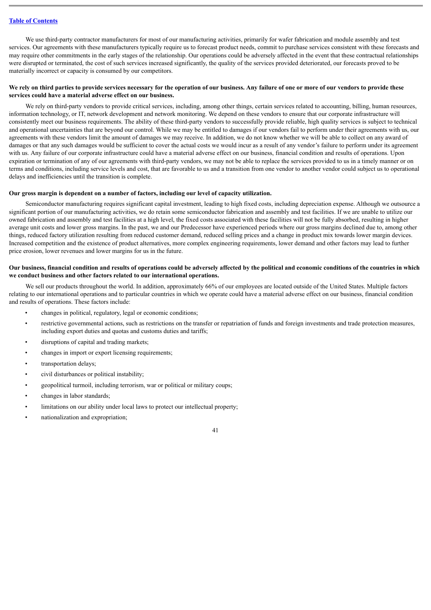We use third-party contractor manufacturers for most of our manufacturing activities, primarily for wafer fabrication and module assembly and test services. Our agreements with these manufacturers typically require us to forecast product needs, commit to purchase services consistent with these forecasts and may require other commitments in the early stages of the relationship. Our operations could be adversely affected in the event that these contractual relationships were disrupted or terminated, the cost of such services increased significantly, the quality of the services provided deteriorated, our forecasts proved to be materially incorrect or capacity is consumed by our competitors.

# **We rely on third parties to provide services necessary for the operation of our business. Any failure of one or more of our vendors to provide these services could have a material adverse effect on our business.**

We rely on third-party vendors to provide critical services, including, among other things, certain services related to accounting, billing, human resources, information technology, or IT, network development and network monitoring. We depend on these vendors to ensure that our corporate infrastructure will consistently meet our business requirements. The ability of these third-party vendors to successfully provide reliable, high quality services is subject to technical and operational uncertainties that are beyond our control. While we may be entitled to damages if our vendors fail to perform under their agreements with us, our agreements with these vendors limit the amount of damages we may receive. In addition, we do not know whether we will be able to collect on any award of damages or that any such damages would be sufficient to cover the actual costs we would incur as a result of any vendor's failure to perform under its agreement with us. Any failure of our corporate infrastructure could have a material adverse effect on our business, financial condition and results of operations. Upon expiration or termination of any of our agreements with third-party vendors, we may not be able to replace the services provided to us in a timely manner or on terms and conditions, including service levels and cost, that are favorable to us and a transition from one vendor to another vendor could subject us to operational delays and inefficiencies until the transition is complete.

### **Our gross margin is dependent on a number of factors, including our level of capacity utilization.**

Semiconductor manufacturing requires significant capital investment, leading to high fixed costs, including depreciation expense. Although we outsource a significant portion of our manufacturing activities, we do retain some semiconductor fabrication and assembly and test facilities. If we are unable to utilize our owned fabrication and assembly and test facilities at a high level, the fixed costs associated with these facilities will not be fully absorbed, resulting in higher average unit costs and lower gross margins. In the past, we and our Predecessor have experienced periods where our gross margins declined due to, among other things, reduced factory utilization resulting from reduced customer demand, reduced selling prices and a change in product mix towards lower margin devices. Increased competition and the existence of product alternatives, more complex engineering requirements, lower demand and other factors may lead to further price erosion, lower revenues and lower margins for us in the future.

# **Our business, financial condition and results of operations could be adversely affected by the political and economic conditions of the countries in which we conduct business and other factors related to our international operations.**

We sell our products throughout the world. In addition, approximately 66% of our employees are located outside of the United States. Multiple factors relating to our international operations and to particular countries in which we operate could have a material adverse effect on our business, financial condition and results of operations. These factors include:

- changes in political, regulatory, legal or economic conditions;
- restrictive governmental actions, such as restrictions on the transfer or repatriation of funds and foreign investments and trade protection measures, including export duties and quotas and customs duties and tariffs;
- disruptions of capital and trading markets;
- changes in import or export licensing requirements;
- transportation delays;
- civil disturbances or political instability;
- geopolitical turmoil, including terrorism, war or political or military coups;
- changes in labor standards;
- limitations on our ability under local laws to protect our intellectual property;
- nationalization and expropriation;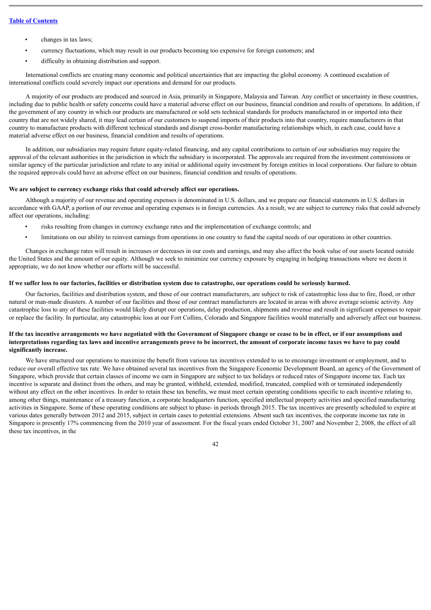- changes in tax laws;
- currency fluctuations, which may result in our products becoming too expensive for foreign customers; and
- difficulty in obtaining distribution and support.

International conflicts are creating many economic and political uncertainties that are impacting the global economy. A continued escalation of international conflicts could severely impact our operations and demand for our products.

A majority of our products are produced and sourced in Asia, primarily in Singapore, Malaysia and Taiwan. Any conflict or uncertainty in these countries, including due to public health or safety concerns could have a material adverse effect on our business, financial condition and results of operations. In addition, if the government of any country in which our products are manufactured or sold sets technical standards for products manufactured in or imported into their country that are not widely shared, it may lead certain of our customers to suspend imports of their products into that country, require manufacturers in that country to manufacture products with different technical standards and disrupt cross-border manufacturing relationships which, in each case, could have a material adverse effect on our business, financial condition and results of operations.

In addition, our subsidiaries may require future equity-related financing, and any capital contributions to certain of our subsidiaries may require the approval of the relevant authorities in the jurisdiction in which the subsidiary is incorporated. The approvals are required from the investment commissions or similar agency of the particular jurisdiction and relate to any initial or additional equity investment by foreign entities in local corporations. Our failure to obtain the required approvals could have an adverse effect on our business, financial condition and results of operations.

#### **We are subject to currency exchange risks that could adversely affect our operations.**

Although a majority of our revenue and operating expenses is denominated in U.S. dollars, and we prepare our financial statements in U.S. dollars in accordance with GAAP, a portion of our revenue and operating expenses is in foreign currencies. As a result, we are subject to currency risks that could adversely affect our operations, including:

- risks resulting from changes in currency exchange rates and the implementation of exchange controls; and
- limitations on our ability to reinvest earnings from operations in one country to fund the capital needs of our operations in other countries.

Changes in exchange rates will result in increases or decreases in our costs and earnings, and may also affect the book value of our assets located outside the United States and the amount of our equity. Although we seek to minimize our currency exposure by engaging in hedging transactions where we deem it appropriate, we do not know whether our efforts will be successful.

# **If we suffer loss to our factories, facilities or distribution system due to catastrophe, our operations could be seriously harmed.**

Our factories, facilities and distribution system, and those of our contract manufacturers, are subject to risk of catastrophic loss due to fire, flood, or other natural or man-made disasters. A number of our facilities and those of our contract manufacturers are located in areas with above average seismic activity. Any catastrophic loss to any of these facilities would likely disrupt our operations, delay production, shipments and revenue and result in significant expenses to repair or replace the facility. In particular, any catastrophic loss at our Fort Collins, Colorado and Singapore facilities would materially and adversely affect our business.

# **If the tax incentive arrangements we have negotiated with the Government of Singapore change or cease to be in effect, or if our assumptions and interpretations regarding tax laws and incentive arrangements prove to be incorrect, the amount of corporate income taxes we have to pay could significantly increase.**

We have structured our operations to maximize the benefit from various tax incentives extended to us to encourage investment or employment, and to reduce our overall effective tax rate. We have obtained several tax incentives from the Singapore Economic Development Board, an agency of the Government of Singapore, which provide that certain classes of income we earn in Singapore are subject to tax holidays or reduced rates of Singapore income tax. Each tax incentive is separate and distinct from the others, and may be granted, withheld, extended, modified, truncated, complied with or terminated independently without any effect on the other incentives. In order to retain these tax benefits, we must meet certain operating conditions specific to each incentive relating to, among other things, maintenance of a treasury function, a corporate headquarters function, specified intellectual property activities and specified manufacturing activities in Singapore. Some of these operating conditions are subject to phase- in periods through 2015. The tax incentives are presently scheduled to expire at various dates generally between 2012 and 2015, subject in certain cases to potential extensions. Absent such tax incentives, the corporate income tax rate in Singapore is presently 17% commencing from the 2010 year of assessment. For the fiscal years ended October 31, 2007 and November 2, 2008, the effect of all these tax incentives, in the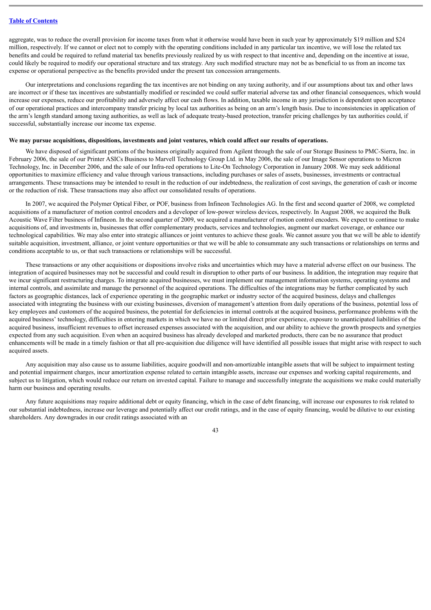aggregate, was to reduce the overall provision for income taxes from what it otherwise would have been in such year by approximately \$19 million and \$24 million, respectively. If we cannot or elect not to comply with the operating conditions included in any particular tax incentive, we will lose the related tax benefits and could be required to refund material tax benefits previously realized by us with respect to that incentive and, depending on the incentive at issue, could likely be required to modify our operational structure and tax strategy. Any such modified structure may not be as beneficial to us from an income tax expense or operational perspective as the benefits provided under the present tax concession arrangements.

Our interpretations and conclusions regarding the tax incentives are not binding on any taxing authority, and if our assumptions about tax and other laws are incorrect or if these tax incentives are substantially modified or rescinded we could suffer material adverse tax and other financial consequences, which would increase our expenses, reduce our profitability and adversely affect our cash flows. In addition, taxable income in any jurisdiction is dependent upon acceptance of our operational practices and intercompany transfer pricing by local tax authorities as being on an arm's length basis. Due to inconsistencies in application of the arm's length standard among taxing authorities, as well as lack of adequate treaty-based protection, transfer pricing challenges by tax authorities could, if successful, substantially increase our income tax expense.

## **We may pursue acquisitions, dispositions, investments and joint ventures, which could affect our results of operations.**

We have disposed of significant portions of the business originally acquired from Agilent through the sale of our Storage Business to PMC-Sierra, Inc. in February 2006, the sale of our Printer ASICs Business to Marvell Technology Group Ltd. in May 2006, the sale of our Image Sensor operations to Micron Technology, Inc. in December 2006, and the sale of our Infra-red operations to Lite-On Technology Corporation in January 2008. We may seek additional opportunities to maximize efficiency and value through various transactions, including purchases or sales of assets, businesses, investments or contractual arrangements. These transactions may be intended to result in the reduction of our indebtedness, the realization of cost savings, the generation of cash or income or the reduction of risk. These transactions may also affect our consolidated results of operations.

In 2007, we acquired the Polymer Optical Fiber, or POF, business from Infineon Technologies AG. In the first and second quarter of 2008, we completed acquisitions of a manufacturer of motion control encoders and a developer of low-power wireless devices, respectively. In August 2008, we acquired the Bulk Acoustic Wave Filter business of Infineon. In the second quarter of 2009, we acquired a manufacturer of motion control encoders. We expect to continue to make acquisitions of, and investments in, businesses that offer complementary products, services and technologies, augment our market coverage, or enhance our technological capabilities. We may also enter into strategic alliances or joint ventures to achieve these goals. We cannot assure you that we will be able to identify suitable acquisition, investment, alliance, or joint venture opportunities or that we will be able to consummate any such transactions or relationships on terms and conditions acceptable to us, or that such transactions or relationships will be successful.

These transactions or any other acquisitions or dispositions involve risks and uncertainties which may have a material adverse effect on our business. The integration of acquired businesses may not be successful and could result in disruption to other parts of our business. In addition, the integration may require that we incur significant restructuring charges. To integrate acquired businesses, we must implement our management information systems, operating systems and internal controls, and assimilate and manage the personnel of the acquired operations. The difficulties of the integrations may be further complicated by such factors as geographic distances, lack of experience operating in the geographic market or industry sector of the acquired business, delays and challenges associated with integrating the business with our existing businesses, diversion of management's attention from daily operations of the business, potential loss of key employees and customers of the acquired business, the potential for deficiencies in internal controls at the acquired business, performance problems with the acquired business' technology, difficulties in entering markets in which we have no or limited direct prior experience, exposure to unanticipated liabilities of the acquired business, insufficient revenues to offset increased expenses associated with the acquisition, and our ability to achieve the growth prospects and synergies expected from any such acquisition. Even when an acquired business has already developed and marketed products, there can be no assurance that product enhancements will be made in a timely fashion or that all pre-acquisition due diligence will have identified all possible issues that might arise with respect to such acquired assets.

Any acquisition may also cause us to assume liabilities, acquire goodwill and non-amortizable intangible assets that will be subject to impairment testing and potential impairment charges, incur amortization expense related to certain intangible assets, increase our expenses and working capital requirements, and subject us to litigation, which would reduce our return on invested capital. Failure to manage and successfully integrate the acquisitions we make could materially harm our business and operating results.

Any future acquisitions may require additional debt or equity financing, which in the case of debt financing, will increase our exposures to risk related to our substantial indebtedness, increase our leverage and potentially affect our credit ratings, and in the case of equity financing, would be dilutive to our existing shareholders. Any downgrades in our credit ratings associated with an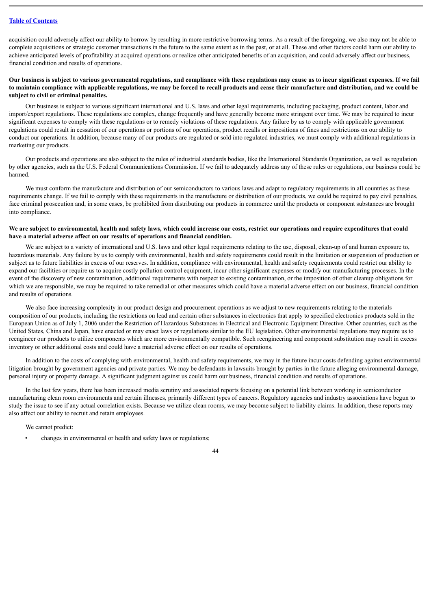acquisition could adversely affect our ability to borrow by resulting in more restrictive borrowing terms. As a result of the foregoing, we also may not be able to complete acquisitions or strategic customer transactions in the future to the same extent as in the past, or at all. These and other factors could harm our ability to achieve anticipated levels of profitability at acquired operations or realize other anticipated benefits of an acquisition, and could adversely affect our business, financial condition and results of operations.

# **Our business is subject to various governmental regulations, and compliance with these regulations may cause us to incur significant expenses. If we fail to maintain compliance with applicable regulations, we may be forced to recall products and cease their manufacture and distribution, and we could be subject to civil or criminal penalties.**

Our business is subject to various significant international and U.S. laws and other legal requirements, including packaging, product content, labor and import/export regulations. These regulations are complex, change frequently and have generally become more stringent over time. We may be required to incur significant expenses to comply with these regulations or to remedy violations of these regulations. Any failure by us to comply with applicable government regulations could result in cessation of our operations or portions of our operations, product recalls or impositions of fines and restrictions on our ability to conduct our operations. In addition, because many of our products are regulated or sold into regulated industries, we must comply with additional regulations in marketing our products.

Our products and operations are also subject to the rules of industrial standards bodies, like the International Standards Organization, as well as regulation by other agencies, such as the U.S. Federal Communications Commission. If we fail to adequately address any of these rules or regulations, our business could be harmed.

We must conform the manufacture and distribution of our semiconductors to various laws and adapt to regulatory requirements in all countries as these requirements change. If we fail to comply with these requirements in the manufacture or distribution of our products, we could be required to pay civil penalties, face criminal prosecution and, in some cases, be prohibited from distributing our products in commerce until the products or component substances are brought into compliance.

# **We are subject to environmental, health and safety laws, which could increase our costs, restrict our operations and require expenditures that could have a material adverse affect on our results of operations and financial condition.**

We are subject to a variety of international and U.S. laws and other legal requirements relating to the use, disposal, clean-up of and human exposure to, hazardous materials. Any failure by us to comply with environmental, health and safety requirements could result in the limitation or suspension of production or subject us to future liabilities in excess of our reserves. In addition, compliance with environmental, health and safety requirements could restrict our ability to expand our facilities or require us to acquire costly pollution control equipment, incur other significant expenses or modify our manufacturing processes. In the event of the discovery of new contamination, additional requirements with respect to existing contamination, or the imposition of other cleanup obligations for which we are responsible, we may be required to take remedial or other measures which could have a material adverse effect on our business, financial condition and results of operations.

We also face increasing complexity in our product design and procurement operations as we adjust to new requirements relating to the materials composition of our products, including the restrictions on lead and certain other substances in electronics that apply to specified electronics products sold in the European Union as of July 1, 2006 under the Restriction of Hazardous Substances in Electrical and Electronic Equipment Directive. Other countries, such as the United States, China and Japan, have enacted or may enact laws or regulations similar to the EU legislation. Other environmental regulations may require us to reengineer our products to utilize components which are more environmentally compatible. Such reengineering and component substitution may result in excess inventory or other additional costs and could have a material adverse effect on our results of operations.

In addition to the costs of complying with environmental, health and safety requirements, we may in the future incur costs defending against environmental litigation brought by government agencies and private parties. We may be defendants in lawsuits brought by parties in the future alleging environmental damage, personal injury or property damage. A significant judgment against us could harm our business, financial condition and results of operations.

In the last few years, there has been increased media scrutiny and associated reports focusing on a potential link between working in semiconductor manufacturing clean room environments and certain illnesses, primarily different types of cancers. Regulatory agencies and industry associations have begun to study the issue to see if any actual correlation exists. Because we utilize clean rooms, we may become subject to liability claims. In addition, these reports may also affect our ability to recruit and retain employees.

#### We cannot predict:

• changes in environmental or health and safety laws or regulations;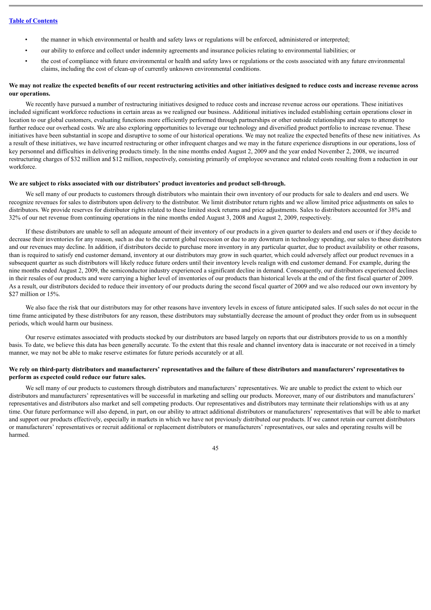- the manner in which environmental or health and safety laws or regulations will be enforced, administered or interpreted;
- our ability to enforce and collect under indemnity agreements and insurance policies relating to environmental liabilities; or
- the cost of compliance with future environmental or health and safety laws or regulations or the costs associated with any future environmental claims, including the cost of clean-up of currently unknown environmental conditions.

# **We may not realize the expected benefits of our recent restructuring activities and other initiatives designed to reduce costs and increase revenue across our operations.**

We recently have pursued a number of restructuring initiatives designed to reduce costs and increase revenue across our operations. These initiatives included significant workforce reductions in certain areas as we realigned our business. Additional initiatives included establishing certain operations closer in location to our global customers, evaluating functions more efficiently performed through partnerships or other outside relationships and steps to attempt to further reduce our overhead costs. We are also exploring opportunities to leverage our technology and diversified product portfolio to increase revenue. These initiatives have been substantial in scope and disruptive to some of our historical operations. We may not realize the expected benefits of these new initiatives. As a result of these initiatives, we have incurred restructuring or other infrequent charges and we may in the future experience disruptions in our operations, loss of key personnel and difficulties in delivering products timely. In the nine months ended August 2, 2009 and the year ended November 2, 2008, we incurred restructuring charges of \$32 million and \$12 million, respectively, consisting primarily of employee severance and related costs resulting from a reduction in our workforce.

#### **We are subject to risks associated with our distributors' product inventories and product sell-through.**

We sell many of our products to customers through distributors who maintain their own inventory of our products for sale to dealers and end users. We recognize revenues for sales to distributors upon delivery to the distributor. We limit distributor return rights and we allow limited price adjustments on sales to distributors. We provide reserves for distributor rights related to these limited stock returns and price adjustments. Sales to distributors accounted for 38% and 32% of our net revenue from continuing operations in the nine months ended August 3, 2008 and August 2, 2009, respectively.

If these distributors are unable to sell an adequate amount of their inventory of our products in a given quarter to dealers and end users or if they decide to decrease their inventories for any reason, such as due to the current global recession or due to any downturn in technology spending, our sales to these distributors and our revenues may decline. In addition, if distributors decide to purchase more inventory in any particular quarter, due to product availability or other reasons, than is required to satisfy end customer demand, inventory at our distributors may grow in such quarter, which could adversely affect our product revenues in a subsequent quarter as such distributors will likely reduce future orders until their inventory levels realign with end customer demand. For example, during the nine months ended August 2, 2009, the semiconductor industry experienced a significant decline in demand. Consequently, our distributors experienced declines in their resales of our products and were carrying a higher level of inventories of our products than historical levels at the end of the first fiscal quarter of 2009. As a result, our distributors decided to reduce their inventory of our products during the second fiscal quarter of 2009 and we also reduced our own inventory by \$27 million or 15%.

We also face the risk that our distributors may for other reasons have inventory levels in excess of future anticipated sales. If such sales do not occur in the time frame anticipated by these distributors for any reason, these distributors may substantially decrease the amount of product they order from us in subsequent periods, which would harm our business.

Our reserve estimates associated with products stocked by our distributors are based largely on reports that our distributors provide to us on a monthly basis. To date, we believe this data has been generally accurate. To the extent that this resale and channel inventory data is inaccurate or not received in a timely manner, we may not be able to make reserve estimates for future periods accurately or at all.

## **We rely on third-party distributors and manufacturers' representatives and the failure of these distributors and manufacturers' representatives to perform as expected could reduce our future sales.**

We sell many of our products to customers through distributors and manufacturers' representatives. We are unable to predict the extent to which our distributors and manufacturers' representatives will be successful in marketing and selling our products. Moreover, many of our distributors and manufacturers' representatives and distributors also market and sell competing products. Our representatives and distributors may terminate their relationships with us at any time. Our future performance will also depend, in part, on our ability to attract additional distributors or manufacturers' representatives that will be able to market and support our products effectively, especially in markets in which we have not previously distributed our products. If we cannot retain our current distributors or manufacturers' representatives or recruit additional or replacement distributors or manufacturers' representatives, our sales and operating results will be harmed.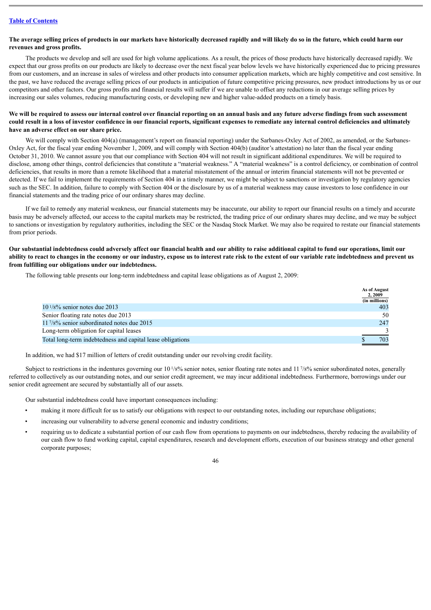## **The average selling prices of products in our markets have historically decreased rapidly and will likely do so in the future, which could harm our revenues and gross profits.**

The products we develop and sell are used for high volume applications. As a result, the prices of those products have historically decreased rapidly. We expect that our gross profits on our products are likely to decrease over the next fiscal year below levels we have historically experienced due to pricing pressures from our customers, and an increase in sales of wireless and other products into consumer application markets, which are highly competitive and cost sensitive. In the past, we have reduced the average selling prices of our products in anticipation of future competitive pricing pressures, new product introductions by us or our competitors and other factors. Our gross profits and financial results will suffer if we are unable to offset any reductions in our average selling prices by increasing our sales volumes, reducing manufacturing costs, or developing new and higher value-added products on a timely basis.

# **We will be required to assess our internal control over financial reporting on an annual basis and any future adverse findings from such assessment could result in a loss of investor confidence in our financial reports, significant expenses to remediate any internal control deficiencies and ultimately have an adverse effect on our share price.**

We will comply with Section 404(a) (management's report on financial reporting) under the Sarbanes-Oxley Act of 2002, as amended, or the Sarbanes-Oxley Act, for the fiscal year ending November 1, 2009, and will comply with Section 404(b) (auditor's attestation) no later than the fiscal year ending October 31, 2010. We cannot assure you that our compliance with Section 404 will not result in significant additional expenditures. We will be required to disclose, among other things, control deficiencies that constitute a "material weakness." A "material weakness" is a control deficiency, or combination of control deficiencies, that results in more than a remote likelihood that a material misstatement of the annual or interim financial statements will not be prevented or detected. If we fail to implement the requirements of Section 404 in a timely manner, we might be subject to sanctions or investigation by regulatory agencies such as the SEC. In addition, failure to comply with Section 404 or the disclosure by us of a material weakness may cause investors to lose confidence in our financial statements and the trading price of our ordinary shares may decline.

If we fail to remedy any material weakness, our financial statements may be inaccurate, our ability to report our financial results on a timely and accurate basis may be adversely affected, our access to the capital markets may be restricted, the trading price of our ordinary shares may decline, and we may be subject to sanctions or investigation by regulatory authorities, including the SEC or the Nasdaq Stock Market. We may also be required to restate our financial statements from prior periods.

**Our substantial indebtedness could adversely affect our financial health and our ability to raise additional capital to fund our operations, limit our ability to react to changes in the economy or our industry, expose us to interest rate risk to the extent of our variable rate indebtedness and prevent us from fulfilling our obligations under our indebtedness.**

The following table presents our long-term indebtedness and capital lease obligations as of August 2, 2009:

|                                                            | As of August  |
|------------------------------------------------------------|---------------|
|                                                            | 2, 2009       |
|                                                            | (in millions) |
| $10\frac{1}{8\%}$ senior notes due 2013                    | 403           |
| Senior floating rate notes due 2013                        | 50            |
| $11\frac{7}{8}\%$ senior subordinated notes due 2015       | 247           |
| Long-term obligation for capital leases                    |               |
| Total long-term indebtedness and capital lease obligations | 703           |

In addition, we had \$17 million of letters of credit outstanding under our revolving credit facility.

Subject to restrictions in the indentures governing our  $10\frac{1}{8}\%$  senior notes, senior floating rate notes and  $11\frac{7}{8}\%$  senior subordinated notes, generally referred to collectively as our outstanding notes, and our senior credit agreement, we may incur additional indebtedness. Furthermore, borrowings under our senior credit agreement are secured by substantially all of our assets.

Our substantial indebtedness could have important consequences including:

- making it more difficult for us to satisfy our obligations with respect to our outstanding notes, including our repurchase obligations;
- increasing our vulnerability to adverse general economic and industry conditions;
- requiring us to dedicate a substantial portion of our cash flow from operations to payments on our indebtedness, thereby reducing the availability of our cash flow to fund working capital, capital expenditures, research and development efforts, execution of our business strategy and other general corporate purposes;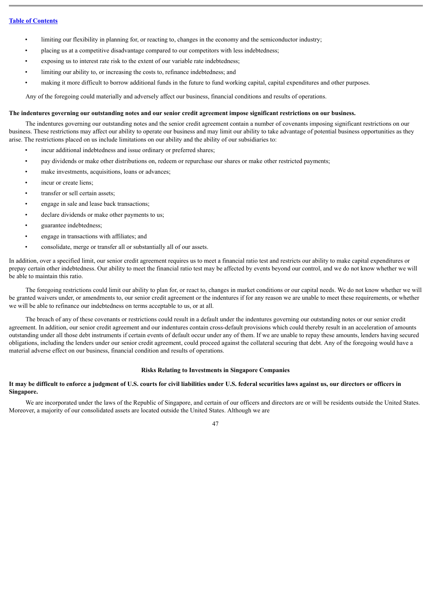- limiting our flexibility in planning for, or reacting to, changes in the economy and the semiconductor industry;
- placing us at a competitive disadvantage compared to our competitors with less indebtedness;
- exposing us to interest rate risk to the extent of our variable rate indebtedness;
- limiting our ability to, or increasing the costs to, refinance indebtedness; and
- making it more difficult to borrow additional funds in the future to fund working capital, capital expenditures and other purposes.

Any of the foregoing could materially and adversely affect our business, financial conditions and results of operations.

#### **The indentures governing our outstanding notes and our senior credit agreement impose significant restrictions on our business.**

The indentures governing our outstanding notes and the senior credit agreement contain a number of covenants imposing significant restrictions on our business. These restrictions may affect our ability to operate our business and may limit our ability to take advantage of potential business opportunities as they arise. The restrictions placed on us include limitations on our ability and the ability of our subsidiaries to:

- incur additional indebtedness and issue ordinary or preferred shares;
- pay dividends or make other distributions on, redeem or repurchase our shares or make other restricted payments;
- make investments, acquisitions, loans or advances;
- incur or create liens;
- transfer or sell certain assets;
- engage in sale and lease back transactions;
- declare dividends or make other payments to us;
- guarantee indebtedness;
- engage in transactions with affiliates; and
- consolidate, merge or transfer all or substantially all of our assets.

In addition, over a specified limit, our senior credit agreement requires us to meet a financial ratio test and restricts our ability to make capital expenditures or prepay certain other indebtedness. Our ability to meet the financial ratio test may be affected by events beyond our control, and we do not know whether we will be able to maintain this ratio.

The foregoing restrictions could limit our ability to plan for, or react to, changes in market conditions or our capital needs. We do not know whether we will be granted waivers under, or amendments to, our senior credit agreement or the indentures if for any reason we are unable to meet these requirements, or whether we will be able to refinance our indebtedness on terms acceptable to us, or at all.

The breach of any of these covenants or restrictions could result in a default under the indentures governing our outstanding notes or our senior credit agreement. In addition, our senior credit agreement and our indentures contain cross-default provisions which could thereby result in an acceleration of amounts outstanding under all those debt instruments if certain events of default occur under any of them. If we are unable to repay these amounts, lenders having secured obligations, including the lenders under our senior credit agreement, could proceed against the collateral securing that debt. Any of the foregoing would have a material adverse effect on our business, financial condition and results of operations.

# **Risks Relating to Investments in Singapore Companies**

# **It may be difficult to enforce a judgment of U.S. courts for civil liabilities under U.S. federal securities laws against us, our directors or officers in Singapore.**

We are incorporated under the laws of the Republic of Singapore, and certain of our officers and directors are or will be residents outside the United States. Moreover, a majority of our consolidated assets are located outside the United States. Although we are

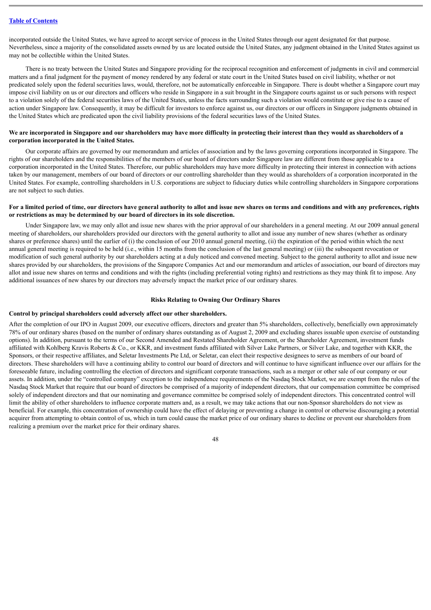incorporated outside the United States, we have agreed to accept service of process in the United States through our agent designated for that purpose. Nevertheless, since a majority of the consolidated assets owned by us are located outside the United States, any judgment obtained in the United States against us may not be collectible within the United States.

There is no treaty between the United States and Singapore providing for the reciprocal recognition and enforcement of judgments in civil and commercial matters and a final judgment for the payment of money rendered by any federal or state court in the United States based on civil liability, whether or not predicated solely upon the federal securities laws, would, therefore, not be automatically enforceable in Singapore. There is doubt whether a Singapore court may impose civil liability on us or our directors and officers who reside in Singapore in a suit brought in the Singapore courts against us or such persons with respect to a violation solely of the federal securities laws of the United States, unless the facts surrounding such a violation would constitute or give rise to a cause of action under Singapore law. Consequently, it may be difficult for investors to enforce against us, our directors or our officers in Singapore judgments obtained in the United States which are predicated upon the civil liability provisions of the federal securities laws of the United States.

# **We are incorporated in Singapore and our shareholders may have more difficulty in protecting their interest than they would as shareholders of a corporation incorporated in the United States.**

Our corporate affairs are governed by our memorandum and articles of association and by the laws governing corporations incorporated in Singapore. The rights of our shareholders and the responsibilities of the members of our board of directors under Singapore law are different from those applicable to a corporation incorporated in the United States. Therefore, our public shareholders may have more difficulty in protecting their interest in connection with actions taken by our management, members of our board of directors or our controlling shareholder than they would as shareholders of a corporation incorporated in the United States. For example, controlling shareholders in U.S. corporations are subject to fiduciary duties while controlling shareholders in Singapore corporations are not subject to such duties.

### **For a limited period of time, our directors have general authority to allot and issue new shares on terms and conditions and with any preferences, rights or restrictions as may be determined by our board of directors in its sole discretion.**

Under Singapore law, we may only allot and issue new shares with the prior approval of our shareholders in a general meeting. At our 2009 annual general meeting of shareholders, our shareholders provided our directors with the general authority to allot and issue any number of new shares (whether as ordinary shares or preference shares) until the earlier of (i) the conclusion of our 2010 annual general meeting, (ii) the expiration of the period within which the next annual general meeting is required to be held (i.e., within 15 months from the conclusion of the last general meeting) or (iii) the subsequent revocation or modification of such general authority by our shareholders acting at a duly noticed and convened meeting. Subject to the general authority to allot and issue new shares provided by our shareholders, the provisions of the Singapore Companies Act and our memorandum and articles of association, our board of directors may allot and issue new shares on terms and conditions and with the rights (including preferential voting rights) and restrictions as they may think fit to impose. Any additional issuances of new shares by our directors may adversely impact the market price of our ordinary shares.

#### **Risks Relating to Owning Our Ordinary Shares**

#### **Control by principal shareholders could adversely affect our other shareholders.**

After the completion of our IPO in August 2009, our executive officers, directors and greater than 5% shareholders, collectively, beneficially own approximately 78% of our ordinary shares (based on the number of ordinary shares outstanding as of August 2, 2009 and excluding shares issuable upon exercise of outstanding options). In addition, pursuant to the terms of our Second Amended and Restated Shareholder Agreement, or the Shareholder Agreement, investment funds affiliated with Kohlberg Kravis Roberts & Co., or KKR, and investment funds affiliated with Silver Lake Partners, or Silver Lake, and together with KKR, the Sponsors, or their respective affiliates, and Seletar Investments Pte Ltd, or Seletar, can elect their respective designees to serve as members of our board of directors. These shareholders will have a continuing ability to control our board of directors and will continue to have significant influence over our affairs for the foreseeable future, including controlling the election of directors and significant corporate transactions, such as a merger or other sale of our company or our assets. In addition, under the "controlled company" exception to the independence requirements of the Nasdaq Stock Market, we are exempt from the rules of the Nasdaq Stock Market that require that our board of directors be comprised of a majority of independent directors, that our compensation committee be comprised solely of independent directors and that our nominating and governance committee be comprised solely of independent directors. This concentrated control will limit the ability of other shareholders to influence corporate matters and, as a result, we may take actions that our non-Sponsor shareholders do not view as beneficial. For example, this concentration of ownership could have the effect of delaying or preventing a change in control or otherwise discouraging a potential acquirer from attempting to obtain control of us, which in turn could cause the market price of our ordinary shares to decline or prevent our shareholders from realizing a premium over the market price for their ordinary shares.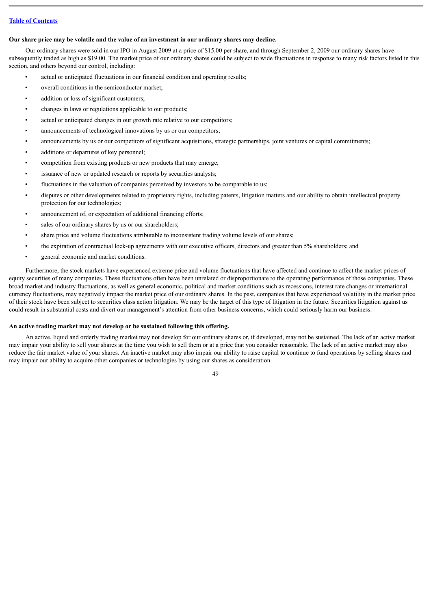#### **Our share price may be volatile and the value of an investment in our ordinary shares may decline.**

Our ordinary shares were sold in our IPO in August 2009 at a price of \$15.00 per share, and through September 2, 2009 our ordinary shares have subsequently traded as high as \$19.00. The market price of our ordinary shares could be subject to wide fluctuations in response to many risk factors listed in this section, and others beyond our control, including:

- actual or anticipated fluctuations in our financial condition and operating results;
- overall conditions in the semiconductor market;
- addition or loss of significant customers;
- changes in laws or regulations applicable to our products;
- actual or anticipated changes in our growth rate relative to our competitors;
- announcements of technological innovations by us or our competitors;
- announcements by us or our competitors of significant acquisitions, strategic partnerships, joint ventures or capital commitments;
- additions or departures of key personnel;
- competition from existing products or new products that may emerge;
- issuance of new or updated research or reports by securities analysts;
- fluctuations in the valuation of companies perceived by investors to be comparable to us;
- disputes or other developments related to proprietary rights, including patents, litigation matters and our ability to obtain intellectual property protection for our technologies;
- announcement of, or expectation of additional financing efforts;
- sales of our ordinary shares by us or our shareholders;
- share price and volume fluctuations attributable to inconsistent trading volume levels of our shares;
- the expiration of contractual lock-up agreements with our executive officers, directors and greater than 5% shareholders; and
- general economic and market conditions.

Furthermore, the stock markets have experienced extreme price and volume fluctuations that have affected and continue to affect the market prices of equity securities of many companies. These fluctuations often have been unrelated or disproportionate to the operating performance of those companies. These broad market and industry fluctuations, as well as general economic, political and market conditions such as recessions, interest rate changes or international currency fluctuations, may negatively impact the market price of our ordinary shares. In the past, companies that have experienced volatility in the market price of their stock have been subject to securities class action litigation. We may be the target of this type of litigation in the future. Securities litigation against us could result in substantial costs and divert our management's attention from other business concerns, which could seriously harm our business.

#### **An active trading market may not develop or be sustained following this offering.**

An active, liquid and orderly trading market may not develop for our ordinary shares or, if developed, may not be sustained. The lack of an active market may impair your ability to sell your shares at the time you wish to sell them or at a price that you consider reasonable. The lack of an active market may also reduce the fair market value of your shares. An inactive market may also impair our ability to raise capital to continue to fund operations by selling shares and may impair our ability to acquire other companies or technologies by using our shares as consideration.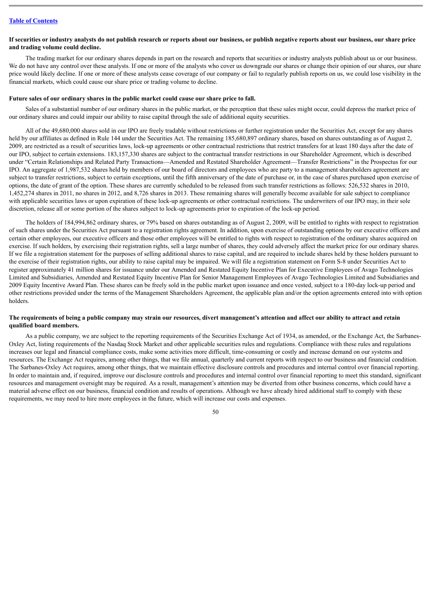### **If securities or industry analysts do not publish research or reports about our business, or publish negative reports about our business, our share price and trading volume could decline.**

The trading market for our ordinary shares depends in part on the research and reports that securities or industry analysts publish about us or our business. We do not have any control over these analysts. If one or more of the analysts who cover us downgrade our shares or change their opinion of our shares, our share price would likely decline. If one or more of these analysts cease coverage of our company or fail to regularly publish reports on us, we could lose visibility in the financial markets, which could cause our share price or trading volume to decline.

#### **Future sales of our ordinary shares in the public market could cause our share price to fall.**

Sales of a substantial number of our ordinary shares in the public market, or the perception that these sales might occur, could depress the market price of our ordinary shares and could impair our ability to raise capital through the sale of additional equity securities.

All of the 49,680,000 shares sold in our IPO are freely tradable without restrictions or further registration under the Securities Act, except for any shares held by our affiliates as defined in Rule 144 under the Securities Act. The remaining 185,680,897 ordinary shares, based on shares outstanding as of August 2, 2009, are restricted as a result of securities laws, lock-up agreements or other contractual restrictions that restrict transfers for at least 180 days after the date of our IPO, subject to certain extensions. 183,157,330 shares are subject to the contractual transfer restrictions in our Shareholder Agreement, which is described under "Certain Relationships and Related Party Transactions—Amended and Restated Shareholder Agreement—Transfer Restrictions" in the Prospectus for our IPO. An aggregate of 1,987,532 shares held by members of our board of directors and employees who are party to a management shareholders agreement are subject to transfer restrictions, subject to certain exceptions, until the fifth anniversary of the date of purchase or, in the case of shares purchased upon exercise of options, the date of grant of the option. These shares are currently scheduled to be released from such transfer restrictions as follows: 526,532 shares in 2010, 1,452,274 shares in 2011, no shares in 2012, and 8,726 shares in 2013. These remaining shares will generally become available for sale subject to compliance with applicable securities laws or upon expiration of these lock-up agreements or other contractual restrictions. The underwriters of our IPO may, in their sole discretion, release all or some portion of the shares subject to lock-up agreements prior to expiration of the lock-up period.

The holders of 184,994,862 ordinary shares, or 79% based on shares outstanding as of August 2, 2009, will be entitled to rights with respect to registration of such shares under the Securities Act pursuant to a registration rights agreement. In addition, upon exercise of outstanding options by our executive officers and certain other employees, our executive officers and those other employees will be entitled to rights with respect to registration of the ordinary shares acquired on exercise. If such holders, by exercising their registration rights, sell a large number of shares, they could adversely affect the market price for our ordinary shares. If we file a registration statement for the purposes of selling additional shares to raise capital, and are required to include shares held by these holders pursuant to the exercise of their registration rights, our ability to raise capital may be impaired. We will file a registration statement on Form S-8 under Securities Act to register approximately 41 million shares for issuance under our Amended and Restated Equity Incentive Plan for Executive Employees of Avago Technologies Limited and Subsidiaries, Amended and Restated Equity Incentive Plan for Senior Management Employees of Avago Technologies Limited and Subsidiaries and 2009 Equity Incentive Award Plan. These shares can be freely sold in the public market upon issuance and once vested, subject to a 180-day lock-up period and other restrictions provided under the terms of the Management Shareholders Agreement, the applicable plan and/or the option agreements entered into with option holders.

# **The requirements of being a public company may strain our resources, divert management's attention and affect our ability to attract and retain qualified board members.**

As a public company, we are subject to the reporting requirements of the Securities Exchange Act of 1934, as amended, or the Exchange Act, the Sarbanes-Oxley Act, listing requirements of the Nasdaq Stock Market and other applicable securities rules and regulations. Compliance with these rules and regulations increases our legal and financial compliance costs, make some activities more difficult, time-consuming or costly and increase demand on our systems and resources. The Exchange Act requires, among other things, that we file annual, quarterly and current reports with respect to our business and financial condition. The Sarbanes-Oxley Act requires, among other things, that we maintain effective disclosure controls and procedures and internal control over financial reporting. In order to maintain and, if required, improve our disclosure controls and procedures and internal control over financial reporting to meet this standard, significant resources and management oversight may be required. As a result, management's attention may be diverted from other business concerns, which could have a material adverse effect on our business, financial condition and results of operations. Although we have already hired additional staff to comply with these requirements, we may need to hire more employees in the future, which will increase our costs and expenses.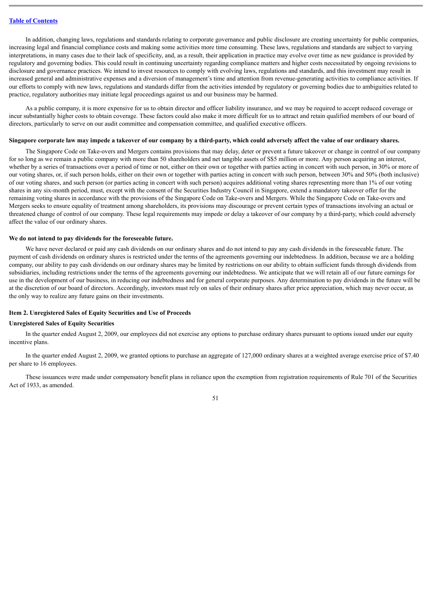In addition, changing laws, regulations and standards relating to corporate governance and public disclosure are creating uncertainty for public companies, increasing legal and financial compliance costs and making some activities more time consuming. These laws, regulations and standards are subject to varying interpretations, in many cases due to their lack of specificity, and, as a result, their application in practice may evolve over time as new guidance is provided by regulatory and governing bodies. This could result in continuing uncertainty regarding compliance matters and higher costs necessitated by ongoing revisions to disclosure and governance practices. We intend to invest resources to comply with evolving laws, regulations and standards, and this investment may result in increased general and administrative expenses and a diversion of management's time and attention from revenue-generating activities to compliance activities. If our efforts to comply with new laws, regulations and standards differ from the activities intended by regulatory or governing bodies due to ambiguities related to practice, regulatory authorities may initiate legal proceedings against us and our business may be harmed.

As a public company, it is more expensive for us to obtain director and officer liability insurance, and we may be required to accept reduced coverage or incur substantially higher costs to obtain coverage. These factors could also make it more difficult for us to attract and retain qualified members of our board of directors, particularly to serve on our audit committee and compensation committee, and qualified executive officers.

#### **Singapore corporate law may impede a takeover of our company by a third-party, which could adversely affect the value of our ordinary shares.**

The Singapore Code on Take-overs and Mergers contains provisions that may delay, deter or prevent a future takeover or change in control of our company for so long as we remain a public company with more than 50 shareholders and net tangible assets of S\$5 million or more. Any person acquiring an interest, whether by a series of transactions over a period of time or not, either on their own or together with parties acting in concert with such person, in 30% or more of our voting shares, or, if such person holds, either on their own or together with parties acting in concert with such person, between 30% and 50% (both inclusive) of our voting shares, and such person (or parties acting in concert with such person) acquires additional voting shares representing more than 1% of our voting shares in any six-month period, must, except with the consent of the Securities Industry Council in Singapore, extend a mandatory takeover offer for the remaining voting shares in accordance with the provisions of the Singapore Code on Take-overs and Mergers. While the Singapore Code on Take-overs and Mergers seeks to ensure equality of treatment among shareholders, its provisions may discourage or prevent certain types of transactions involving an actual or threatened change of control of our company. These legal requirements may impede or delay a takeover of our company by a third-party, which could adversely affect the value of our ordinary shares.

#### **We do not intend to pay dividends for the foreseeable future.**

We have never declared or paid any cash dividends on our ordinary shares and do not intend to pay any cash dividends in the foreseeable future. The payment of cash dividends on ordinary shares is restricted under the terms of the agreements governing our indebtedness. In addition, because we are a holding company, our ability to pay cash dividends on our ordinary shares may be limited by restrictions on our ability to obtain sufficient funds through dividends from subsidiaries, including restrictions under the terms of the agreements governing our indebtedness. We anticipate that we will retain all of our future earnings for use in the development of our business, in reducing our indebtedness and for general corporate purposes. Any determination to pay dividends in the future will be at the discretion of our board of directors. Accordingly, investors must rely on sales of their ordinary shares after price appreciation, which may never occur, as the only way to realize any future gains on their investments.

#### <span id="page-50-0"></span>**Item 2. Unregistered Sales of Equity Securities and Use of Proceeds**

#### **Unregistered Sales of Equity Securities**

In the quarter ended August 2, 2009, our employees did not exercise any options to purchase ordinary shares pursuant to options issued under our equity incentive plans.

In the quarter ended August 2, 2009, we granted options to purchase an aggregate of 127,000 ordinary shares at a weighted average exercise price of \$7.40 per share to 16 employees.

These issuances were made under compensatory benefit plans in reliance upon the exemption from registration requirements of Rule 701 of the Securities Act of 1933, as amended.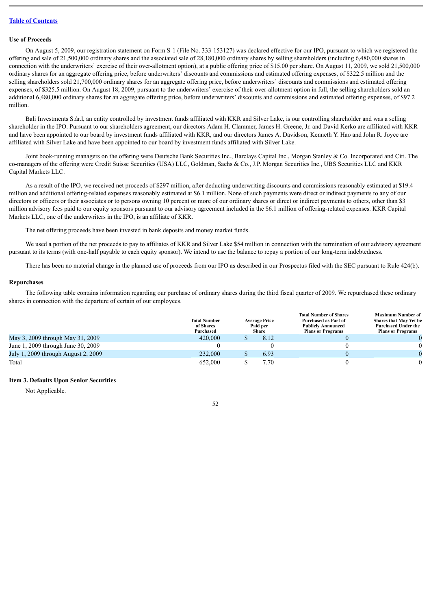# **Use of Proceeds**

On August 5, 2009, our registration statement on Form S-1 (File No. 333-153127) was declared effective for our IPO, pursuant to which we registered the offering and sale of 21,500,000 ordinary shares and the associated sale of 28,180,000 ordinary shares by selling shareholders (including 6,480,000 shares in connection with the underwriters' exercise of their over-allotment option), at a public offering price of \$15.00 per share. On August 11, 2009, we sold 21,500,000 ordinary shares for an aggregate offering price, before underwriters' discounts and commissions and estimated offering expenses, of \$322.5 million and the selling shareholders sold 21,700,000 ordinary shares for an aggregate offering price, before underwriters' discounts and commissions and estimated offering expenses, of \$325.5 million. On August 18, 2009, pursuant to the underwriters' exercise of their over-allotment option in full, the selling shareholders sold an additional 6,480,000 ordinary shares for an aggregate offering price, before underwriters' discounts and commissions and estimated offering expenses, of \$97.2 million.

Bali Investments S.àr.l, an entity controlled by investment funds affiliated with KKR and Silver Lake, is our controlling shareholder and was a selling shareholder in the IPO. Pursuant to our shareholders agreement, our directors Adam H. Clammer, James H. Greene, Jr. and David Kerko are affiliated with KKR and have been appointed to our board by investment funds affiliated with KKR, and our directors James A. Davidson, Kenneth Y. Hao and John R. Joyce are affiliated with Silver Lake and have been appointed to our board by investment funds affiliated with Silver Lake.

Joint book-running managers on the offering were Deutsche Bank Securities Inc., Barclays Capital Inc., Morgan Stanley & Co. Incorporated and Citi. The co-managers of the offering were Credit Suisse Securities (USA) LLC, Goldman, Sachs & Co., J.P. Morgan Securities Inc., UBS Securities LLC and KKR Capital Markets LLC.

As a result of the IPO, we received net proceeds of \$297 million, after deducting underwriting discounts and commissions reasonably estimated at \$19.4 million and additional offering-related expenses reasonably estimated at \$6.1 million. None of such payments were direct or indirect payments to any of our directors or officers or their associates or to persons owning 10 percent or more of our ordinary shares or direct or indirect payments to others, other than \$3 million advisory fees paid to our equity sponsors pursuant to our advisory agreement included in the \$6.1 million of offering-related expenses. KKR Capital Markets LLC, one of the underwriters in the IPO, is an affiliate of KKR.

The net offering proceeds have been invested in bank deposits and money market funds.

We used a portion of the net proceeds to pay to affiliates of KKR and Silver Lake \$54 million in connection with the termination of our advisory agreement pursuant to its terms (with one-half payable to each equity sponsor). We intend to use the balance to repay a portion of our long-term indebtedness.

There has been no material change in the planned use of proceeds from our IPO as described in our Prospectus filed with the SEC pursuant to Rule 424(b).

# **Repurchases**

The following table contains information regarding our purchase of ordinary shares during the third fiscal quarter of 2009. We repurchased these ordinary shares in connection with the departure of certain of our employees.

|                                     | <b>Total Number</b><br>of Shares<br>Purchased | <b>Average Price</b><br>Paid per<br>Share | <b>Total Number of Shares</b><br>Purchased as Part of<br><b>Publicly Announced</b><br><b>Plans or Programs</b> | <b>Maximum Number of</b><br><b>Shares that May Yet be</b><br><b>Purchased Under the</b><br><b>Plans or Programs</b> |
|-------------------------------------|-----------------------------------------------|-------------------------------------------|----------------------------------------------------------------------------------------------------------------|---------------------------------------------------------------------------------------------------------------------|
| May 3, 2009 through May 31, 2009    | 420,000                                       | 8.12                                      |                                                                                                                |                                                                                                                     |
| June 1, 2009 through June 30, 2009  |                                               |                                           |                                                                                                                |                                                                                                                     |
| July 1, 2009 through August 2, 2009 | 232,000                                       | 6.93                                      |                                                                                                                |                                                                                                                     |
| Total                               | 652,000                                       | 7.70                                      |                                                                                                                |                                                                                                                     |

## <span id="page-51-0"></span>**Item 3. Defaults Upon Senior Securities**

Not Applicable.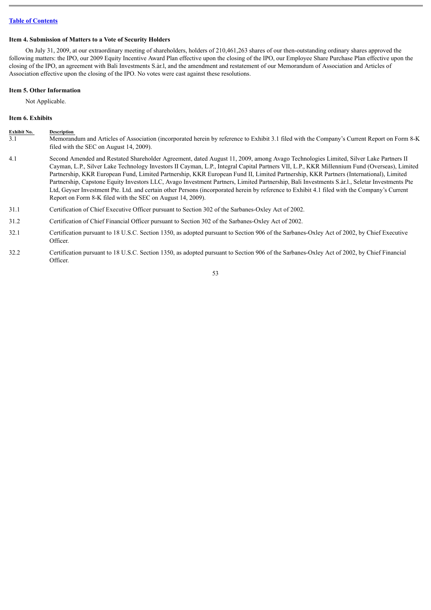#### <span id="page-52-0"></span>**Item 4. Submission of Matters to a Vote of Security Holders**

On July 31, 2009, at our extraordinary meeting of shareholders, holders of 210,461,263 shares of our then-outstanding ordinary shares approved the following matters: the IPO, our 2009 Equity Incentive Award Plan effective upon the closing of the IPO, our Employee Share Purchase Plan effective upon the closing of the IPO, an agreement with Bali Investments S.àr.l, and the amendment and restatement of our Memorandum of Association and Articles of Association effective upon the closing of the IPO. No votes were cast against these resolutions.

# <span id="page-52-1"></span>**Item 5. Other Information**

Not Applicable.

# <span id="page-52-2"></span>**Item 6. Exhibits**

| Exhibit No. | <b>Description</b>                                                                                                                          |
|-------------|---------------------------------------------------------------------------------------------------------------------------------------------|
|             | Memorandum and Articles of Association (incorporated herein by reference to Exhibit 3.1 filed with the Company's Current Report on Form 8-K |
|             | filed with the SEC on August 14, 2009).                                                                                                     |

- 4.1 Second Amended and Restated Shareholder Agreement, dated August 11, 2009, among Avago Technologies Limited, Silver Lake Partners II Cayman, L.P., Silver Lake Technology Investors II Cayman, L.P., Integral Capital Partners VII, L.P., KKR Millennium Fund (Overseas), Limited Partnership, KKR European Fund, Limited Partnership, KKR European Fund II, Limited Partnership, KKR Partners (International), Limited Partnership, Capstone Equity Investors LLC, Avago Investment Partners, Limited Partnership, Bali Investments S.àr.l., Seletar Investments Pte Ltd, Geyser Investment Pte. Ltd. and certain other Persons (incorporated herein by reference to Exhibit 4.1 filed with the Company's Current Report on Form 8-K filed with the SEC on August 14, 2009).
- 31.1 Certification of Chief Executive Officer pursuant to Section 302 of the Sarbanes-Oxley Act of 2002.
- 31.2 Certification of Chief Financial Officer pursuant to Section 302 of the Sarbanes-Oxley Act of 2002.
- 32.1 Certification pursuant to 18 U.S.C. Section 1350, as adopted pursuant to Section 906 of the Sarbanes-Oxley Act of 2002, by Chief Executive Officer.
- 32.2 Certification pursuant to 18 U.S.C. Section 1350, as adopted pursuant to Section 906 of the Sarbanes-Oxley Act of 2002, by Chief Financial Officer.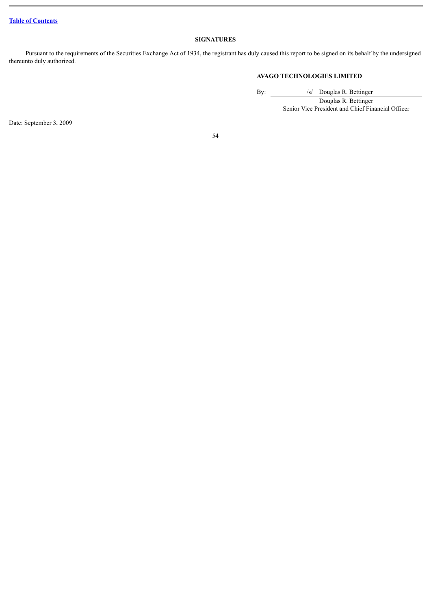# **SIGNATURES**

<span id="page-53-0"></span>Pursuant to the requirements of the Securities Exchange Act of 1934, the registrant has duly caused this report to be signed on its behalf by the undersigned thereunto duly authorized.

# **AVAGO TECHNOLOGIES LIMITED**

By: /s/ Douglas R. Bettinger

Douglas R. Bettinger Senior Vice President and Chief Financial Officer

Date: September 3, 2009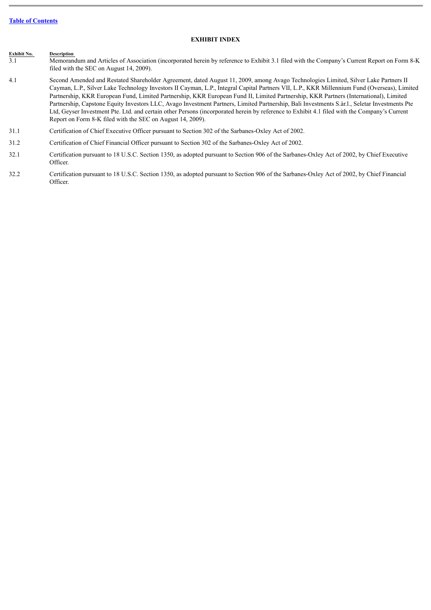# **EXHIBIT INDEX**

# **Exhibit No. Description**

- 3.1 Memorandum and Articles of Association (incorporated herein by reference to Exhibit 3.1 filed with the Company's Current Report on Form 8-K filed with the SEC on August 14, 2009).
- 4.1 Second Amended and Restated Shareholder Agreement, dated August 11, 2009, among Avago Technologies Limited, Silver Lake Partners II Cayman, L.P., Silver Lake Technology Investors II Cayman, L.P., Integral Capital Partners VII, L.P., KKR Millennium Fund (Overseas), Limited Partnership, KKR European Fund, Limited Partnership, KKR European Fund II, Limited Partnership, KKR Partners (International), Limited Partnership, Capstone Equity Investors LLC, Avago Investment Partners, Limited Partnership, Bali Investments S.àr.l., Seletar Investments Pte Ltd, Geyser Investment Pte. Ltd. and certain other Persons (incorporated herein by reference to Exhibit 4.1 filed with the Company's Current Report on Form 8-K filed with the SEC on August 14, 2009).
- 31.1 Certification of Chief Executive Officer pursuant to Section 302 of the Sarbanes-Oxley Act of 2002.
- 31.2 Certification of Chief Financial Officer pursuant to Section 302 of the Sarbanes-Oxley Act of 2002.
- 32.1 Certification pursuant to 18 U.S.C. Section 1350, as adopted pursuant to Section 906 of the Sarbanes-Oxley Act of 2002, by Chief Executive Officer.
- 32.2 Certification pursuant to 18 U.S.C. Section 1350, as adopted pursuant to Section 906 of the Sarbanes-Oxley Act of 2002, by Chief Financial Officer.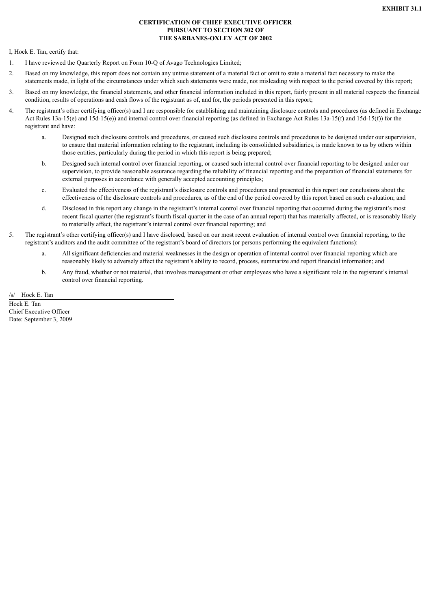# **CERTIFICATION OF CHIEF EXECUTIVE OFFICER PURSUANT TO SECTION 302 OF THE SARBANES-OXLEY ACT OF 2002**

I, Hock E. Tan, certify that:

- 1. I have reviewed the Quarterly Report on Form 10-Q of Avago Technologies Limited;
- 2. Based on my knowledge, this report does not contain any untrue statement of a material fact or omit to state a material fact necessary to make the statements made, in light of the circumstances under which such statements were made, not misleading with respect to the period covered by this report;
- 3. Based on my knowledge, the financial statements, and other financial information included in this report, fairly present in all material respects the financial condition, results of operations and cash flows of the registrant as of, and for, the periods presented in this report;
- 4. The registrant's other certifying officer(s) and I are responsible for establishing and maintaining disclosure controls and procedures (as defined in Exchange Act Rules 13a-15(e) and 15d-15(e)) and internal control over financial reporting (as defined in Exchange Act Rules 13a-15(f) and 15d-15(f)) for the registrant and have:
	- a. Designed such disclosure controls and procedures, or caused such disclosure controls and procedures to be designed under our supervision, to ensure that material information relating to the registrant, including its consolidated subsidiaries, is made known to us by others within those entities, particularly during the period in which this report is being prepared;
	- b. Designed such internal control over financial reporting, or caused such internal control over financial reporting to be designed under our supervision, to provide reasonable assurance regarding the reliability of financial reporting and the preparation of financial statements for external purposes in accordance with generally accepted accounting principles;
	- c. Evaluated the effectiveness of the registrant's disclosure controls and procedures and presented in this report our conclusions about the effectiveness of the disclosure controls and procedures, as of the end of the period covered by this report based on such evaluation; and
	- d. Disclosed in this report any change in the registrant's internal control over financial reporting that occurred during the registrant's most recent fiscal quarter (the registrant's fourth fiscal quarter in the case of an annual report) that has materially affected, or is reasonably likely to materially affect, the registrant's internal control over financial reporting; and
- 5. The registrant's other certifying officer(s) and I have disclosed, based on our most recent evaluation of internal control over financial reporting, to the registrant's auditors and the audit committee of the registrant's board of directors (or persons performing the equivalent functions):
	- a. All significant deficiencies and material weaknesses in the design or operation of internal control over financial reporting which are reasonably likely to adversely affect the registrant's ability to record, process, summarize and report financial information; and
	- b. Any fraud, whether or not material, that involves management or other employees who have a significant role in the registrant's internal control over financial reporting.

/s/ Hock E. Tan

Hock E. Tan Chief Executive Officer Date: September 3, 2009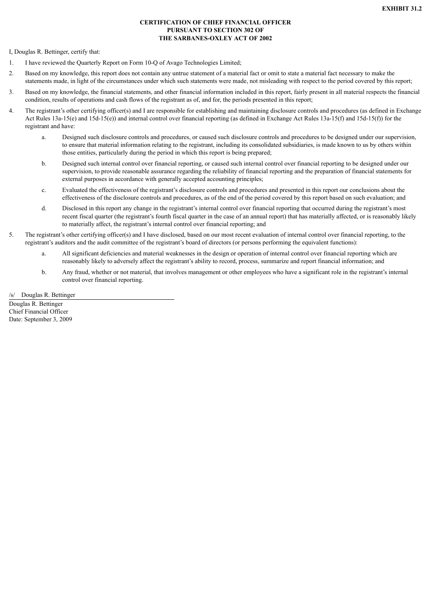# **CERTIFICATION OF CHIEF FINANCIAL OFFICER PURSUANT TO SECTION 302 OF THE SARBANES-OXLEY ACT OF 2002**

I, Douglas R. Bettinger, certify that:

- 1. I have reviewed the Quarterly Report on Form 10-Q of Avago Technologies Limited;
- 2. Based on my knowledge, this report does not contain any untrue statement of a material fact or omit to state a material fact necessary to make the statements made, in light of the circumstances under which such statements were made, not misleading with respect to the period covered by this report;
- 3. Based on my knowledge, the financial statements, and other financial information included in this report, fairly present in all material respects the financial condition, results of operations and cash flows of the registrant as of, and for, the periods presented in this report;
- 4. The registrant's other certifying officer(s) and I are responsible for establishing and maintaining disclosure controls and procedures (as defined in Exchange Act Rules 13a-15(e) and 15d-15(e)) and internal control over financial reporting (as defined in Exchange Act Rules 13a-15(f) and 15d-15(f)) for the registrant and have:
	- a. Designed such disclosure controls and procedures, or caused such disclosure controls and procedures to be designed under our supervision, to ensure that material information relating to the registrant, including its consolidated subsidiaries, is made known to us by others within those entities, particularly during the period in which this report is being prepared;
	- b. Designed such internal control over financial reporting, or caused such internal control over financial reporting to be designed under our supervision, to provide reasonable assurance regarding the reliability of financial reporting and the preparation of financial statements for external purposes in accordance with generally accepted accounting principles;
	- c. Evaluated the effectiveness of the registrant's disclosure controls and procedures and presented in this report our conclusions about the effectiveness of the disclosure controls and procedures, as of the end of the period covered by this report based on such evaluation; and
	- d. Disclosed in this report any change in the registrant's internal control over financial reporting that occurred during the registrant's most recent fiscal quarter (the registrant's fourth fiscal quarter in the case of an annual report) that has materially affected, or is reasonably likely to materially affect, the registrant's internal control over financial reporting; and
- 5. The registrant's other certifying officer(s) and I have disclosed, based on our most recent evaluation of internal control over financial reporting, to the registrant's auditors and the audit committee of the registrant's board of directors (or persons performing the equivalent functions):
	- a. All significant deficiencies and material weaknesses in the design or operation of internal control over financial reporting which are reasonably likely to adversely affect the registrant's ability to record, process, summarize and report financial information; and
	- b. Any fraud, whether or not material, that involves management or other employees who have a significant role in the registrant's internal control over financial reporting.

/s/ Douglas R. Bettinger

Douglas R. Bettinger Chief Financial Officer Date: September 3, 2009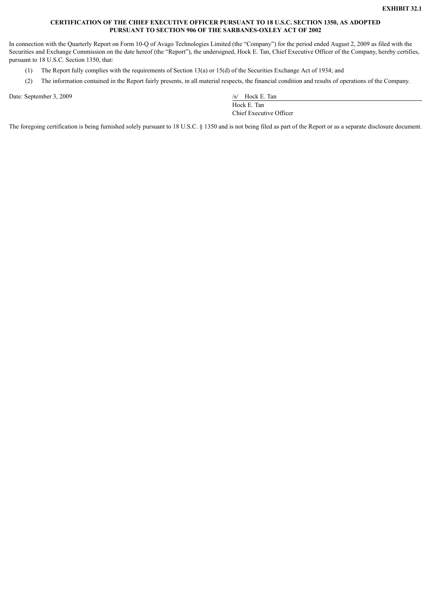# **CERTIFICATION OF THE CHIEF EXECUTIVE OFFICER PURSUANT TO 18 U.S.C. SECTION 1350, AS ADOPTED PURSUANT TO SECTION 906 OF THE SARBANES-OXLEY ACT OF 2002**

In connection with the Quarterly Report on Form 10-Q of Avago Technologies Limited (the "Company") for the period ended August 2, 2009 as filed with the Securities and Exchange Commission on the date hereof (the "Report"), the undersigned, Hock E. Tan, Chief Executive Officer of the Company, hereby certifies, pursuant to 18 U.S.C. Section 1350, that:

- (1) The Report fully complies with the requirements of Section 13(a) or 15(d) of the Securities Exchange Act of 1934; and
- (2) The information contained in the Report fairly presents, in all material respects, the financial condition and results of operations of the Company.

Date: September 3, 2009 /s/ Hock E. Tan

Hock E. Tan Chief Executive Officer

The foregoing certification is being furnished solely pursuant to 18 U.S.C. § 1350 and is not being filed as part of the Report or as a separate disclosure document.